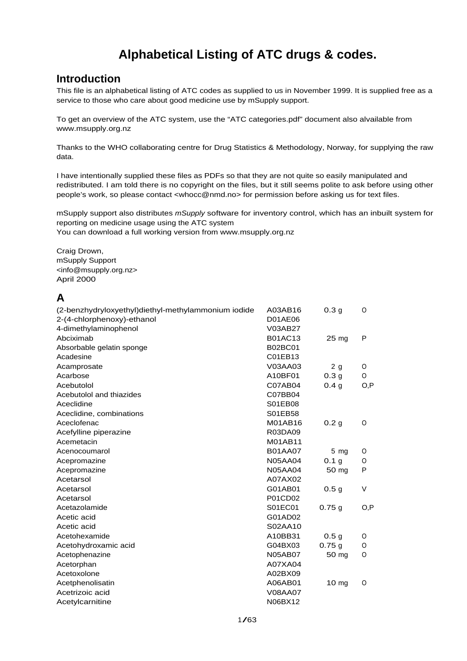## **Alphabetical Listing of ATC drugs & codes.**

## **Introduction**

This file is an alphabetical listing of ATC codes as supplied to us in November 1999. It is supplied free as a service to those who care about good medicine use by mSupply support.

To get an overview of the ATC system, use the "ATC categories.pdf" document also alvailable from www.msupply.org.nz

Thanks to the WHO collaborating centre for Drug Statistics & Methodology, Norway, for supplying the raw data.

I have intentionally supplied these files as PDFs so that they are not quite so easily manipulated and redistributed. I am told there is no copyright on the files, but it still seems polite to ask before using other people's work, so please contact [<whocc@nmd.no](mailto:whocc@nmd.no)> for permission before asking us for text files.

mSupply support also distributes mSupply software for inventory control, which has an inbuilt system for reporting on medicine usage using the ATC system You can download a full working version from www.msupply.org.nz

Craig Drown, mSupply Support [<info@msupply.org.nz>](mailto:info@msupply.org.nz) April 2000

## **A**

| (2-benzhydryloxyethyl)diethyl-methylammonium iodide | A03AB16        | 0.3 <sub>g</sub> | O      |
|-----------------------------------------------------|----------------|------------------|--------|
| 2-(4-chlorphenoxy)-ethanol                          | <b>D01AE06</b> |                  |        |
| 4-dimethylaminophenol                               | V03AB27        |                  |        |
| Abciximab                                           | <b>B01AC13</b> | $25 \text{ mg}$  | P      |
| Absorbable gelatin sponge                           | <b>B02BC01</b> |                  |        |
| Acadesine                                           | C01EB13        |                  |        |
| Acamprosate                                         | V03AA03        | 2 <sub>g</sub>   | 0      |
| Acarbose                                            | A10BF01        | 0.3 <sub>g</sub> | 0      |
| Acebutolol                                          | C07AB04        | 0.4 <sub>g</sub> | O, P   |
| Acebutolol and thiazides                            | C07BB04        |                  |        |
| Aceclidine                                          | S01EB08        |                  |        |
| Aceclidine, combinations                            | S01EB58        |                  |        |
| Aceclofenac                                         | M01AB16        | 0.2 <sub>g</sub> | O      |
| Acefylline piperazine                               | R03DA09        |                  |        |
| Acemetacin                                          | M01AB11        |                  |        |
| Acenocoumarol                                       | <b>B01AA07</b> | $5 \, mg$        | O      |
| Acepromazine                                        | <b>N05AA04</b> | 0.1 <sub>g</sub> | O      |
| Acepromazine                                        | <b>N05AA04</b> | 50 mg            | P      |
| Acetarsol                                           | A07AX02        |                  |        |
| Acetarsol                                           | G01AB01        | 0.5 <sub>g</sub> | $\vee$ |
| Acetarsol                                           | P01CD02        |                  |        |
| Acetazolamide                                       | S01EC01        | 0.75g            | O, P   |
| Acetic acid                                         | G01AD02        |                  |        |
| Acetic acid                                         | S02AA10        |                  |        |
| Acetohexamide                                       | A10BB31        | 0.5 <sub>g</sub> | O      |
| Acetohydroxamic acid                                | G04BX03        | 0.75g            | O      |
| Acetophenazine                                      | <b>N05AB07</b> | 50 mg            | O      |
| Acetorphan                                          | A07XA04        |                  |        |
| Acetoxolone                                         | A02BX09        |                  |        |
| Acetphenolisatin                                    | A06AB01        | 10 <sub>mg</sub> | O      |
| Acetrizoic acid                                     | <b>V08AA07</b> |                  |        |
| Acetylcarnitine                                     | N06BX12        |                  |        |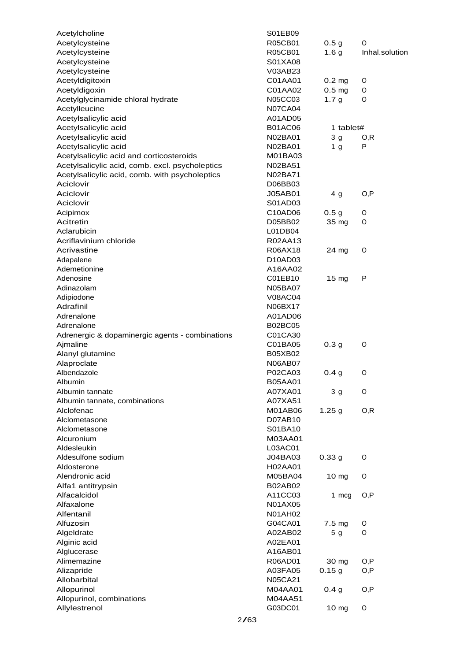| Acetylcholine                                   | S01EB09                   |                   |                |
|-------------------------------------------------|---------------------------|-------------------|----------------|
| Acetylcysteine                                  | R05CB01                   | 0.5 <sub>g</sub>  | 0              |
| Acetylcysteine                                  | R05CB01                   | 1.6 <sub>g</sub>  | Inhal.solution |
| Acetylcysteine                                  | S01XA08                   |                   |                |
| Acetylcysteine                                  | V03AB23                   |                   |                |
| Acetyldigitoxin                                 | C01AA01                   | 0.2 <sub>mg</sub> | 0              |
| Acetyldigoxin                                   | C01AA02                   | 0.5 <sub>mg</sub> | O              |
| Acetylglycinamide chloral hydrate               | <b>N05CC03</b>            | 1.7 <sub>g</sub>  | 0              |
| Acetylleucine                                   | <b>N07CA04</b>            |                   |                |
| Acetylsalicylic acid                            | A01AD05                   |                   |                |
| Acetylsalicylic acid                            | <b>B01AC06</b>            | 1 tablet#         |                |
| Acetylsalicylic acid                            | N02BA01                   | 3 <sub>g</sub>    | O, R           |
| Acetylsalicylic acid                            | N02BA01                   | 1 <sub>g</sub>    | P              |
| Acetylsalicylic acid and corticosteroids        | M01BA03                   |                   |                |
| Acetylsalicylic acid, comb. excl. psycholeptics | N02BA51                   |                   |                |
| Acetylsalicylic acid, comb. with psycholeptics  | N02BA71                   |                   |                |
| Aciclovir                                       | D06BB03                   |                   |                |
| Aciclovir                                       | <b>J05AB01</b>            | 4 <sub>g</sub>    | O, P           |
| Aciclovir                                       | S01AD03                   |                   |                |
| Acipimox                                        | C10AD06                   | 0.5 <sub>g</sub>  | O              |
| Acitretin                                       | D05BB02                   | 35 mg             | 0              |
| Aclarubicin                                     | L01DB04                   |                   |                |
| Acriflavinium chloride                          | R02AA13                   |                   |                |
| Acrivastine                                     | R06AX18                   | 24 mg             | O              |
| Adapalene                                       | D10AD03                   |                   |                |
| Ademetionine                                    | A16AA02                   |                   |                |
| Adenosine                                       | C01EB10                   | 15 <sub>mg</sub>  | P              |
| Adinazolam                                      | <b>N05BA07</b>            |                   |                |
| Adipiodone                                      | <b>V08AC04</b>            |                   |                |
| Adrafinil                                       | N06BX17                   |                   |                |
| Adrenalone                                      | A01AD06                   |                   |                |
| Adrenalone                                      | <b>B02BC05</b>            |                   |                |
| Adrenergic & dopaminergic agents - combinations | C01CA30                   |                   |                |
| Ajmaline                                        | C01BA05                   | 0.3 <sub>g</sub>  | O              |
| Alanyl glutamine                                | <b>B05XB02</b>            |                   |                |
| Alaproclate                                     | <b>N06AB07</b>            |                   |                |
| Albendazole                                     | P02CA03                   | 0.4 g             | O              |
| Albumin                                         | <b>B05AA01</b>            |                   |                |
| Albumin tannate                                 | A07XA01                   | 3 <sub>g</sub>    | O              |
| Albumin tannate, combinations                   | A07XA51                   |                   |                |
| Alclofenac                                      | M01AB06                   | 1.25 g            | O, R           |
| Alclometasone                                   | D07AB10                   |                   |                |
| Alclometasone                                   | S01BA10                   |                   |                |
| Alcuronium                                      | M03AA01                   |                   |                |
| Aldesleukin                                     | L03AC01                   |                   |                |
| Aldesulfone sodium                              | J04BA03                   | 0.33g             | O              |
| Aldosterone                                     | H02AA01                   |                   |                |
| Alendronic acid                                 | M05BA04                   | 10 <sub>mg</sub>  | 0              |
| Alfa1 antitrypsin                               | <b>B02AB02</b>            |                   |                |
| Alfacalcidol                                    | A11CC03                   | 1 mcg             | O, P           |
| Alfaxalone                                      | N01AX05                   |                   |                |
| Alfentanil                                      | <b>N01AH02</b>            |                   |                |
| Alfuzosin                                       | G04CA01                   | 7.5 mg            | O              |
| Algeldrate                                      | A02AB02                   | 5 <sub>g</sub>    | O              |
| Alginic acid                                    | A02EA01                   |                   |                |
| Alglucerase                                     | A16AB01                   |                   |                |
| Alimemazine                                     | R06AD01                   | 30 mg             | O, P           |
|                                                 |                           |                   |                |
| Alizapride<br>Allobarbital                      | A03FA05<br><b>N05CA21</b> | 0.15g             | O,P            |
|                                                 |                           |                   |                |
| Allopurinol                                     | M04AA01<br>M04AA51        | 0.4 <sub>g</sub>  | O, P           |
| Allopurinol, combinations                       |                           |                   |                |
| Allylestrenol                                   | G03DC01                   | 10 mg             | O              |
|                                                 | 2/63                      |                   |                |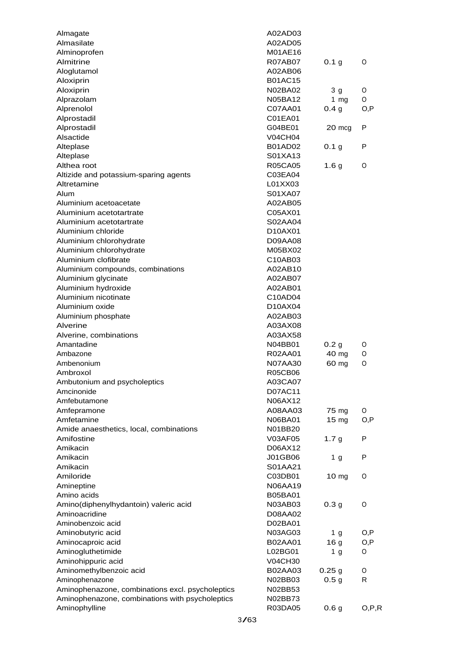| Almagate                                         | A02AD03        |                  |         |
|--------------------------------------------------|----------------|------------------|---------|
| Almasilate                                       | A02AD05        |                  |         |
| Alminoprofen                                     | M01AE16        |                  |         |
| Almitrine                                        | R07AB07        | 0.1 <sub>g</sub> | O       |
| Aloglutamol                                      | A02AB06        |                  |         |
| Aloxiprin                                        | <b>B01AC15</b> |                  |         |
| Aloxiprin                                        | N02BA02        | 3 g              | O       |
| Alprazolam                                       | N05BA12        | 1 $mg$           | O       |
| Alprenolol                                       | C07AA01        | 0.4 <sub>g</sub> | O, P    |
| Alprostadil                                      | C01EA01        |                  |         |
| Alprostadil                                      | G04BE01        | 20 mcg           | P       |
| Alsactide                                        | <b>V04CH04</b> |                  |         |
| Alteplase                                        | <b>B01AD02</b> | 0.1 <sub>g</sub> | P       |
| Alteplase                                        | S01XA13        |                  |         |
| Althea root                                      | <b>R05CA05</b> | 1.6 <sub>g</sub> | O       |
| Altizide and potassium-sparing agents            | C03EA04        |                  |         |
| Altretamine                                      | L01XX03        |                  |         |
| Alum                                             | S01XA07        |                  |         |
| Aluminium acetoacetate                           | A02AB05        |                  |         |
| Aluminium acetotartrate                          | C05AX01        |                  |         |
| Aluminium acetotartrate                          | S02AA04        |                  |         |
|                                                  |                |                  |         |
| Aluminium chloride                               | D10AX01        |                  |         |
| Aluminium chlorohydrate                          | D09AA08        |                  |         |
| Aluminium chlorohydrate                          | M05BX02        |                  |         |
| Aluminium clofibrate                             | C10AB03        |                  |         |
| Aluminium compounds, combinations                | A02AB10        |                  |         |
| Aluminium glycinate                              | A02AB07        |                  |         |
| Aluminium hydroxide                              | A02AB01        |                  |         |
| Aluminium nicotinate                             | C10AD04        |                  |         |
| Aluminium oxide                                  | D10AX04        |                  |         |
| Aluminium phosphate                              | A02AB03        |                  |         |
| Alverine                                         | A03AX08        |                  |         |
| Alverine, combinations                           | A03AX58        |                  |         |
| Amantadine                                       | N04BB01        | 0.2 <sub>g</sub> | O       |
| Ambazone                                         | R02AA01        | 40 mg            | O       |
| Ambenonium                                       | N07AA30        | 60 mg            | O       |
| Ambroxol                                         | <b>R05CB06</b> |                  |         |
| Ambutonium and psycholeptics                     | A03CA07        |                  |         |
| Amcinonide                                       | D07AC11        |                  |         |
| Amfebutamone                                     | N06AX12        |                  |         |
| Amfepramone                                      | A08AA03        | 75 mg            | O       |
| Amfetamine                                       | N06BA01        | 15 <sub>mg</sub> | O, P    |
| Amide anaesthetics, local, combinations          | N01BB20        |                  |         |
| Amifostine                                       | V03AF05        | 1.7 <sub>g</sub> | P       |
| Amikacin                                         | D06AX12        |                  |         |
| Amikacin                                         | J01GB06        | 1 <sub>g</sub>   | P       |
| Amikacin                                         | S01AA21        |                  |         |
| Amiloride                                        | C03DB01        | 10 <sub>mg</sub> | O       |
| Amineptine                                       | N06AA19        |                  |         |
| Amino acids                                      | <b>B05BA01</b> |                  |         |
| Amino(diphenylhydantoin) valeric acid            | N03AB03        | 0.3 <sub>g</sub> | O       |
| Aminoacridine                                    | D08AA02        |                  |         |
| Aminobenzoic acid                                | D02BA01        |                  |         |
| Aminobutyric acid                                | N03AG03        | 1 <sub>g</sub>   | O,P     |
| Aminocaproic acid                                | B02AA01        | 16 <sub>g</sub>  | O,P     |
| Aminogluthetimide                                | L02BG01        | 1 <sub>g</sub>   | 0       |
| Aminohippuric acid                               |                |                  |         |
| Aminomethylbenzoic acid                          | <b>V04CH30</b> |                  |         |
|                                                  | B02AA03        | 0.25g            | O<br>R  |
| Aminophenazone                                   | N02BB03        | 0.5 <sub>g</sub> |         |
| Aminophenazone, combinations excl. psycholeptics | N02BB53        |                  |         |
| Aminophenazone, combinations with psycholeptics  | N02BB73        |                  |         |
| Aminophylline                                    | R03DA05        | 0.6 <sub>g</sub> | O, P, R |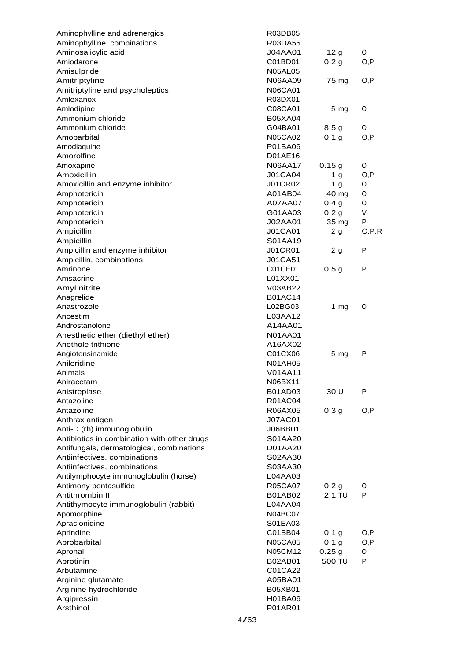| Aminophylline and adrenergics               | R03DB05        |                   |         |
|---------------------------------------------|----------------|-------------------|---------|
| Aminophylline, combinations                 | R03DA55        |                   |         |
| Aminosalicylic acid                         | <b>J04AA01</b> | 12 <sub>g</sub>   | 0       |
| Amiodarone                                  | C01BD01        | 0.2 <sub>g</sub>  | O, P    |
| Amisulpride                                 | <b>N05AL05</b> |                   |         |
| Amitriptyline                               | N06AA09        | 75 mg             | O, P    |
| Amitriptyline and psycholeptics             | <b>N06CA01</b> |                   |         |
| Amlexanox                                   | R03DX01        |                   |         |
| Amlodipine                                  | C08CA01        | 5 <sub>mg</sub>   | O       |
| Ammonium chloride                           | <b>B05XA04</b> |                   |         |
| Ammonium chloride                           | G04BA01        | 8.5 <sub>g</sub>  | O       |
| Amobarbital                                 | <b>N05CA02</b> | 0.1 <sub>g</sub>  | O, P    |
| Amodiaquine                                 | P01BA06        |                   |         |
| Amorolfine                                  | D01AE16        |                   |         |
| Amoxapine                                   | <b>N06AA17</b> | 0.15g             | 0       |
| Amoxicillin                                 | <b>J01CA04</b> | 1 <sub>g</sub>    | O, P    |
| Amoxicillin and enzyme inhibitor            | <b>J01CR02</b> | 1 <sub>g</sub>    | O       |
| Amphotericin                                | A01AB04        | 40 mg             | 0       |
| Amphotericin                                | A07AA07        | 0.4 <sub>g</sub>  | O       |
| Amphotericin                                | G01AA03        | 0.2 <sub>g</sub>  | V       |
| Amphotericin                                | J02AA01        | 35 mg             | P       |
| Ampicillin                                  | <b>J01CA01</b> | 2 <sub>g</sub>    | O, P, R |
| Ampicillin                                  | S01AA19        |                   |         |
| Ampicillin and enzyme inhibitor             | <b>J01CR01</b> | 2 <sub>g</sub>    | P       |
| Ampicillin, combinations                    | J01CA51        |                   |         |
| Amrinone                                    | C01CE01        | 0.5 <sub>g</sub>  | P       |
| Amsacrine                                   | L01XX01        |                   |         |
| Amyl nitrite                                | V03AB22        |                   |         |
| Anagrelide                                  | <b>B01AC14</b> |                   |         |
| Anastrozole                                 | L02BG03        | 1 $mg$            | O       |
| Ancestim                                    | L03AA12        |                   |         |
| Androstanolone                              | A14AA01        |                   |         |
| Anesthetic ether (diethyl ether)            | <b>N01AA01</b> |                   |         |
| Anethole trithione                          | A16AX02        |                   |         |
|                                             | C01CX06        |                   | P       |
| Angiotensinamide<br>Anileridine             | <b>N01AH05</b> | $5 \, mg$         |         |
| Animals                                     | V01AA11        |                   |         |
|                                             | N06BX11        |                   |         |
| Aniracetam                                  |                | 30 U              | P       |
| Anistreplase<br>Antazoline                  | B01AD03        |                   |         |
|                                             | <b>R01AC04</b> |                   |         |
| Antazoline                                  | R06AX05        | 0.3 <sub>g</sub>  | O, P    |
| Anthrax antigen                             | <b>J07AC01</b> |                   |         |
| Anti-D (rh) immunoglobulin                  | J06BB01        |                   |         |
| Antibiotics in combination with other drugs | S01AA20        |                   |         |
| Antifungals, dermatological, combinations   | D01AA20        |                   |         |
| Antiinfectives, combinations                | S02AA30        |                   |         |
| Antiinfectives, combinations                | S03AA30        |                   |         |
| Antilymphocyte immunoglobulin (horse)       | L04AA03        |                   |         |
| Antimony pentasulfide                       | <b>R05CA07</b> | 0.2 <sub>g</sub>  | O       |
| Antithrombin III                            | <b>B01AB02</b> | 2.1 TU            | P       |
| Antithymocyte immunoglobulin (rabbit)       | L04AA04        |                   |         |
| Apomorphine                                 | N04BC07        |                   |         |
| Apraclonidine                               | S01EA03        |                   |         |
| Aprindine                                   | C01BB04        | 0.1 g             | O, P    |
| Aprobarbital                                | <b>N05CA05</b> | 0.1 <sub>g</sub>  | O,P     |
| Apronal                                     | N05CM12        | 0.25 <sub>g</sub> | O       |
| Aprotinin                                   | <b>B02AB01</b> | 500 TU            | P       |
| Arbutamine                                  | C01CA22        |                   |         |
| Arginine glutamate                          | A05BA01        |                   |         |
| Arginine hydrochloride                      | <b>B05XB01</b> |                   |         |
| Argipressin                                 | H01BA06        |                   |         |
| Arsthinol                                   | P01AR01        |                   |         |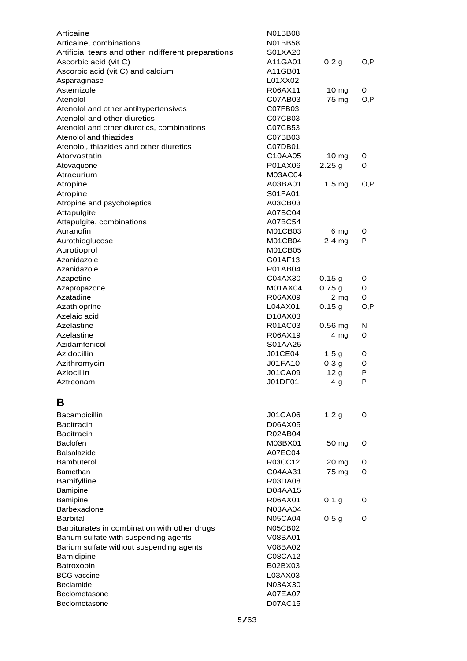| Articaine                                                            | N01BB08<br>N01BB58               |                           |        |
|----------------------------------------------------------------------|----------------------------------|---------------------------|--------|
| Articaine, combinations                                              | S01XA20                          |                           |        |
| Artificial tears and other indifferent preparations                  |                                  |                           |        |
| Ascorbic acid (vit C)                                                | A11GA01<br>A11GB01               | 0.2 <sub>g</sub>          | O, P   |
| Ascorbic acid (vit C) and calcium                                    | L01XX02                          |                           |        |
| Asparaginase<br>Astemizole                                           | R06AX11                          |                           | 0      |
| Atenolol                                                             | C07AB03                          | 10 <sub>mg</sub><br>75 mg | O, P   |
|                                                                      | C07FB03                          |                           |        |
| Atenolol and other antihypertensives<br>Atenolol and other diuretics | C07CB03                          |                           |        |
| Atenolol and other diuretics, combinations                           | C07CB53                          |                           |        |
| Atenolol and thiazides                                               | C07BB03                          |                           |        |
| Atenolol, thiazides and other diuretics                              | C07DB01                          |                           |        |
| Atorvastatin                                                         | C10AA05                          | $10 \text{ mg}$           | O      |
| Atovaquone                                                           | P01AX06                          | 2.25g                     | 0      |
| Atracurium                                                           | M03AC04                          |                           |        |
| Atropine                                                             | A03BA01                          | 1.5 <sub>mg</sub>         | O, P   |
| Atropine                                                             | S01FA01                          |                           |        |
| Atropine and psycholeptics                                           | A03CB03                          |                           |        |
| Attapulgite                                                          | A07BC04                          |                           |        |
| Attapulgite, combinations                                            | A07BC54                          |                           |        |
| Auranofin                                                            | M01CB03                          | 6 mg                      | O      |
|                                                                      | M01CB04                          | 2.4 <sub>mg</sub>         | P      |
| Aurothioglucose<br>Aurotioprol                                       | M01CB05                          |                           |        |
| Azanidazole                                                          | G01AF13                          |                           |        |
| Azanidazole                                                          | P01AB04                          |                           |        |
|                                                                      |                                  |                           |        |
| Azapetine                                                            | C04AX30<br>M01AX04               | 0.15g                     | 0<br>0 |
| Azapropazone<br>Azatadine                                            | R06AX09                          | 0.75g                     | 0      |
| Azathioprine                                                         | L04AX01                          | $2 \, mg$<br>0.15g        | O, P   |
| Azelaic acid                                                         | D <sub>10</sub> AX <sub>03</sub> |                           |        |
| Azelastine                                                           | R01AC03                          |                           | N      |
| Azelastine                                                           | R06AX19                          | $0.56$ mg                 | 0      |
| Azidamfenicol                                                        | S01AA25                          | 4 mg                      |        |
| Azidocillin                                                          | J01CE04                          | 1.5 <sub>g</sub>          | 0      |
| Azithromycin                                                         | <b>J01FA10</b>                   | 0.3 <sub>g</sub>          | 0      |
| Azlocillin                                                           | <b>J01CA09</b>                   | 12 <sub>g</sub>           | P      |
| Aztreonam                                                            | J01DF01                          | 4 <sub>g</sub>            | P      |
|                                                                      |                                  |                           |        |
| в                                                                    |                                  |                           |        |
| Bacampicillin                                                        | <b>J01CA06</b>                   | 1.2 <sub>g</sub>          | 0      |
| <b>Bacitracin</b>                                                    | D06AX05                          |                           |        |
| <b>Bacitracin</b>                                                    | <b>R02AB04</b>                   |                           |        |
| <b>Baclofen</b>                                                      | M03BX01                          | 50 mg                     | 0      |
| Balsalazide                                                          | A07EC04                          |                           |        |
| Bambuterol                                                           | R03CC12                          | 20 mg                     | O      |
| Bamethan                                                             | C04AA31                          | 75 mg                     | 0      |
| Bamifylline                                                          | R03DA08                          |                           |        |
| Bamipine                                                             | D04AA15                          |                           |        |
| Bamipine                                                             | R06AX01                          | 0.1 <sub>g</sub>          | 0      |
| Barbexaclone                                                         | <b>N03AA04</b>                   |                           |        |
| <b>Barbital</b>                                                      | <b>N05CA04</b>                   | 0.5 <sub>g</sub>          | 0      |
| Barbiturates in combination with other drugs                         | <b>N05CB02</b>                   |                           |        |
| Barium sulfate with suspending agents                                | V08BA01                          |                           |        |
| Barium sulfate without suspending agents                             | V08BA02                          |                           |        |
| Barnidipine                                                          | C08CA12                          |                           |        |
| Batroxobin                                                           | B02BX03                          |                           |        |
| <b>BCG</b> vaccine                                                   | L03AX03                          |                           |        |
| Beclamide                                                            | N03AX30                          |                           |        |
| Beclometasone                                                        | A07EA07                          |                           |        |
| Beclometasone                                                        | D07AC15                          |                           |        |
|                                                                      |                                  |                           |        |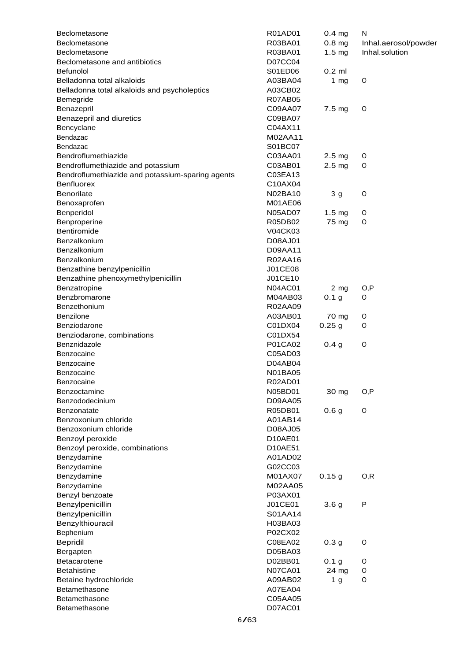| Beclometasone                                    | R01AD01        | $0.4$ mg          | N                    |
|--------------------------------------------------|----------------|-------------------|----------------------|
| Beclometasone                                    | R03BA01        | 0.8 <sub>mg</sub> | Inhal.aerosol/powder |
| Beclometasone                                    | R03BA01        | 1.5 <sub>mg</sub> | Inhal.solution       |
| Beclometasone and antibiotics                    | D07CC04        |                   |                      |
| <b>Befunolol</b>                                 | S01ED06        | $0.2$ ml          |                      |
| Belladonna total alkaloids                       | A03BA04        | 1 $mg$            | O                    |
| Belladonna total alkaloids and psycholeptics     | A03CB02        |                   |                      |
| Bemegride                                        | <b>R07AB05</b> |                   |                      |
| Benazepril                                       | C09AA07        | 7.5 mg            | O                    |
| Benazepril and diuretics                         | C09BA07        |                   |                      |
| Bencyclane                                       | C04AX11        |                   |                      |
| Bendazac                                         | M02AA11        |                   |                      |
| Bendazac                                         | S01BC07        |                   |                      |
| Bendroflumethiazide                              | C03AA01        | 2.5 <sub>mg</sub> | 0                    |
| Bendroflumethiazide and potassium                | C03AB01        | 2.5 <sub>mg</sub> | O                    |
|                                                  |                |                   |                      |
| Bendroflumethiazide and potassium-sparing agents | C03EA13        |                   |                      |
| <b>Benfluorex</b>                                | C10AX04        |                   |                      |
| Benorilate                                       | N02BA10        | 3 <sub>g</sub>    | $\circ$              |
| Benoxaprofen                                     | M01AE06        |                   |                      |
| Benperidol                                       | <b>N05AD07</b> | 1.5 <sub>mg</sub> | O                    |
| Benproperine                                     | R05DB02        | 75 mg             | O                    |
| Bentiromide                                      | V04CK03        |                   |                      |
| Benzalkonium                                     | D08AJ01        |                   |                      |
| Benzalkonium                                     | D09AA11        |                   |                      |
| Benzalkonium                                     | R02AA16        |                   |                      |
| Benzathine benzylpenicillin                      | <b>J01CE08</b> |                   |                      |
| Benzathine phenoxymethylpenicillin               | J01CE10        |                   |                      |
| Benzatropine                                     | N04AC01        | $2 \, mg$         | O,P                  |
| Benzbromarone                                    | M04AB03        | 0.1 <sub>g</sub>  | O                    |
| Benzethonium                                     | R02AA09        |                   |                      |
| Benzilone                                        | A03AB01        | 70 mg             | 0                    |
| Benziodarone                                     | C01DX04        | 0.25 <sub>g</sub> | O                    |
| Benziodarone, combinations                       | C01DX54        |                   |                      |
| Benznidazole                                     | P01CA02        | 0.4 <sub>g</sub>  | $\circ$              |
| Benzocaine                                       | C05AD03        |                   |                      |
| Benzocaine                                       | D04AB04        |                   |                      |
| Benzocaine                                       | <b>N01BA05</b> |                   |                      |
| Benzocaine                                       | R02AD01        |                   |                      |
| Benzoctamine                                     | N05BD01        | 30 mg             | O, P                 |
| Benzododecinium                                  | D09AA05        |                   |                      |
| Benzonatate                                      | R05DB01        | 0.6 <sub>g</sub>  | 0                    |
| Benzoxonium chloride                             | A01AB14        |                   |                      |
|                                                  |                |                   |                      |
| Benzoxonium chloride                             | D08AJ05        |                   |                      |
| Benzoyl peroxide                                 | D10AE01        |                   |                      |
| Benzoyl peroxide, combinations                   | D10AE51        |                   |                      |
| Benzydamine                                      | A01AD02        |                   |                      |
| Benzydamine                                      | G02CC03        |                   |                      |
| Benzydamine                                      | M01AX07        | 0.15g             | O, R                 |
| Benzydamine                                      | M02AA05        |                   |                      |
| Benzyl benzoate                                  | P03AX01        |                   |                      |
| Benzylpenicillin                                 | J01CE01        | 3.6 <sub>g</sub>  | ${\sf P}$            |
| Benzylpenicillin                                 | S01AA14        |                   |                      |
| Benzylthiouracil                                 | H03BA03        |                   |                      |
| Bephenium                                        | P02CX02        |                   |                      |
| <b>Bepridil</b>                                  | C08EA02        | 0.3 <sub>g</sub>  | $\mathsf O$          |
| Bergapten                                        | D05BA03        |                   |                      |
| Betacarotene                                     | D02BB01        | 0.1 <sub>g</sub>  | 0                    |
| <b>Betahistine</b>                               | <b>N07CA01</b> | 24 mg             | 0                    |
| Betaine hydrochloride                            | A09AB02        | 1 <sub>g</sub>    | O                    |
| Betamethasone                                    | A07EA04        |                   |                      |
| Betamethasone                                    | C05AA05        |                   |                      |
| Betamethasone                                    | D07AC01        |                   |                      |
| 6/63                                             |                |                   |                      |
|                                                  |                |                   |                      |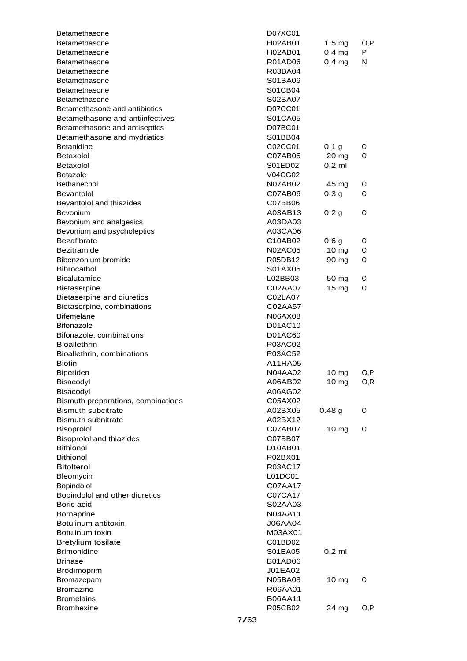| Betamethasone                                   |      | D07XC01            |                   |     |
|-------------------------------------------------|------|--------------------|-------------------|-----|
| Betamethasone                                   |      | H02AB01            | $1.5 \text{ mg}$  | O,P |
| Betamethasone                                   |      | H02AB01            | $0.4$ mg          | P   |
| Betamethasone                                   |      | R01AD06            | $0.4$ mg          | N   |
| Betamethasone                                   |      | R03BA04            |                   |     |
| Betamethasone                                   |      | S01BA06            |                   |     |
| Betamethasone                                   |      | S01CB04            |                   |     |
| Betamethasone                                   |      | S02BA07            |                   |     |
| Betamethasone and antibiotics                   |      | D07CC01            |                   |     |
| Betamethasone and antiinfectives                |      | S01CA05            |                   |     |
| Betamethasone and antiseptics                   |      | D07BC01            |                   |     |
| Betamethasone and mydriatics                    |      | S01BB04            |                   |     |
| <b>Betanidine</b>                               |      | C02CC01            | 0.1 <sub>g</sub>  | O   |
| Betaxolol                                       |      | C07AB05            | $20 \text{ mg}$   | O   |
| Betaxolol                                       |      | S01ED02            | $0.2$ ml          |     |
| <b>Betazole</b>                                 |      | V04CG02            |                   |     |
| Bethanechol                                     |      | N07AB02            | 45 mg             | O   |
| <b>Bevantolol</b>                               |      | C07AB06            | 0.3 <sub>g</sub>  | O   |
| Bevantolol and thiazides                        |      | C07BB06            |                   |     |
| <b>Bevonium</b>                                 |      | A03AB13            | 0.2 <sub>g</sub>  | O   |
| Bevonium and analgesics                         |      | A03DA03            |                   |     |
| Bevonium and psycholeptics                      |      | A03CA06            |                   |     |
| <b>Bezafibrate</b>                              |      | C10AB02            | 0.6 <sub>g</sub>  | O   |
| <b>Bezitramide</b>                              |      | <b>N02AC05</b>     | $10 \text{ mg}$   | O   |
| Bibenzonium bromide                             |      | R05DB12            | 90 mg             | O   |
| <b>Bibrocathol</b>                              |      | S01AX05            |                   |     |
| <b>Bicalutamide</b>                             |      | L02BB03            | 50 mg             | O   |
| <b>Bietaserpine</b>                             |      | C02AA07            | $15 \text{ mg}$   | O   |
| Bietaserpine and diuretics                      |      | C02LA07            |                   |     |
| Bietaserpine, combinations                      |      | C02AA57            |                   |     |
| <b>Bifemelane</b>                               |      | N06AX08            |                   |     |
| <b>Bifonazole</b>                               |      | D01AC10            |                   |     |
| Bifonazole, combinations                        |      | <b>D01AC60</b>     |                   |     |
| <b>Bioallethrin</b>                             |      | P03AC02            |                   |     |
| Bioallethrin, combinations                      |      | P03AC52            |                   |     |
| <b>Biotin</b>                                   |      | A11HA05            |                   |     |
| <b>Biperiden</b>                                |      | N04AA02            | 10 mg             | O,P |
| Bisacodyl                                       |      | A06AB02            | 10 mg             | O,R |
| Bisacodyl                                       |      | A06AG02            |                   |     |
| Bismuth preparations, combinations              |      | C05AX02            |                   |     |
| <b>Bismuth subcitrate</b>                       |      | A02BX05            | 0.48 <sub>g</sub> | O   |
| <b>Bismuth subnitrate</b>                       |      | A02BX12            |                   |     |
| Bisoprolol                                      |      | C07AB07            | 10 mg             | O   |
| <b>Bisoprolol and thiazides</b>                 |      | C07BB07            |                   |     |
| <b>Bithionol</b>                                |      | D10AB01            |                   |     |
| <b>Bithionol</b>                                |      | P02BX01            |                   |     |
| <b>Bitolterol</b>                               |      | R03AC17            |                   |     |
| Bleomycin                                       |      | L01DC01            |                   |     |
| Bopindolol                                      |      | C07AA17            |                   |     |
| Bopindolol and other diuretics                  |      | C07CA17            |                   |     |
| Boric acid                                      |      | S02AA03            |                   |     |
|                                                 |      | <b>N04AA11</b>     |                   |     |
| Bornaprine<br>Botulinum antitoxin               |      | <b>J06AA04</b>     |                   |     |
| Botulinum toxin                                 |      | M03AX01            |                   |     |
|                                                 |      |                    |                   |     |
| <b>Bretylium tosilate</b><br><b>Brimonidine</b> |      | C01BD02<br>S01EA05 | $0.2$ ml          |     |
|                                                 |      |                    |                   |     |
| <b>Brinase</b>                                  |      | <b>B01AD06</b>     |                   |     |
| Brodimoprim                                     |      | J01EA02            |                   |     |
| Bromazepam                                      |      | <b>N05BA08</b>     | 10 mg             | O   |
| <b>Bromazine</b>                                |      | R06AA01            |                   |     |
| <b>Bromelains</b>                               |      | <b>B06AA11</b>     |                   |     |
| <b>Bromhexine</b>                               |      | R05CB02            | 24 mg             | O,P |
|                                                 | 7/63 |                    |                   |     |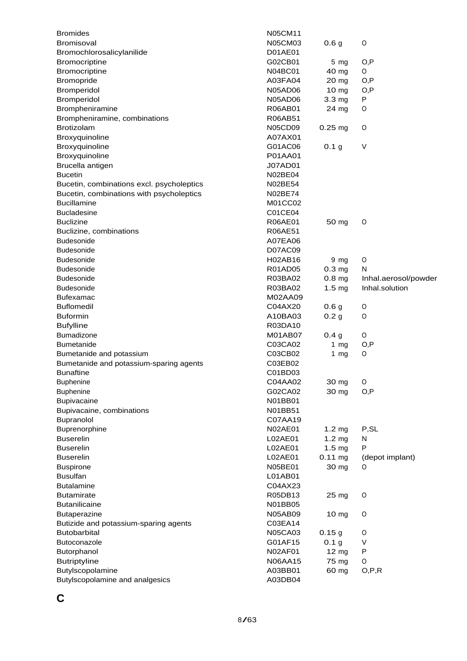| <b>Bromides</b>                           | <b>N05CM11</b> |                   |                      |
|-------------------------------------------|----------------|-------------------|----------------------|
| Bromisoval                                | N05CM03        | 0.6 <sub>g</sub>  | 0                    |
| Bromochlorosalicylanilide                 | D01AE01        |                   |                      |
| Bromocriptine                             | G02CB01        | $5 \, mg$         | O, P                 |
| Bromocriptine                             | N04BC01        | 40 mg             | 0                    |
| Bromopride                                | A03FA04        | 20 mg             | O, P                 |
| Bromperidol                               | <b>N05AD06</b> | $10 \text{ mg}$   | O, P                 |
| Bromperidol                               | N05AD06        | 3.3 mg            | P                    |
| Brompheniramine                           | R06AB01        | 24 mg             | O                    |
| Brompheniramine, combinations             | <b>R06AB51</b> |                   |                      |
| Brotizolam                                | <b>N05CD09</b> | $0.25$ mg         | O                    |
| Broxyquinoline                            | A07AX01        |                   |                      |
| Broxyquinoline                            | G01AC06        | 0.1 <sub>g</sub>  | V                    |
| Broxyquinoline                            | P01AA01        |                   |                      |
| Brucella antigen                          | <b>J07AD01</b> |                   |                      |
| <b>Bucetin</b>                            | N02BE04        |                   |                      |
| Bucetin, combinations excl. psycholeptics | <b>N02BE54</b> |                   |                      |
| Bucetin, combinations with psycholeptics  | <b>N02BE74</b> |                   |                      |
| <b>Bucillamine</b>                        | M01CC02        |                   |                      |
| <b>Bucladesine</b>                        | C01CE04        |                   |                      |
| <b>Buclizine</b>                          | R06AE01        | 50 mg             | O                    |
| Buclizine, combinations                   | <b>R06AE51</b> |                   |                      |
| <b>Budesonide</b>                         | A07EA06        |                   |                      |
| <b>Budesonide</b>                         | D07AC09        |                   |                      |
| <b>Budesonide</b>                         | H02AB16        | $9 \, mg$         | O                    |
| <b>Budesonide</b>                         | R01AD05        | 0.3 <sub>mg</sub> | N                    |
| <b>Budesonide</b>                         | R03BA02        | $0.8$ mg          | Inhal.aerosol/powder |
| <b>Budesonide</b>                         | R03BA02        | 1.5 <sub>mg</sub> | Inhal.solution       |
| <b>Bufexamac</b>                          | M02AA09        |                   |                      |
| <b>Buflomedil</b>                         | C04AX20        | 0.6 <sub>g</sub>  | O                    |
| <b>Buformin</b>                           | A10BA03        | 0.2 <sub>g</sub>  | O                    |
| <b>Bufylline</b>                          | R03DA10        |                   |                      |
| <b>Bumadizone</b>                         | <b>M01AB07</b> | 0.4 <sub>g</sub>  | O                    |
| <b>Bumetanide</b>                         | C03CA02        | 1 $mg$            | O, P                 |
| Bumetanide and potassium                  | C03CB02        | 1 $mg$            | 0                    |
| Bumetanide and potassium-sparing agents   | C03EB02        |                   |                      |
| <b>Bunaftine</b>                          | C01BD03        |                   |                      |
| <b>Buphenine</b>                          | C04AA02        | 30 mg             | 0                    |
| <b>Buphenine</b>                          | G02CA02        | 30 mg             | O, P                 |
| Bupivacaine                               | N01BB01        |                   |                      |
| Bupivacaine, combinations                 | N01BB51        |                   |                      |
|                                           | C07AA19        |                   |                      |
| Bupranolol                                | <b>N02AE01</b> |                   | P, SL                |
| Buprenorphine                             |                | 1.2 <sub>mg</sub> |                      |
| <b>Buserelin</b>                          | L02AE01        | 1.2 <sub>mg</sub> | N<br>P               |
| <b>Buserelin</b>                          | L02AE01        | $1.5 \text{ mg}$  |                      |
| <b>Buserelin</b>                          | L02AE01        | $0.11$ mg         | (depot implant)      |
| <b>Buspirone</b>                          | N05BE01        | 30 mg             | O                    |
| <b>Busulfan</b>                           | L01AB01        |                   |                      |
| <b>Butalamine</b>                         | C04AX23        |                   |                      |
| <b>Butamirate</b>                         | R05DB13        | 25 mg             | O                    |
| <b>Butanilicaine</b>                      | N01BB05        |                   |                      |
| Butaperazine                              | <b>N05AB09</b> | 10 mg             | O                    |
| Butizide and potassium-sparing agents     | C03EA14        |                   |                      |
| <b>Butobarbital</b>                       | <b>N05CA03</b> | 0.15g             | 0                    |
| Butoconazole                              | G01AF15        | 0.1 g             | V                    |
| Butorphanol                               | N02AF01        | 12 mg             | P                    |
| <b>Butriptyline</b>                       | N06AA15        | 75 mg             | O                    |
| Butylscopolamine                          | A03BB01        | 60 mg             | O, P, R              |
| Butylscopolamine and analgesics           | A03DB04        |                   |                      |

**C**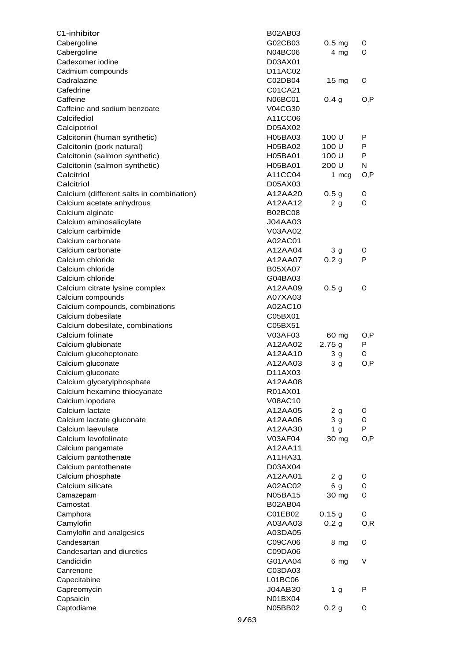| C1-inhibitor                             |      | <b>B02AB03</b>     |                   |      |
|------------------------------------------|------|--------------------|-------------------|------|
| Cabergoline                              |      | G02CB03            | 0.5 <sub>mg</sub> | 0    |
| Cabergoline                              |      | N04BC06            | $4$ mg            | 0    |
| Cadexomer iodine                         |      | D03AX01            |                   |      |
| Cadmium compounds                        |      | D11AC02            |                   |      |
| Cadralazine                              |      | C02DB04            | $15 \text{ mg}$   | 0    |
| Cafedrine                                |      | C01CA21            |                   |      |
| Caffeine                                 |      | N06BC01            | 0.4 g             | O,P  |
| Caffeine and sodium benzoate             |      | V04CG30            |                   |      |
| Calcifediol                              |      | A11CC06            |                   |      |
| Calcipotriol                             |      | D05AX02            |                   |      |
| Calcitonin (human synthetic)             |      | H05BA03            | 100 U             | P    |
| Calcitonin (pork natural)                |      | H05BA02            | 100 U             | P    |
| Calcitonin (salmon synthetic)            |      | H05BA01            | 100 U             | P    |
| Calcitonin (salmon synthetic)            |      | H05BA01            | 200 U             | N    |
| Calcitriol                               |      | A11CC04            | 1 mcg             | O,P  |
| Calcitriol                               |      | D05AX03            |                   |      |
| Calcium (different salts in combination) |      | A12AA20            | 0.5 <sub>g</sub>  | 0    |
| Calcium acetate anhydrous                |      | A12AA12            | 2 <sub>g</sub>    | 0    |
| Calcium alginate                         |      | <b>B02BC08</b>     |                   |      |
| Calcium aminosalicylate                  |      | J04AA03            |                   |      |
| Calcium carbimide                        |      | V03AA02            |                   |      |
| Calcium carbonate                        |      | A02AC01            |                   |      |
| Calcium carbonate                        |      | A12AA04            | 3 <sub>g</sub>    | 0    |
| Calcium chloride                         |      | A12AA07            | 0.2 <sub>g</sub>  | P    |
| Calcium chloride                         |      | <b>B05XA07</b>     |                   |      |
| Calcium chloride                         |      | G04BA03            |                   |      |
| Calcium citrate lysine complex           |      | A12AA09            | 0.5 <sub>g</sub>  | 0    |
| Calcium compounds                        |      | A07XA03            |                   |      |
| Calcium compounds, combinations          |      | A02AC10            |                   |      |
| Calcium dobesilate                       |      | C05BX01            |                   |      |
| Calcium dobesilate, combinations         |      |                    |                   |      |
|                                          |      |                    |                   |      |
| Calcium folinate                         |      | C05BX51            |                   |      |
|                                          |      | V03AF03            | 60 mg             | O,P  |
| Calcium glubionate                       |      | A12AA02            | 2.75g             | P    |
| Calcium glucoheptonate                   |      | A12AA10<br>A12AA03 | 3 <sub>g</sub>    | 0    |
| Calcium gluconate                        |      | D11AX03            | 3 <sub>g</sub>    | O,P  |
| Calcium gluconate                        |      |                    |                   |      |
| Calcium glycerylphosphate                |      | A12AA08            |                   |      |
| Calcium hexamine thiocyanate             |      | R01AX01            |                   |      |
| Calcium iopodate                         |      | <b>V08AC10</b>     |                   |      |
| Calcium lactate                          |      | A12AA05            | 2 <sub>g</sub>    | 0    |
| Calcium lactate gluconate                |      | A12AA06            | 3 <sub>g</sub>    | O    |
| Calcium laevulate                        |      | A12AA30            | 1 <sub>g</sub>    | P    |
| Calcium levofolinate                     |      | V03AF04            | 30 mg             | O, P |
| Calcium pangamate                        |      | A12AA11            |                   |      |
| Calcium pantothenate                     |      | A11HA31            |                   |      |
| Calcium pantothenate                     |      | D03AX04            |                   |      |
| Calcium phosphate                        |      | A12AA01            | 2 <sub>g</sub>    | 0    |
| Calcium silicate                         |      | A02AC02            | 6 <sub>g</sub>    | O    |
| Camazepam                                |      | N05BA15            | 30 mg             | O    |
| Camostat                                 |      | B02AB04            |                   |      |
| Camphora                                 |      | C01EB02            | 0.15g             | 0    |
| Camylofin                                |      | A03AA03            | 0.2 <sub>g</sub>  | O, R |
| Camylofin and analgesics                 |      | A03DA05            |                   |      |
| Candesartan                              |      | C09CA06            | 8 mg              | O    |
| Candesartan and diuretics                |      | C09DA06            |                   |      |
| Candicidin                               |      | G01AA04            | 6 mg              | V    |
| Canrenone                                |      | C03DA03            |                   |      |
| Capecitabine                             |      | L01BC06            |                   |      |
| Capreomycin                              |      | J04AB30            | 1 <sub>g</sub>    | P    |
| Capsaicin                                |      | N01BX04            |                   |      |
| Captodiame                               | 9/63 | N05BB02            | 0.2 <sub>g</sub>  | O    |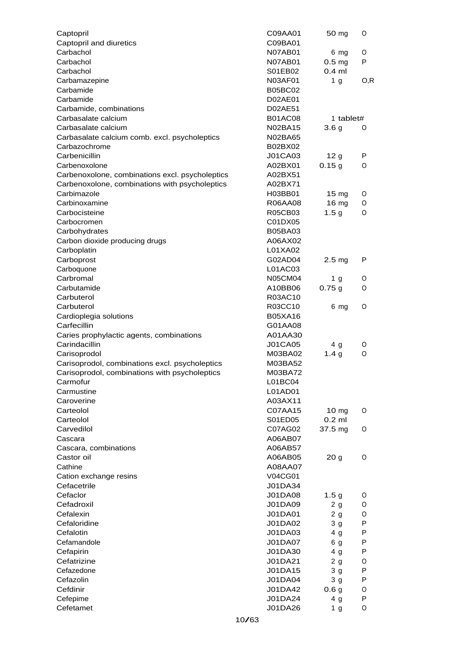| Captopril                                       | C09AA01        | 50 mg             | 0    |
|-------------------------------------------------|----------------|-------------------|------|
| Captopril and diuretics                         | C09BA01        |                   |      |
| Carbachol                                       | N07AB01        | 6 mg              | O    |
| Carbachol                                       | <b>N07AB01</b> | 0.5 <sub>mg</sub> | P    |
| Carbachol                                       | S01EB02        | $0.4$ ml          |      |
| Carbamazepine                                   | <b>N03AF01</b> | 1 <sub>g</sub>    | O, R |
| Carbamide                                       | <b>B05BC02</b> |                   |      |
| Carbamide                                       | D02AE01        |                   |      |
| Carbamide, combinations                         | D02AE51        |                   |      |
| Carbasalate calcium                             | <b>B01AC08</b> | 1 tablet#         |      |
| Carbasalate calcium                             | N02BA15        | 3.6 <sub>g</sub>  | O    |
| Carbasalate calcium comb. excl. psycholeptics   | N02BA65        |                   |      |
| Carbazochrome                                   | B02BX02        |                   |      |
| Carbenicillin                                   | <b>J01CA03</b> | 12g               | P    |
| Carbenoxolone                                   | A02BX01        | 0.15g             | O    |
| Carbenoxolone, combinations excl. psycholeptics | A02BX51        |                   |      |
| Carbenoxolone, combinations with psycholeptics  | A02BX71        |                   |      |
| Carbimazole                                     | H03BB01        | $15 \text{ mg}$   | O    |
| Carbinoxamine                                   | R06AA08        | 16 mg             | 0    |
| Carbocisteine                                   | R05CB03        | 1.5 <sub>g</sub>  | O    |
| Carbocromen                                     | C01DX05        |                   |      |
| Carbohydrates                                   | B05BA03        |                   |      |
| Carbon dioxide producing drugs                  | A06AX02        |                   |      |
| Carboplatin                                     | L01XA02        |                   |      |
| Carboprost                                      | G02AD04        | 2.5 <sub>mg</sub> | P    |
| Carboquone                                      | L01AC03        |                   |      |
| Carbromal                                       | <b>N05CM04</b> | 1 <sub>g</sub>    | O    |
| Carbutamide                                     | A10BB06        | 0.75g             | O    |
| Carbuterol                                      | R03AC10        |                   |      |
| Carbuterol                                      | R03CC10        | 6 mg              | 0    |
| Cardioplegia solutions                          | <b>B05XA16</b> |                   |      |
| Carfecillin                                     | G01AA08        |                   |      |
| Caries prophylactic agents, combinations        | A01AA30        |                   |      |
| Carindacillin                                   | <b>J01CA05</b> | 4 g               | O    |
| Carisoprodol                                    | M03BA02        | 1.4 <sub>g</sub>  | 0    |
| Carisoprodol, combinations excl. psycholeptics  | M03BA52        |                   |      |
| Carisoprodol, combinations with psycholeptics   | M03BA72        |                   |      |
| Carmotur                                        | L01BC04        |                   |      |
| Carmustine                                      | L01AD01        |                   |      |
| Caroverine                                      | A03AX11        |                   |      |
| Carteolol                                       | C07AA15        | 10 mg             | O    |
| Carteolol                                       | S01ED05        | $0.2$ ml          |      |
| Carvedilol                                      | C07AG02        | 37.5 mg           | O    |
| Cascara                                         | A06AB07        |                   |      |
| Cascara, combinations                           | A06AB57        |                   |      |
| Castor oil                                      | A06AB05        | 20 <sub>g</sub>   | O    |
| Cathine                                         | A08AA07        |                   |      |
| Cation exchange resins                          | V04CG01        |                   |      |
| Cefacetrile                                     | J01DA34        |                   |      |
| Cefaclor                                        | <b>J01DA08</b> | 1.5 <sub>g</sub>  | O    |
| Cefadroxil                                      | <b>J01DA09</b> | 2 g               | 0    |
| Cefalexin                                       | J01DA01        | 2g                | O    |
| Cefaloridine                                    | J01DA02        | 3 <sub>g</sub>    | P    |
| Cefalotin                                       | J01DA03        | 4 <sub>g</sub>    | P    |
| Cefamandole                                     | <b>J01DA07</b> | 6 g               | P    |
| Cefapirin                                       | J01DA30        | 4 <sub>g</sub>    | P    |
| Cefatrizine                                     | J01DA21        | 2g                | O    |
| Cefazedone                                      | J01DA15        | 3 <sub>g</sub>    | P    |
| Cefazolin                                       | J01DA04        | 3 <sub>g</sub>    | P    |
| Cefdinir                                        | J01DA42        | 0.6 <sub>g</sub>  | O    |
| Cefepime                                        | J01DA24        | 4 g               | P    |
| Cefetamet                                       | J01DA26        | 1 <sub>g</sub>    | O    |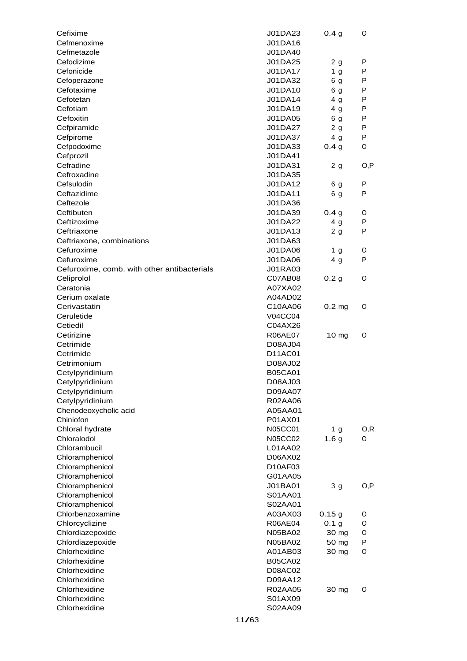| Cefixime                                    | J01DA23        | 0.4 <sub>g</sub>  | O            |
|---------------------------------------------|----------------|-------------------|--------------|
| Cefmenoxime                                 | J01DA16        |                   |              |
| Cefmetazole                                 | J01DA40        |                   |              |
| Cefodizime                                  | J01DA25        | 2 <sub>g</sub>    | P            |
| Cefonicide                                  | J01DA17        | 1 <sub>g</sub>    | $\mathsf{P}$ |
| Cefoperazone                                | J01DA32        | 6 g               | $\mathsf{P}$ |
| Cefotaxime                                  | J01DA10        | 6 g               | $\mathsf{P}$ |
| Cefotetan                                   | J01DA14        | 4 <sub>g</sub>    | $\mathsf{P}$ |
| Cefotiam                                    | J01DA19        | 4 <sub>q</sub>    | $\mathsf{P}$ |
| Cefoxitin                                   | <b>J01DA05</b> | 6 g               | $\mathsf{P}$ |
| Cefpiramide                                 | J01DA27        | 2 <sub>g</sub>    | $\mathsf{P}$ |
| Cefpirome                                   | J01DA37        | 4 <sub>g</sub>    | $\mathsf{P}$ |
| Cefpodoxime                                 | J01DA33        | 0.4 <sub>g</sub>  | O            |
| Cefprozil                                   | J01DA41        |                   |              |
| Cefradine                                   | J01DA31        | 2 <sub>g</sub>    | O, P         |
| Cefroxadine                                 | J01DA35        |                   |              |
| Cefsulodin                                  | J01DA12        | 6 g               | P            |
| Ceftazidime                                 | J01DA11        | 6 g               | P            |
| Ceftezole                                   | J01DA36        |                   |              |
| Ceftibuten                                  | J01DA39        | 0.4 g             | O            |
| Ceftizoxime                                 | J01DA22        | 4 <sub>g</sub>    | P            |
| Ceftriaxone                                 | J01DA13        | 2 <sub>g</sub>    | P            |
| Ceftriaxone, combinations                   | J01DA63        |                   |              |
| Cefuroxime                                  | J01DA06        | 1 g               | O            |
| Cefuroxime                                  | <b>J01DA06</b> | 4 <sub>g</sub>    | P            |
| Cefuroxime, comb. with other antibacterials | <b>J01RA03</b> |                   |              |
| Celiprolol                                  | C07AB08        | 0.2 <sub>g</sub>  | O            |
| Ceratonia                                   | A07XA02        |                   |              |
| Cerium oxalate                              | A04AD02        |                   |              |
| Cerivastatin                                | C10AA06        | 0.2 <sub>mg</sub> | O            |
| Ceruletide                                  | <b>V04CC04</b> |                   |              |
| Cetiedil                                    | C04AX26        |                   |              |
| Cetirizine                                  | <b>R06AE07</b> | 10 <sub>mg</sub>  | O            |
| Cetrimide                                   | D08AJ04        |                   |              |
| Cetrimide                                   | D11AC01        |                   |              |
| Cetrimonium                                 | D08AJ02        |                   |              |
| Cetylpyridinium                             | <b>B05CA01</b> |                   |              |
| Cetylpyridinium                             | D08AJ03        |                   |              |
| Cetylpyridinium                             | D09AA07        |                   |              |
| Cetylpyridinium                             | R02AA06        |                   |              |
| Chenodeoxycholic acid                       | A05AA01        |                   |              |
| Chiniofon                                   | P01AX01        |                   |              |
| Chloral hydrate                             | N05CC01        | 1 <sub>g</sub>    | O, R         |
| Chloralodol                                 | <b>N05CC02</b> | 1.6 <sub>g</sub>  | O            |
| Chlorambucil                                | L01AA02        |                   |              |
| Chloramphenicol                             | D06AX02        |                   |              |
| Chloramphenicol                             | D10AF03        |                   |              |
| Chloramphenicol                             | G01AA05        |                   |              |
| Chloramphenicol                             | J01BA01        | 3 <sub>g</sub>    | O, P         |
| Chloramphenicol                             | S01AA01        |                   |              |
| Chloramphenicol                             | S02AA01        |                   |              |
| Chlorbenzoxamine                            | A03AX03        | 0.15g             | O            |
| Chlorcyclizine                              | <b>R06AE04</b> | 0.1 <sub>g</sub>  | 0            |
| Chlordiazepoxide                            | N05BA02        | 30 mg             | O            |
| Chlordiazepoxide                            | N05BA02        | 50 mg             | P            |
| Chlorhexidine                               | A01AB03        | 30 mg             | $\circ$      |
| Chlorhexidine                               | <b>B05CA02</b> |                   |              |
| Chlorhexidine                               | D08AC02        |                   |              |
| Chlorhexidine                               | D09AA12        |                   |              |
| Chlorhexidine                               | R02AA05        | 30 mg             | O            |
| Chlorhexidine                               | S01AX09        |                   |              |
| Chlorhexidine                               | S02AA09        |                   |              |
|                                             |                |                   |              |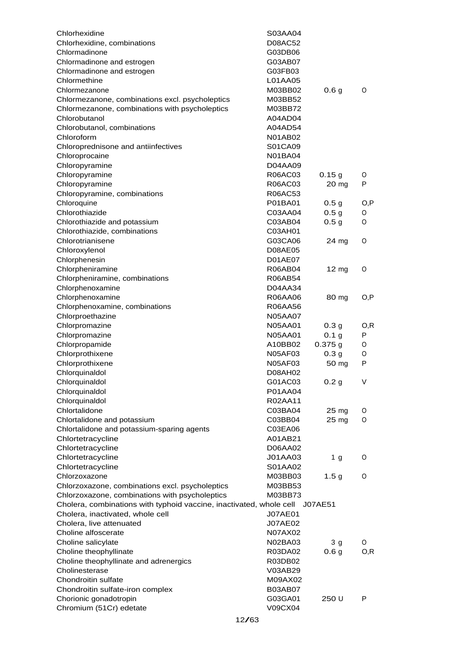| Chlorhexidine                                                       | S03AA04        |                  |      |
|---------------------------------------------------------------------|----------------|------------------|------|
| Chlorhexidine, combinations                                         | <b>D08AC52</b> |                  |      |
| Chlormadinone                                                       | G03DB06        |                  |      |
| Chlormadinone and estrogen                                          | G03AB07        |                  |      |
| Chlormadinone and estrogen                                          | G03FB03        |                  |      |
| Chlormethine                                                        | L01AA05        |                  |      |
| Chlormezanone                                                       | M03BB02        | 0.6 <sub>g</sub> | 0    |
| Chlormezanone, combinations excl. psycholeptics                     | M03BB52        |                  |      |
| Chlormezanone, combinations with psycholeptics                      | M03BB72        |                  |      |
| Chlorobutanol                                                       | A04AD04        |                  |      |
| Chlorobutanol, combinations                                         | A04AD54        |                  |      |
| Chloroform                                                          | N01AB02        |                  |      |
| Chloroprednisone and antiinfectives                                 | S01CA09        |                  |      |
| Chloroprocaine                                                      | <b>N01BA04</b> |                  |      |
| Chloropyramine                                                      | D04AA09        |                  |      |
| Chloropyramine                                                      | R06AC03        | 0.15g            | O    |
| Chloropyramine                                                      | R06AC03        | 20 mg            | P    |
| Chloropyramine, combinations                                        | R06AC53        |                  |      |
| Chloroquine                                                         | P01BA01        | 0.5 <sub>g</sub> | O, P |
| Chlorothiazide                                                      | C03AA04        | 0.5 <sub>g</sub> | 0    |
| Chlorothiazide and potassium                                        | C03AB04        | 0.5 <sub>g</sub> | O    |
| Chlorothiazide, combinations                                        | C03AH01        |                  |      |
| Chlorotrianisene                                                    | G03CA06        | 24 mg            | 0    |
| Chloroxylenol                                                       | <b>D08AE05</b> |                  |      |
| Chlorphenesin                                                       | D01AE07        |                  |      |
| Chlorpheniramine                                                    | R06AB04        | $12 \text{ mg}$  | O    |
| Chlorpheniramine, combinations                                      | R06AB54        |                  |      |
| Chlorphenoxamine                                                    | D04AA34        |                  |      |
| Chlorphenoxamine                                                    | R06AA06        | 80 mg            | O, P |
| Chlorphenoxamine, combinations                                      | R06AA56        |                  |      |
| Chlorproethazine                                                    | <b>N05AA07</b> |                  |      |
| Chlorpromazine                                                      | <b>N05AA01</b> | 0.3 <sub>q</sub> | O, R |
| Chlorpromazine                                                      | <b>N05AA01</b> | 0.1 <sub>g</sub> | P    |
| Chlorpropamide                                                      | A10BB02        | 0.375g           | 0    |
| Chlorprothixene                                                     | <b>N05AF03</b> | 0.3 <sub>g</sub> | 0    |
| Chlorprothixene                                                     | <b>N05AF03</b> | 50 mg            | P    |
| Chlorquinaldol                                                      | D08AH02        |                  |      |
| Chlorquinaldol                                                      | G01AC03        | 0.2 <sub>g</sub> |      |
| Chlorquinaldol                                                      | P01AA04        |                  |      |
| Chlorquinaldol                                                      | R02AA11        |                  |      |
| Chlortalidone                                                       | C03BA04        | 25 mg            | O    |
| Chlortalidone and potassium                                         | C03BB04        | 25 mg            | O    |
| Chlortalidone and potassium-sparing agents                          | C03EA06        |                  |      |
| Chlortetracycline                                                   | A01AB21        |                  |      |
| Chlortetracycline                                                   | D06AA02        |                  |      |
| Chlortetracycline                                                   | J01AA03        | 1 <sub>g</sub>   | O    |
| Chlortetracycline                                                   | S01AA02        |                  |      |
| Chlorzoxazone                                                       | M03BB03        | 1.5 <sub>g</sub> | O    |
| Chlorzoxazone, combinations excl. psycholeptics                     | M03BB53        |                  |      |
| Chlorzoxazone, combinations with psycholeptics                      | M03BB73        |                  |      |
| Cholera, combinations with typhoid vaccine, inactivated, whole cell |                | J07AE51          |      |
| Cholera, inactivated, whole cell                                    | <b>J07AE01</b> |                  |      |
| Cholera, live attenuated                                            | J07AE02        |                  |      |
| Choline alfoscerate                                                 | N07AX02        |                  |      |
| Choline salicylate                                                  | N02BA03        | 3 <sub>g</sub>   | 0    |
| Choline theophyllinate                                              | R03DA02        | 0.6 <sub>g</sub> | O, R |
| Choline theophyllinate and adrenergics                              | R03DB02        |                  |      |
| Cholinesterase                                                      | V03AB29        |                  |      |
| Chondroitin sulfate                                                 | M09AX02        |                  |      |
| Chondroitin sulfate-iron complex                                    | <b>B03AB07</b> |                  |      |
| Chorionic gonadotropin                                              | G03GA01        | 250 U            | P    |
| Chromium (51Cr) edetate                                             | V09CX04        |                  |      |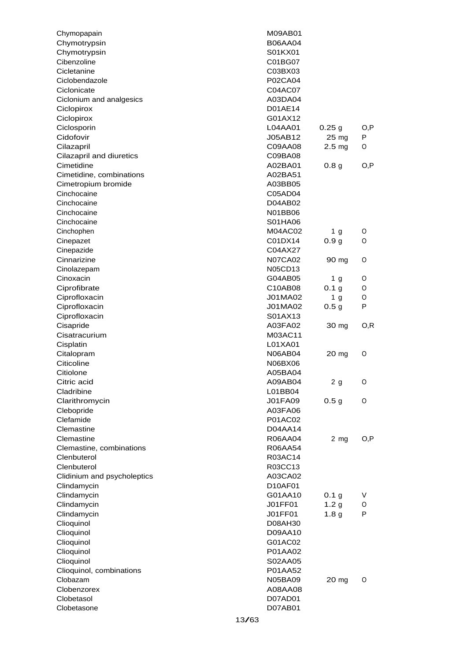| Chymopapain                 | <b>M09AB01</b> |                   |      |
|-----------------------------|----------------|-------------------|------|
| Chymotrypsin                | <b>B06AA04</b> |                   |      |
| Chymotrypsin                | S01KX01        |                   |      |
| Cibenzoline                 | C01BG07        |                   |      |
| Cicletanine                 | C03BX03        |                   |      |
| Ciclobendazole              | P02CA04        |                   |      |
| Ciclonicate                 | C04AC07        |                   |      |
| Ciclonium and analgesics    | A03DA04        |                   |      |
| Ciclopirox                  | D01AE14        |                   |      |
| Ciclopirox                  | G01AX12        |                   |      |
| Ciclosporin                 | L04AA01        | 0.25g             | O,P  |
| Cidofovir                   | J05AB12        | 25 mg             | P    |
| Cilazapril                  | C09AA08        | 2.5 <sub>mg</sub> | O    |
| Cilazapril and diuretics    | C09BA08        |                   |      |
| Cimetidine                  | A02BA01        | 0.8 <sub>g</sub>  | O,P  |
| Cimetidine, combinations    | A02BA51        |                   |      |
| Cimetropium bromide         | A03BB05        |                   |      |
| Cinchocaine                 | C05AD04        |                   |      |
| Cinchocaine                 | D04AB02        |                   |      |
| Cinchocaine                 | N01BB06        |                   |      |
| Cinchocaine                 | S01HA06        |                   |      |
| Cinchophen                  | M04AC02        | 1 g               | O    |
| Cinepazet                   | C01DX14        | 0.9 <sub>g</sub>  | O    |
| Cinepazide                  | C04AX27        |                   |      |
| Cinnarizine                 | <b>N07CA02</b> | 90 mg             | O    |
| Cinolazepam                 | N05CD13        |                   |      |
| Cinoxacin                   | G04AB05        | 1 <sub>g</sub>    | O    |
| Ciprofibrate                | C10AB08        | 0.1 <sub>g</sub>  | 0    |
| Ciprofloxacin               | J01MA02        | 1 <sub>g</sub>    | O    |
| Ciprofloxacin               | J01MA02        | 0.5 <sub>g</sub>  | P    |
| Ciprofloxacin               | S01AX13        |                   |      |
| Cisapride                   | A03FA02        | 30 mg             | O, R |
| Cisatracurium               | M03AC11        |                   |      |
| Cisplatin                   | L01XA01        |                   |      |
| Citalopram                  | <b>N06AB04</b> | 20 mg             | O    |
| Citicoline                  | N06BX06        |                   |      |
| Citiolone                   | A05BA04        |                   |      |
| Citric acid                 | A09AB04        | 2 g               | O    |
| Cladribine                  | L01BB04        |                   |      |
| Clarithromycin              | <b>J01FA09</b> | 0.5 <sub>g</sub>  | O    |
| Clebopride                  | A03FA06        |                   |      |
| Clefamide                   | P01AC02        |                   |      |
| Clemastine                  | D04AA14        |                   |      |
| Clemastine                  | R06AA04        | $2$ mg            | O,P  |
| Clemastine, combinations    | R06AA54        |                   |      |
| Clenbuterol                 | R03AC14        |                   |      |
| Clenbuterol                 | R03CC13        |                   |      |
| Clidinium and psycholeptics | A03CA02        |                   |      |
| Clindamycin                 | D10AF01        |                   |      |
| Clindamycin                 | G01AA10        | 0.1 <sub>g</sub>  | V    |
| Clindamycin                 | <b>J01FF01</b> | 1.2 <sub>g</sub>  | 0    |
| Clindamycin                 | <b>J01FF01</b> | 1.8 <sub>g</sub>  | P    |
| Clioquinol                  | D08AH30        |                   |      |
| Clioquinol                  | D09AA10        |                   |      |
| Clioquinol                  | G01AC02        |                   |      |
| Clioquinol                  | P01AA02        |                   |      |
| Clioquinol                  | S02AA05        |                   |      |
| Clioquinol, combinations    | P01AA52        |                   |      |
| Clobazam                    | N05BA09        | 20 mg             | 0    |
| Clobenzorex                 | A08AA08        |                   |      |
| Clobetasol                  | D07AD01        |                   |      |
| Clobetasone                 | D07AB01        |                   |      |
|                             |                |                   |      |
|                             | 13/63          |                   |      |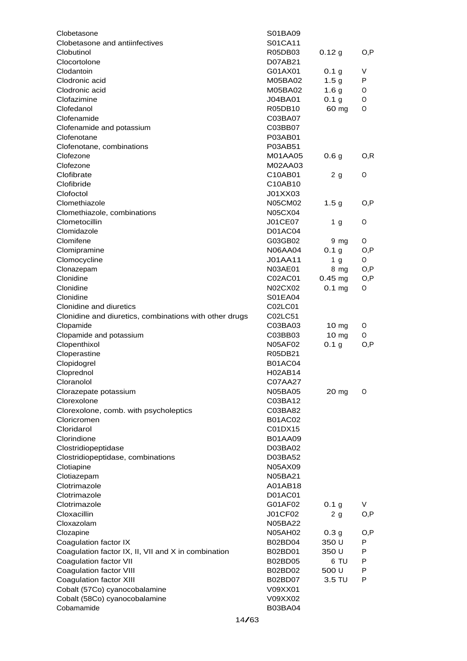| Clobetasone                                                                   | S01BA09                   |                     |        |
|-------------------------------------------------------------------------------|---------------------------|---------------------|--------|
| Clobetasone and antiinfectives                                                | S01CA11                   |                     |        |
| Clobutinol                                                                    | R05DB03                   | 0.12 g              | O,P    |
| Clocortolone                                                                  | D07AB21                   |                     |        |
| Clodantoin                                                                    | G01AX01                   | 0.1 <sub>g</sub>    | V      |
| Clodronic acid                                                                | M05BA02                   | 1.5 <sub>g</sub>    | P      |
| Clodronic acid                                                                | M05BA02                   | 1.6 <sub>g</sub>    | O      |
| Clofazimine                                                                   | J04BA01                   | 0.1 <sub>g</sub>    | O      |
| Clofedanol                                                                    | R05DB10                   | 60 mg               | O      |
| Clofenamide                                                                   | C03BA07                   |                     |        |
| Clofenamide and potassium                                                     | C03BB07                   |                     |        |
| Clofenotane                                                                   | P03AB01                   |                     |        |
| Clofenotane, combinations                                                     | P03AB51                   |                     |        |
| Clofezone<br>Clofezone                                                        | M01AA05                   | 0.6 <sub>g</sub>    | O,R    |
| Clofibrate                                                                    | M02AA03                   |                     |        |
| Clofibride                                                                    | C10AB01<br>C10AB10        | 2 g                 | 0      |
| Clofoctol                                                                     | J01XX03                   |                     |        |
| Clomethiazole                                                                 | <b>N05CM02</b>            | 1.5 <sub>g</sub>    | O,P    |
| Clomethiazole, combinations                                                   | <b>N05CX04</b>            |                     |        |
| Clometocillin                                                                 | J01CE07                   | 1 g                 | 0      |
| Clomidazole                                                                   | D01AC04                   |                     |        |
| Clomifene                                                                     | G03GB02                   | 9 mg                | O      |
| Clomipramine                                                                  | <b>N06AA04</b>            | 0.1 <sub>g</sub>    | O,P    |
| Clomocycline                                                                  | J01AA11                   | 1 <sub>g</sub>      | 0      |
| Clonazepam                                                                    | N03AE01                   | 8 mg                | O,P    |
| Clonidine                                                                     | C02AC01                   | $0.45 \, \text{mg}$ | O,P    |
| Clonidine                                                                     | N02CX02                   | $0.1$ mg            | 0      |
| Clonidine                                                                     | S01EA04                   |                     |        |
| Clonidine and diuretics                                                       | C02LC01                   |                     |        |
| Clonidine and diuretics, combinations with other drugs                        | C02LC51                   |                     |        |
| Clopamide                                                                     | C03BA03                   | 10 <sub>mg</sub>    | 0      |
| Clopamide and potassium                                                       | C03BB03                   | 10 <sub>mg</sub>    | 0      |
| Clopenthixol                                                                  | <b>N05AF02</b>            | 0.1 <sub>g</sub>    | O,P    |
| Cloperastine                                                                  | R05DB21                   |                     |        |
| Clopidogrel                                                                   | <b>B01AC04</b>            |                     |        |
| Cloprednol                                                                    | H02AB14                   |                     |        |
| Cloranolol                                                                    | C07AA27                   |                     |        |
| Clorazepate potassium                                                         | N05BA05                   | 20 mg               | O      |
| Clorexolone                                                                   | C03BA12                   |                     |        |
| Clorexolone, comb. with psycholeptics                                         | C03BA82                   |                     |        |
| Cloricromen                                                                   | <b>B01AC02</b>            |                     |        |
| Cloridarol                                                                    | C01DX15                   |                     |        |
| Clorindione                                                                   | <b>B01AA09</b>            |                     |        |
| Clostridiopeptidase                                                           | D03BA02                   |                     |        |
| Clostridiopeptidase, combinations                                             | D03BA52                   |                     |        |
| Clotiapine                                                                    | N05AX09                   |                     |        |
| Clotiazepam                                                                   | N05BA21                   |                     |        |
| Clotrimazole                                                                  | A01AB18                   |                     |        |
| Clotrimazole                                                                  | D01AC01                   |                     |        |
| Clotrimazole                                                                  | G01AF02                   | 0.1 <sub>g</sub>    | V      |
| Cloxacillin                                                                   | J01CF02                   | 2 <sub>g</sub>      | O, P   |
| Cloxazolam                                                                    | N05BA22                   |                     |        |
| Clozapine                                                                     | <b>N05AH02</b>            | 0.3 <sub>g</sub>    | O,P    |
| Coagulation factor IX                                                         | B02BD04                   | 350 U               | P<br>P |
| Coagulation factor IX, II, VII and X in combination<br>Coagulation factor VII | B02BD01<br><b>B02BD05</b> | 350 U<br>6 TU       | P      |
| Coagulation factor VIII                                                       | B02BD02                   | 500 U               | P      |
| Coagulation factor XIII                                                       | B02BD07                   | 3.5 TU              | P      |
| Cobalt (57Co) cyanocobalamine                                                 | V09XX01                   |                     |        |
| Cobalt (58Co) cyanocobalamine                                                 | V09XX02                   |                     |        |
| Cobamamide                                                                    | <b>B03BA04</b>            |                     |        |
|                                                                               |                           |                     |        |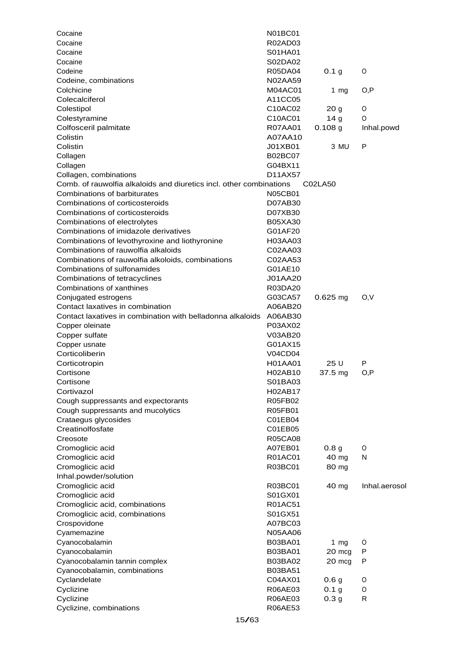| Cocaine                                                             | <b>N01BC01</b>            |                  |               |
|---------------------------------------------------------------------|---------------------------|------------------|---------------|
| Cocaine                                                             | R02AD03                   |                  |               |
| Cocaine                                                             | S01HA01                   |                  |               |
| Cocaine                                                             | S02DA02                   |                  |               |
| Codeine                                                             | R05DA04                   | 0.1 <sub>g</sub> | O             |
| Codeine, combinations                                               | N02AA59                   |                  |               |
| Colchicine                                                          | M04AC01                   | 1 $mg$           | O, P          |
| Colecalciferol                                                      | A11CC05                   |                  |               |
| Colestipol                                                          | C10AC02                   | 20 <sub>g</sub>  | O             |
| Colestyramine                                                       | C10AC01                   | 14 <sub>g</sub>  | O             |
| Colfosceril palmitate                                               | R07AA01                   | $0.108$ g        | Inhal.powd    |
| Colistin                                                            | A07AA10                   |                  |               |
| Colistin                                                            | J01XB01                   | 3 MU             | P             |
| Collagen                                                            | <b>B02BC07</b>            |                  |               |
| Collagen                                                            | G04BX11                   |                  |               |
| Collagen, combinations                                              | D11AX57                   |                  |               |
| Comb. of rauwolfia alkaloids and diuretics incl. other combinations |                           | C02LA50          |               |
| Combinations of barbiturates                                        | <b>N05CB01</b>            |                  |               |
| Combinations of corticosteroids                                     | D07AB30                   |                  |               |
| Combinations of corticosteroids                                     | D07XB30                   |                  |               |
| Combinations of electrolytes                                        | <b>B05XA30</b>            |                  |               |
| Combinations of imidazole derivatives                               | G01AF20                   |                  |               |
| Combinations of levothyroxine and liothyronine                      | H03AA03                   |                  |               |
| Combinations of rauwolfia alkaloids                                 | C02AA03                   |                  |               |
| Combinations of rauwolfia alkoloids, combinations                   | C02AA53                   |                  |               |
| Combinations of sulfonamides                                        | G01AE10                   |                  |               |
| Combinations of tetracyclines                                       | J01AA20                   |                  |               |
| Combinations of xanthines                                           | R03DA20                   |                  |               |
| Conjugated estrogens                                                | G03CA57                   | $0.625$ mg       | O, V          |
| Contact laxatives in combination                                    | A06AB20                   |                  |               |
| Contact laxatives in combination with belladonna alkaloids          | A06AB30                   |                  |               |
| Copper oleinate                                                     | P03AX02                   |                  |               |
| Copper sulfate                                                      | V03AB20                   |                  |               |
| Copper usnate                                                       | G01AX15                   |                  |               |
| Corticoliberin                                                      | V04CD04                   |                  |               |
| Corticotropin                                                       | H01AA01                   | 25 U             | P             |
| Cortisone                                                           | H02AB10                   | $37.5$ mg        | O, P          |
| Cortisone                                                           | S01BA03                   |                  |               |
| Cortivazol                                                          | H02AB17                   |                  |               |
| Cough suppressants and expectorants                                 | R05FB02                   |                  |               |
| Cough suppressants and mucolytics                                   | R05FB01                   |                  |               |
| Crataegus glycosides                                                |                           |                  |               |
| Creatinolfosfate                                                    | C01EB04                   |                  |               |
|                                                                     | C01EB05<br><b>R05CA08</b> |                  |               |
| Creosote                                                            |                           |                  |               |
| Cromoglicic acid                                                    | A07EB01                   | 0.8 <sub>g</sub> | O             |
| Cromoglicic acid                                                    | R01AC01                   | 40 mg            | N             |
| Cromoglicic acid                                                    | R03BC01                   | 80 mg            |               |
| Inhal.powder/solution                                               |                           |                  |               |
| Cromoglicic acid                                                    | R03BC01                   | 40 mg            | Inhal.aerosol |
| Cromoglicic acid                                                    | S01GX01                   |                  |               |
| Cromoglicic acid, combinations                                      | R01AC51                   |                  |               |
| Cromoglicic acid, combinations                                      | S01GX51                   |                  |               |
| Crospovidone                                                        | A07BC03                   |                  |               |
| Cyamemazine                                                         | N05AA06                   |                  |               |
| Cyanocobalamin                                                      | B03BA01                   | 1 $mg$           | O             |
| Cyanocobalamin                                                      | B03BA01                   | 20 mcg           | P             |
| Cyanocobalamin tannin complex                                       | B03BA02                   | 20 mcg           | P             |
| Cyanocobalamin, combinations                                        | B03BA51                   |                  |               |
| Cyclandelate                                                        | C04AX01                   | 0.6 <sub>g</sub> | O             |
| Cyclizine                                                           | R06AE03                   | 0.1 <sub>g</sub> | 0             |
| Cyclizine                                                           | R06AE03                   | 0.3 <sub>g</sub> | R             |
| Cyclizine, combinations                                             | R06AE53                   |                  |               |
| 15/63                                                               |                           |                  |               |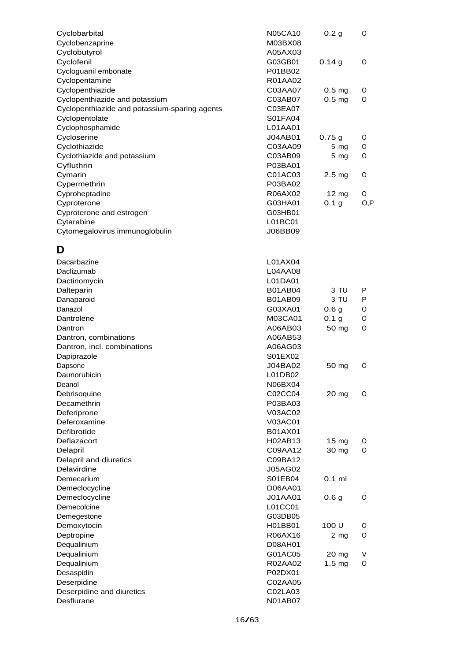| Cyclobarbital                                 | <b>N05CA10</b> | 0.2 <sub>g</sub>  | O    |
|-----------------------------------------------|----------------|-------------------|------|
| Cyclobenzaprine                               | M03BX08        |                   |      |
| Cyclobutyrol                                  | A05AX03        |                   |      |
| Cyclofenil                                    | G03GB01        | 0.14g             | 0    |
| Cycloguanil embonate                          | P01BB02        |                   |      |
| Cyclopentamine                                | R01AA02        |                   |      |
| Cyclopenthiazide                              | C03AA07        | 0.5 <sub>mg</sub> | O    |
| Cyclopenthiazide and potassium                | C03AB07        | 0.5 <sub>mg</sub> | 0    |
| Cyclopenthiazide and potassium-sparing agents | C03EA07        |                   |      |
| Cyclopentolate                                | S01FA04        |                   |      |
| Cyclophosphamide                              | L01AA01        |                   |      |
| Cycloserine                                   | <b>J04AB01</b> | 0.75g             | O    |
| Cyclothiazide                                 | C03AA09        | $5 \, mg$         | O    |
| Cyclothiazide and potassium                   | C03AB09        | $5$ mg            | 0    |
| Cyfluthrin                                    | P03BA01        |                   |      |
| Cymarin                                       | C01AC03        | 2.5 <sub>mg</sub> | O    |
| Cypermethrin                                  | P03BA02        |                   |      |
| Cyproheptadine                                | R06AX02        | $12 \text{ mg}$   | 0    |
| Cyproterone                                   | G03HA01        | 0.1 <sub>g</sub>  | O, P |
| Cyproterone and estrogen                      | G03HB01        |                   |      |
| Cytarabine                                    | L01BC01        |                   |      |
| Cytomegalovirus immunoglobulin                | J06BB09        |                   |      |
|                                               |                |                   |      |
| D                                             |                |                   |      |
| Dacarbazine                                   | L01AX04        |                   |      |
| Daclizumab                                    | L04AA08        |                   |      |
| Dactinomycin                                  | L01DA01        |                   |      |
| Dalteparin                                    | <b>B01AB04</b> | 3 TU              | P    |
| Danaparoid                                    | <b>B01AB09</b> | 3 TU              | P    |
| Danazol                                       | G03XA01        | 0.6 <sub>g</sub>  | 0    |
| Dantrolene                                    | M03CA01        | 0.1 <sub>g</sub>  | 0    |
| Dantron                                       | A06AB03        | 50 mg             | 0    |
| Dantron, combinations                         | A06AB53        |                   |      |
| Dantron, incl. combinations                   | A06AG03        |                   |      |
| Dapiprazole                                   | S01EX02        |                   |      |
| Dapsone                                       | J04BA02        | 50 mg             | O    |
| Daunorubicin                                  | L01DB02        |                   |      |
| Deanol                                        | N06BX04        |                   |      |
| Debrisoquine                                  | C02CC04        | 20 mg             | 0    |
| Decamethrin                                   | P03BA03        |                   |      |
| Deferiprone                                   | V03AC02        |                   |      |
| Deferoxamine                                  | V03AC01        |                   |      |
| Defibrotide                                   | <b>B01AX01</b> |                   |      |
| Deflazacort                                   | H02AB13        | 15 <sub>mg</sub>  | O    |
| Delapril                                      | C09AA12        | 30 mg             | 0    |
| Delapril and diuretics                        | C09BA12        |                   |      |
| Delavirdine                                   | <b>J05AG02</b> |                   |      |
| Demecarium                                    | S01EB04        | $0.1$ ml          |      |
| Demeclocycline                                | D06AA01        |                   |      |
| Demeclocycline                                | <b>J01AA01</b> | 0.6 <sub>g</sub>  | 0    |
| Demecolcine                                   | L01CC01        |                   |      |
| Demegestone                                   | G03DB05        |                   |      |
| Demoxytocin                                   | H01BB01        | 100 U             | O    |
| Deptropine                                    | R06AX16        | 2 <sub>mg</sub>   | 0    |
| Dequalinium                                   | D08AH01        |                   |      |
| Dequalinium                                   | G01AC05        | 20 mg             | V    |
| Dequalinium                                   | R02AA02        | 1.5 <sub>mg</sub> | 0    |
| Desaspidin                                    | P02DX01        |                   |      |
| Deserpidine                                   | C02AA05        |                   |      |
| Deserpidine and diuretics                     | C02LA03        |                   |      |
| Desflurane                                    | N01AB07        |                   |      |
|                                               |                |                   |      |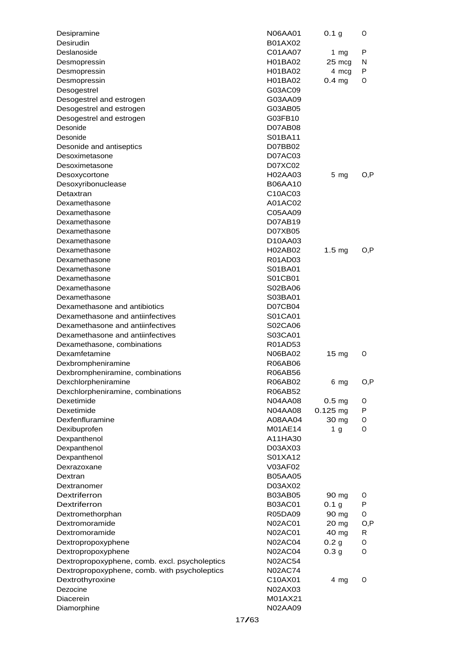| Desipramine                                   | N06AA01              | 0.1 <sub>g</sub>  | O    |
|-----------------------------------------------|----------------------|-------------------|------|
| Desirudin                                     | B01AX02              |                   |      |
| Deslanoside                                   | C01AA07              | 1 $mg$            | P    |
| Desmopressin                                  | H01BA02              | 25 mcg            | N    |
| Desmopressin                                  | H01BA02              | 4 mcg             | P    |
| Desmopressin                                  | H01BA02              | 0.4 <sub>mg</sub> | O    |
| Desogestrel                                   | G03AC09              |                   |      |
| Desogestrel and estrogen                      | G03AA09              |                   |      |
| Desogestrel and estrogen                      | G03AB05              |                   |      |
| Desogestrel and estrogen                      | G03FB10              |                   |      |
| Desonide                                      | D07AB08              |                   |      |
| Desonide                                      | S01BA11              |                   |      |
| Desonide and antiseptics                      | D07BB02              |                   |      |
| Desoximetasone                                | D07AC03              |                   |      |
| Desoximetasone                                | D07XC02              |                   |      |
| Desoxycortone                                 | H02AA03              | $5 \, mg$         | O,P  |
| Desoxyribonuclease                            | <b>B06AA10</b>       |                   |      |
| Detaxtran                                     | C10AC03              |                   |      |
| Dexamethasone                                 | A01AC02              |                   |      |
| Dexamethasone                                 | C05AA09              |                   |      |
| Dexamethasone                                 | D07AB19              |                   |      |
| Dexamethasone                                 | D07XB05              |                   |      |
| Dexamethasone                                 | D <sub>10</sub> AA03 |                   |      |
| Dexamethasone                                 | H02AB02              | $1.5 \text{ mg}$  | O.P  |
| Dexamethasone                                 | R01AD03              |                   |      |
| Dexamethasone                                 | S01BA01              |                   |      |
| Dexamethasone                                 | S01CB01              |                   |      |
| Dexamethasone                                 | S02BA06              |                   |      |
| Dexamethasone                                 | S03BA01              |                   |      |
| Dexamethasone and antibiotics                 | D07CB04              |                   |      |
| Dexamethasone and antiinfectives              | S01CA01              |                   |      |
| Dexamethasone and antiinfectives              | S02CA06              |                   |      |
| Dexamethasone and antiinfectives              | S03CA01              |                   |      |
| Dexamethasone, combinations                   | R01AD53              |                   |      |
| Dexamfetamine                                 | N06BA02              | 15 mg             | O    |
| Dexbrompheniramine                            | <b>R06AB06</b>       |                   |      |
| Dexbrompheniramine, combinations              | <b>R06AB56</b>       |                   |      |
| Dexchlorpheniramine                           | R06AB02              | 6 mg              | O, P |
| Dexchlorpheniramine, combinations             | R06AB52              |                   |      |
| Dexetimide                                    | <b>N04AA08</b>       | 0.5 <sub>mg</sub> | O    |
| Dexetimide                                    | <b>N04AA08</b>       | $0.125$ mg        | P    |
| Dexfenfluramine                               | A08AA04              | 30 mg             | O    |
| Dexibuprofen                                  | M01AE14              | 1 g               | 0    |
| Dexpanthenol                                  | A11HA30              |                   |      |
| Dexpanthenol                                  | D03AX03              |                   |      |
| Dexpanthenol                                  | S01XA12              |                   |      |
| Dexrazoxane                                   | V03AF02              |                   |      |
| Dextran                                       | <b>B05AA05</b>       |                   |      |
| Dextranomer                                   | D03AX02              |                   |      |
| Dextriferron                                  | <b>B03AB05</b>       | 90 mg             | O    |
| Dextriferron                                  | <b>B03AC01</b>       | 0.1 g             | P    |
| Dextromethorphan                              | R05DA09              | 90 mg             | 0    |
| Dextromoramide                                | <b>N02AC01</b>       | 20 mg             | O, P |
| Dextromoramide                                | <b>N02AC01</b>       | 40 mg             | R    |
| Dextropropoxyphene                            | N02AC04              | 0.2 <sub>g</sub>  | O    |
| Dextropropoxyphene                            | N02AC04              | 0.3 <sub>g</sub>  | 0    |
| Dextropropoxyphene, comb. excl. psycholeptics | <b>N02AC54</b>       |                   |      |
| Dextropropoxyphene, comb. with psycholeptics  | <b>N02AC74</b>       |                   |      |
| Dextrothyroxine                               | C10AX01              | 4 mg              | O    |
| Dezocine                                      | N02AX03              |                   |      |
| Diacerein                                     | M01AX21              |                   |      |
|                                               | N02AA09              |                   |      |
| Diamorphine                                   |                      |                   |      |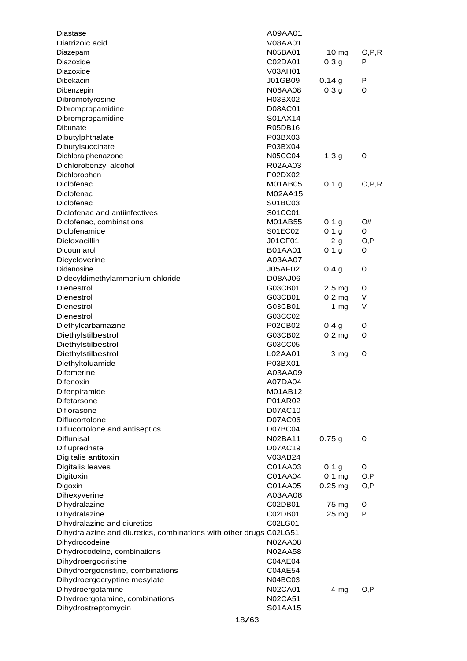| Diastase                                                           | A09AA01        |                     |         |
|--------------------------------------------------------------------|----------------|---------------------|---------|
| Diatrizoic acid                                                    | V08AA01        |                     |         |
| Diazepam                                                           | N05BA01        | $10 \text{ mg}$     | O, P, R |
| Diazoxide                                                          | C02DA01        | 0.3 <sub>g</sub>    | P       |
| Diazoxide                                                          | V03AH01        |                     |         |
| Dibekacin                                                          | J01GB09        | 0.14g               | P       |
| Dibenzepin                                                         | <b>N06AA08</b> | 0.3 <sub>g</sub>    | O       |
| Dibromotyrosine                                                    | H03BX02        |                     |         |
| Dibrompropamidine                                                  | D08AC01        |                     |         |
| Dibrompropamidine                                                  | S01AX14        |                     |         |
| Dibunate                                                           | R05DB16        |                     |         |
| Dibutylphthalate                                                   | P03BX03        |                     |         |
| Dibutylsuccinate                                                   | P03BX04        |                     |         |
| Dichloralphenazone                                                 | <b>N05CC04</b> | 1.3 <sub>g</sub>    | O       |
| Dichlorobenzyl alcohol                                             | R02AA03        |                     |         |
| Dichlorophen                                                       | P02DX02        |                     |         |
| Diclofenac                                                         | M01AB05        | 0.1 <sub>g</sub>    | O.P.R   |
| Diclofenac                                                         | M02AA15        |                     |         |
| Diclofenac                                                         | S01BC03        |                     |         |
| Diclofenac and antiinfectives                                      | S01CC01        |                     |         |
| Diclofenac, combinations                                           | M01AB55        | 0.1 <sub>g</sub>    | O#      |
| Diclofenamide                                                      | S01EC02        | 0.1 <sub>g</sub>    | O       |
| <b>Dicloxacillin</b>                                               | J01CF01        | 2g                  | O,P     |
| Dicoumarol                                                         | <b>B01AA01</b> | 0.1 <sub>g</sub>    | O       |
| Dicycloverine                                                      | A03AA07        |                     |         |
| Didanosine                                                         | J05AF02        | 0.4 <sub>g</sub>    | O       |
| Didecyldimethylammonium chloride                                   | D08AJ06        |                     |         |
| Dienestrol                                                         | G03CB01        | 2.5 <sub>mg</sub>   | 0       |
| Dienestrol                                                         | G03CB01        | 0.2 <sub>mg</sub>   | V       |
| Dienestrol                                                         | G03CB01        | 1 $mg$              | V       |
| Dienestrol                                                         | G03CC02        |                     |         |
| Diethylcarbamazine                                                 | P02CB02        | 0.4 <sub>g</sub>    | 0       |
| Diethylstilbestrol                                                 | G03CB02        | $0.2$ mg            | O       |
| Diethylstilbestrol                                                 | G03CC05        |                     |         |
| Diethylstilbestrol                                                 | L02AA01        | 3 mg                | O       |
| Diethyltoluamide                                                   | P03BX01        |                     |         |
| <b>Difemerine</b>                                                  | A03AA09        |                     |         |
| Difenoxin                                                          | A07DA04        |                     |         |
| Difenpiramide                                                      | M01AB12        |                     |         |
| Difetarsone                                                        | P01AR02        |                     |         |
| <b>Diflorasone</b>                                                 | D07AC10        |                     |         |
| Diflucortolone                                                     | D07AC06        |                     |         |
| Diflucortolone and antiseptics                                     | D07BC04        |                     |         |
| Diflunisal                                                         | N02BA11        | 0.75g               | O       |
| Difluprednate                                                      | D07AC19        |                     |         |
| Digitalis antitoxin                                                | V03AB24        |                     |         |
| Digitalis leaves                                                   | C01AA03        | 0.1 <sub>g</sub>    | O       |
| Digitoxin                                                          | C01AA04        | $0.1 \text{ mg}$    | O, P    |
| Digoxin                                                            | C01AA05        | $0.25 \, \text{mg}$ | O,P     |
| Dihexyverine                                                       | A03AA08        |                     |         |
| Dihydralazine                                                      | C02DB01        | 75 mg               | O       |
| Dihydralazine                                                      | C02DB01        | 25 mg               | P       |
| Dihydralazine and diuretics                                        | C02LG01        |                     |         |
| Dihydralazine and diuretics, combinations with other drugs C02LG51 |                |                     |         |
| Dihydrocodeine                                                     | <b>N02AA08</b> |                     |         |
| Dihydrocodeine, combinations                                       | <b>N02AA58</b> |                     |         |
| Dihydroergocristine                                                | C04AE04        |                     |         |
| Dihydroergocristine, combinations                                  | C04AE54        |                     |         |
| Dihydroergocryptine mesylate                                       | N04BC03        |                     |         |
| Dihydroergotamine                                                  | N02CA01        | 4 mg                | O,P     |
| Dihydroergotamine, combinations                                    | N02CA51        |                     |         |
| Dihydrostreptomycin                                                | S01AA15        |                     |         |
| 18/63                                                              |                |                     |         |
|                                                                    |                |                     |         |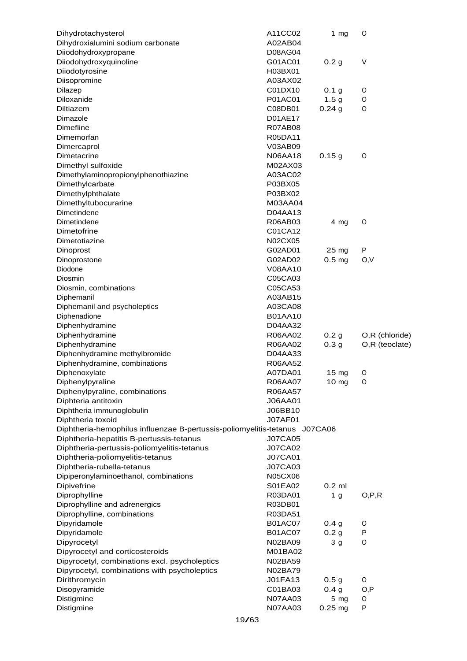| Dihydrotachysterol                                                         | A11CC02        | $1$ mg           | O              |
|----------------------------------------------------------------------------|----------------|------------------|----------------|
| Dihydroxialumini sodium carbonate                                          | A02AB04        |                  |                |
| Diiodohydroxypropane                                                       | <b>D08AG04</b> |                  |                |
| Diiodohydroxyquinoline                                                     | G01AC01        | 0.2 <sub>g</sub> | V              |
| Diiodotyrosine                                                             | H03BX01        |                  |                |
| Diisopromine                                                               | A03AX02        |                  |                |
| Dilazep                                                                    | C01DX10        | 0.1 <sub>g</sub> | O              |
| Diloxanide                                                                 | P01AC01        | 1.5 <sub>g</sub> | O              |
| Diltiazem                                                                  | C08DB01        | 0.24g            | O              |
| Dimazole                                                                   | D01AE17        |                  |                |
| <b>Dimefline</b>                                                           | <b>R07AB08</b> |                  |                |
| Dimemorfan                                                                 | R05DA11        |                  |                |
| Dimercaprol                                                                | V03AB09        |                  |                |
| Dimetacrine                                                                | <b>N06AA18</b> | 0.15g            | O              |
| Dimethyl sulfoxide                                                         | M02AX03        |                  |                |
| Dimethylaminopropionylphenothiazine                                        | A03AC02        |                  |                |
| Dimethylcarbate                                                            | P03BX05        |                  |                |
| Dimethylphthalate                                                          | P03BX02        |                  |                |
| Dimethyltubocurarine                                                       | M03AA04        |                  |                |
| Dimetindene                                                                | D04AA13        |                  |                |
| Dimetindene                                                                | R06AB03        | $4 \, mg$        | 0              |
| Dimetofrine                                                                | C01CA12        |                  |                |
| Dimetotiazine                                                              | N02CX05        |                  |                |
| Dinoprost                                                                  | G02AD01        | $25 \text{ mg}$  | Р              |
| Dinoprostone                                                               | G02AD02        | $0.5$ mg         | O,V            |
| Diodone                                                                    | V08AA10        |                  |                |
| Diosmin                                                                    | C05CA03        |                  |                |
| Diosmin, combinations                                                      | C05CA53        |                  |                |
|                                                                            | A03AB15        |                  |                |
| Diphemanil                                                                 | A03CA08        |                  |                |
| Diphemanil and psycholeptics                                               |                |                  |                |
| Diphenadione                                                               | <b>B01AA10</b> |                  |                |
| Diphenhydramine                                                            | D04AA32        |                  |                |
| Diphenhydramine                                                            | R06AA02        | 0.2 <sub>g</sub> | O,R (chloride) |
| Diphenhydramine                                                            | R06AA02        | 0.3 <sub>g</sub> | O,R (teoclate) |
| Diphenhydramine methylbromide                                              | D04AA33        |                  |                |
| Diphenhydramine, combinations                                              | R06AA52        |                  |                |
| Diphenoxylate                                                              | A07DA01        | $15 \text{ mg}$  | 0              |
| Diphenylpyraline                                                           | R06AA07        | 10 mg            | 0              |
| Diphenylpyraline, combinations                                             | R06AA57        |                  |                |
| Diphteria antitoxin                                                        | J06AA01        |                  |                |
| Diphtheria immunoglobulin                                                  | J06BB10        |                  |                |
| Diphtheria toxoid                                                          | <b>J07AF01</b> |                  |                |
| Diphtheria-hemophilus influenzae B-pertussis-poliomyelitis-tetanus J07CA06 |                |                  |                |
| Diphtheria-hepatitis B-pertussis-tetanus                                   | <b>J07CA05</b> |                  |                |
| Diphtheria-pertussis-poliomyelitis-tetanus                                 | <b>J07CA02</b> |                  |                |
| Diphtheria-poliomyelitis-tetanus                                           | <b>J07CA01</b> |                  |                |
| Diphtheria-rubella-tetanus                                                 | <b>J07CA03</b> |                  |                |
| Dipiperonylaminoethanol, combinations                                      | N05CX06        |                  |                |
| Dipivefrine                                                                | S01EA02        | $0.2$ ml         |                |
| Diprophylline                                                              | R03DA01        | 1 <sub>g</sub>   | O, P, R        |
| Diprophylline and adrenergics                                              | R03DB01        |                  |                |
| Diprophylline, combinations                                                | R03DA51        |                  |                |
| Dipyridamole                                                               | <b>B01AC07</b> | 0.4 <sub>g</sub> | O              |
| Dipyridamole                                                               | <b>B01AC07</b> | 0.2 <sub>g</sub> | P              |
| Dipyrocetyl                                                                | N02BA09        | 3 g              | O              |
| Dipyrocetyl and corticosteroids                                            | M01BA02        |                  |                |
| Dipyrocetyl, combinations excl. psycholeptics                              | N02BA59        |                  |                |
| Dipyrocetyl, combinations with psycholeptics                               | N02BA79        |                  |                |
| Dirithromycin                                                              | J01FA13        | 0.5 <sub>g</sub> | 0              |
| Disopyramide                                                               | C01BA03        | 0.4 <sub>g</sub> | O, P           |
| Distigmine                                                                 | <b>N07AA03</b> | $5 \, mg$        | 0              |
| Distigmine                                                                 | N07AA03        | $0.25$ mg        | P              |
|                                                                            |                |                  |                |
|                                                                            | 19/63          |                  |                |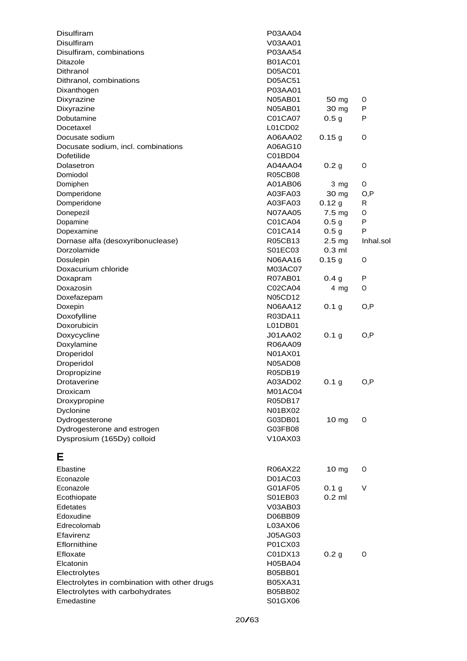| Disulfiram                                   | P03AA04        |                   |           |
|----------------------------------------------|----------------|-------------------|-----------|
| <b>Disulfiram</b>                            | V03AA01        |                   |           |
| Disulfiram, combinations                     | P03AA54        |                   |           |
| <b>Ditazole</b>                              | <b>B01AC01</b> |                   |           |
| Dithranol                                    | D05AC01        |                   |           |
| Dithranol, combinations                      | D05AC51        |                   |           |
| Dixanthogen                                  | P03AA01        |                   |           |
| Dixyrazine                                   | <b>N05AB01</b> | 50 mg             | 0         |
| Dixyrazine                                   | <b>N05AB01</b> | 30 mg             | P         |
| Dobutamine                                   | C01CA07        | 0.5 <sub>q</sub>  | P         |
| Docetaxel                                    | L01CD02        |                   |           |
| Docusate sodium                              | A06AA02        | 0.15g             | O         |
| Docusate sodium, incl. combinations          | A06AG10        |                   |           |
| Dofetilide                                   | C01BD04        |                   |           |
| Dolasetron                                   | A04AA04        | 0.2 <sub>g</sub>  | O         |
| Domiodol                                     | <b>R05CB08</b> |                   |           |
| Domiphen                                     | A01AB06        | 3 mg              | O         |
| Domperidone                                  | A03FA03        | 30 mg             | O, P      |
| Domperidone                                  | A03FA03        | 0.12g             | R         |
| Donepezil                                    | <b>N07AA05</b> | 7.5 mg            | 0         |
| Dopamine                                     | C01CA04        | 0.5 <sub>g</sub>  | P         |
| Dopexamine                                   | C01CA14        | 0.5 <sub>g</sub>  | P         |
| Dornase alfa (desoxyribonuclease)            | R05CB13        | 2.5 <sub>mg</sub> | Inhal.sol |
| Dorzolamide                                  | S01EC03        | $0.3$ ml          |           |
| Dosulepin                                    | N06AA16        | 0.15 <sub>g</sub> | O         |
| Doxacurium chloride                          | M03AC07        |                   |           |
| Doxapram                                     | <b>R07AB01</b> | 0.4 g             | P         |
| Doxazosin                                    | C02CA04        | 4 mg              | O         |
| Doxefazepam                                  | N05CD12        |                   |           |
| Doxepin                                      | N06AA12        | 0.1 <sub>g</sub>  | O, P      |
| Doxofylline                                  | R03DA11        |                   |           |
| Doxorubicin                                  | L01DB01        |                   |           |
| Doxycycline                                  | J01AA02        | 0.1 <sub>g</sub>  | O, P      |
| Doxylamine                                   | R06AA09        |                   |           |
| Droperidol                                   | N01AX01        |                   |           |
| Droperidol                                   | <b>N05AD08</b> |                   |           |
| Dropropizine                                 | R05DB19        |                   |           |
| Drotaverine                                  | A03AD02        | 0.1 <sub>g</sub>  | O, P      |
| Droxicam                                     | M01AC04        |                   |           |
| Droxypropine                                 | R05DB17        |                   |           |
| Dyclonine                                    | N01BX02        |                   |           |
| Dydrogesterone                               | G03DB01        | 10 mg             | O         |
| Dydrogesterone and estrogen                  | G03FB08        |                   |           |
| Dysprosium (165Dy) colloid                   | V10AX03        |                   |           |
| Е                                            |                |                   |           |
| Ebastine                                     | R06AX22        | 10 mg             | O         |
| Econazole                                    | D01AC03        |                   |           |
| Econazole                                    | G01AF05        | 0.1 <sub>g</sub>  | V         |
| Ecothiopate                                  | S01EB03        | $0.2$ ml          |           |
| Edetates                                     | V03AB03        |                   |           |
| Edoxudine                                    | D06BB09        |                   |           |
| Edrecolomab                                  | L03AX06        |                   |           |
| Efavirenz                                    | J05AG03        |                   |           |
| Eflornithine                                 | P01CX03        |                   |           |
| Efloxate                                     | C01DX13        | 0.2 <sub>g</sub>  | O         |
| Elcatonin                                    | H05BA04        |                   |           |
| Electrolytes                                 | B05BB01        |                   |           |
| Electrolytes in combination with other drugs | B05XA31        |                   |           |
| Electrolytes with carbohydrates              | B05BB02        |                   |           |
| Emedastine                                   | S01GX06        |                   |           |
|                                              |                |                   |           |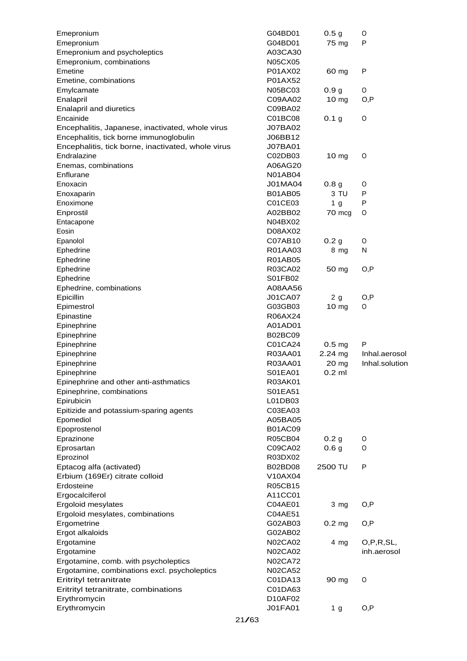| Emepronium                                         |       | G04BD01        | 0.5 <sub>g</sub>  | 0              |
|----------------------------------------------------|-------|----------------|-------------------|----------------|
| Emepronium                                         |       | G04BD01        | 75 mg             | P              |
| Emepronium and psycholeptics                       |       | A03CA30        |                   |                |
| Emepronium, combinations                           |       | N05CX05        |                   |                |
| Emetine                                            |       | P01AX02        | 60 mg             | P              |
| Emetine, combinations                              |       | P01AX52        |                   |                |
| Emylcamate                                         |       | N05BC03        | 0.9 <sub>g</sub>  | 0              |
| Enalapril                                          |       | C09AA02        | 10 mg             | O, P           |
| Enalapril and diuretics                            |       | C09BA02        |                   |                |
| Encainide                                          |       | C01BC08        | 0.1 <sub>g</sub>  | O              |
| Encephalitis, Japanese, inactivated, whole virus   |       | J07BA02        |                   |                |
| Encephalitis, tick borne immunoglobulin            |       | J06BB12        |                   |                |
| Encephalitis, tick borne, inactivated, whole virus |       | J07BA01        |                   |                |
| Endralazine                                        |       | C02DB03        | 10 <sub>mg</sub>  | 0              |
| Enemas, combinations                               |       | A06AG20        |                   |                |
| Enflurane                                          |       | <b>N01AB04</b> |                   |                |
| Enoxacin                                           |       | J01MA04        | 0.8 <sub>g</sub>  | 0              |
| Enoxaparin                                         |       | <b>B01AB05</b> | 3 TU              | P              |
| Enoximone                                          |       | C01CE03        | 1 <sub>g</sub>    | P              |
| Enprostil                                          |       | A02BB02        | 70 mcg            | O              |
| Entacapone                                         |       | N04BX02        |                   |                |
| Eosin                                              |       | D08AX02        |                   |                |
| Epanolol                                           |       | C07AB10        | 0.2 <sub>g</sub>  | O              |
| Ephedrine                                          |       | R01AA03        | 8 mg              | N              |
| Ephedrine                                          |       | R01AB05        |                   |                |
| Ephedrine                                          |       | R03CA02        | 50 mg             | O, P           |
| Ephedrine                                          |       | S01FB02        |                   |                |
| Ephedrine, combinations                            |       | A08AA56        |                   |                |
| Epicillin                                          |       | <b>J01CA07</b> | 2g                | O, P           |
| Epimestrol                                         |       | G03GB03        | 10 mg             | 0              |
| Epinastine                                         |       | R06AX24        |                   |                |
| Epinephrine                                        |       | A01AD01        |                   |                |
| Epinephrine                                        |       | <b>B02BC09</b> |                   |                |
| Epinephrine                                        |       | C01CA24        | 0.5 <sub>mg</sub> | P              |
| Epinephrine                                        |       | R03AA01        | 2.24 mg           | Inhal.aerosol  |
| Epinephrine                                        |       | R03AA01        | 20 mg             | Inhal.solution |
| Epinephrine                                        |       | S01EA01        | $0.2$ ml          |                |
| Epinephrine and other anti-asthmatics              |       | R03AK01        |                   |                |
| Epinephrine, combinations                          |       | S01EA51        |                   |                |
| Epirubicin                                         |       | L01DB03        |                   |                |
| Epitizide and potassium-sparing agents             |       | C03EA03        |                   |                |
| Epomediol                                          |       | A05BA05        |                   |                |
| Epoprostenol                                       |       | <b>B01AC09</b> |                   |                |
| Eprazinone                                         |       | R05CB04        | 0.2 <sub>g</sub>  | 0              |
| Eprosartan                                         |       | C09CA02        | 0.6 <sub>g</sub>  | 0              |
| Eprozinol                                          |       | R03DX02        |                   |                |
| Eptacog alfa (activated)                           |       | B02BD08        | 2500 TU           | P              |
| Erbium (169Er) citrate colloid                     |       | V10AX04        |                   |                |
| Erdosteine                                         |       | R05CB15        |                   |                |
| Ergocalciferol                                     |       | A11CC01        |                   |                |
| Ergoloid mesylates                                 |       | C04AE01        | $3 \, mg$         | O, P           |
| Ergoloid mesylates, combinations                   |       | C04AE51        |                   |                |
| Ergometrine                                        |       | G02AB03        | 0.2 <sub>mg</sub> | O, P           |
| Ergot alkaloids                                    |       | G02AB02        |                   |                |
| Ergotamine                                         |       | N02CA02        | $4 \, mg$         | O,P,R,SL,      |
| Ergotamine                                         |       | N02CA02        |                   | inh.aerosol    |
| Ergotamine, comb. with psycholeptics               |       | <b>N02CA72</b> |                   |                |
| Ergotamine, combinations excl. psycholeptics       |       | <b>N02CA52</b> |                   |                |
| Eritrityl tetranitrate                             |       | C01DA13        | 90 mg             | O              |
| Eritrityl tetranitrate, combinations               |       | C01DA63        |                   |                |
| Erythromycin                                       |       | D10AF02        |                   |                |
| Erythromycin                                       |       | J01FA01        | 1 g               | O, P           |
|                                                    | 21/63 |                |                   |                |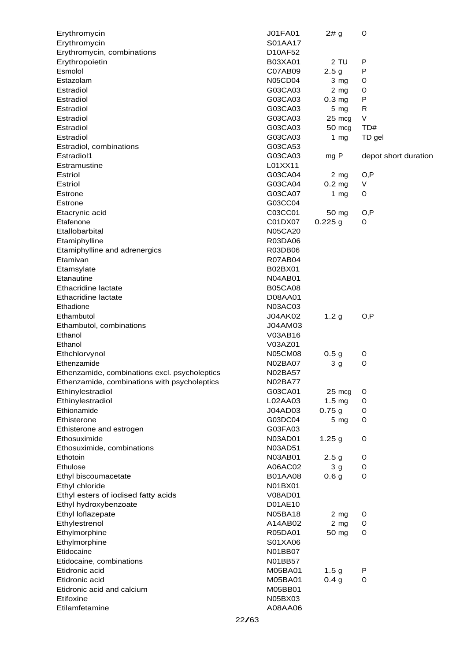| Erythromycin                                  | <b>J01FA01</b> | 2# g              | O                    |
|-----------------------------------------------|----------------|-------------------|----------------------|
| Erythromycin                                  | S01AA17        |                   |                      |
| Erythromycin, combinations                    | D10AF52        |                   |                      |
| Erythropoietin                                | <b>B03XA01</b> | 2 TU              | P                    |
| Esmolol                                       | C07AB09        | 2.5 <sub>g</sub>  | P                    |
| Estazolam                                     | <b>N05CD04</b> | 3 mg              | O                    |
| Estradiol                                     | G03CA03        | 2 <sub>mg</sub>   | O                    |
| Estradiol                                     | G03CA03        | 0.3 <sub>mg</sub> | P                    |
| Estradiol                                     | G03CA03        | $5 \, mg$         | R                    |
| Estradiol                                     | G03CA03        | 25 mcg            | V                    |
| Estradiol                                     | G03CA03        | 50 mcg            | TD#                  |
| Estradiol                                     | G03CA03        | 1 $mg$            | TD gel               |
| Estradiol, combinations                       | G03CA53        |                   |                      |
| Estradiol1                                    | G03CA03        | mg P              | depot short duration |
| Estramustine                                  | L01XX11        |                   |                      |
| Estriol                                       | G03CA04        | 2 <sub>mg</sub>   | O, P                 |
| Estriol                                       | G03CA04        | $0.2$ mg          | V                    |
| <b>Estrone</b>                                | G03CA07        | 1 $mg$            | O                    |
| <b>Estrone</b>                                | G03CC04        |                   |                      |
| Etacrynic acid                                | C03CC01        | 50 mg             | O, P                 |
| Etafenone                                     | C01DX07        | $0.225$ g         | 0                    |
| Etallobarbital                                | <b>N05CA20</b> |                   |                      |
| Etamiphylline                                 | R03DA06        |                   |                      |
| Etamiphylline and adrenergics                 | R03DB06        |                   |                      |
| Etamivan                                      | <b>R07AB04</b> |                   |                      |
| Etamsylate                                    | B02BX01        |                   |                      |
| Etanautine                                    | <b>N04AB01</b> |                   |                      |
| Ethacridine lactate                           | <b>B05CA08</b> |                   |                      |
| Ethacridine lactate                           | D08AA01        |                   |                      |
| Ethadione                                     | N03AC03        |                   |                      |
| Ethambutol                                    | J04AK02        | 1.2 <sub>g</sub>  | O,P                  |
| Ethambutol, combinations                      | J04AM03        |                   |                      |
| Ethanol                                       | V03AB16        |                   |                      |
| Ethanol                                       | V03AZ01        |                   |                      |
| Ethchlorvynol                                 | <b>N05CM08</b> | 0.5 <sub>g</sub>  | O                    |
| Ethenzamide                                   | N02BA07        | 3 <sub>g</sub>    | O                    |
| Ethenzamide, combinations excl. psycholeptics | N02BA57        |                   |                      |
| Ethenzamide, combinations with psycholeptics  | <b>N02BA77</b> |                   |                      |
| Ethinylestradiol                              | G03CA01        | 25 mcg            | O                    |
| Ethinylestradiol                              | L02AA03        | $1.5 \text{ mg}$  | O                    |
| Ethionamide                                   | J04AD03        | 0.75g             | O                    |
| Ethisterone                                   | G03DC04        | $5 \, mg$         | O                    |
| Ethisterone and estrogen                      | G03FA03        |                   |                      |
| Ethosuximide                                  | N03AD01        | 1.25 <sub>g</sub> | O                    |
| Ethosuximide, combinations                    | N03AD51        |                   |                      |
| Ethotoin                                      | N03AB01        | 2.5 <sub>g</sub>  | O                    |
| Ethulose                                      | A06AC02        | 3 <sub>q</sub>    | O                    |
| Ethyl biscoumacetate                          | <b>B01AA08</b> | 0.6 <sub>g</sub>  | O                    |
| Ethyl chloride                                | N01BX01        |                   |                      |
| Ethyl esters of iodised fatty acids           | V08AD01        |                   |                      |
| Ethyl hydroxybenzoate                         | D01AE10        |                   |                      |
| Ethyl loflazepate                             | <b>N05BA18</b> | $2 \, mg$         | O                    |
| Ethylestrenol                                 | A14AB02        | $2 \, mg$         | O                    |
| Ethylmorphine                                 | R05DA01        | 50 mg             | O                    |
| Ethylmorphine                                 | S01XA06        |                   |                      |
| Etidocaine                                    | N01BB07        |                   |                      |
| Etidocaine, combinations                      | N01BB57        |                   |                      |
| Etidronic acid                                | M05BA01        | 1.5 <sub>g</sub>  | P                    |
| Etidronic acid                                | M05BA01        | 0.4 <sub>g</sub>  | O                    |
| Etidronic acid and calcium                    | M05BB01        |                   |                      |
| Etifoxine                                     | N05BX03        |                   |                      |
| Etilamfetamine                                | A08AA06        |                   |                      |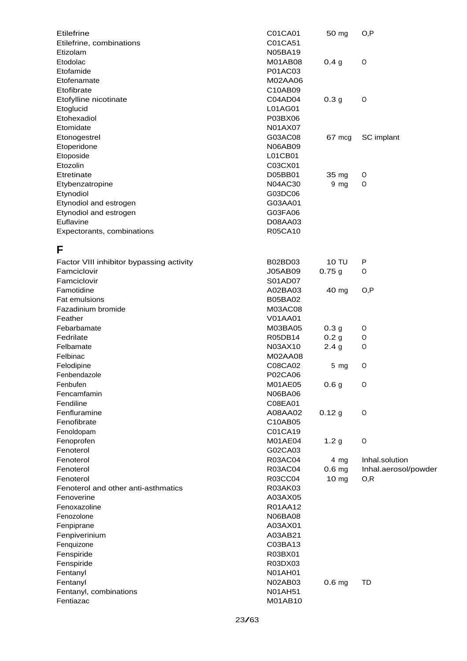| Etilefrine                               | C01CA01        | 50 mg             | O, P                 |
|------------------------------------------|----------------|-------------------|----------------------|
| Etilefrine, combinations                 | C01CA51        |                   |                      |
| Etizolam                                 | <b>N05BA19</b> |                   |                      |
| Etodolac                                 | M01AB08        | 0.4 <sub>g</sub>  | $\circ$              |
| Etofamide                                | P01AC03        |                   |                      |
| Etofenamate                              | M02AA06        |                   |                      |
| Etofibrate                               | C10AB09        |                   |                      |
| Etofylline nicotinate                    | C04AD04        | 0.3 <sub>g</sub>  | $\circ$              |
| Etoglucid                                | L01AG01        |                   |                      |
| Etohexadiol                              | P03BX06        |                   |                      |
| Etomidate                                | N01AX07        |                   |                      |
| Etonogestrel                             | G03AC08        | 67 mcg            | SC implant           |
| Etoperidone                              | <b>N06AB09</b> |                   |                      |
| Etoposide                                | L01CB01        |                   |                      |
| Etozolin                                 | C03CX01        |                   |                      |
| Etretinate                               | D05BB01        | 35 mg             | O                    |
| Etybenzatropine                          | N04AC30        | 9 <sub>mg</sub>   | O                    |
| Etynodiol                                | G03DC06        |                   |                      |
| Etynodiol and estrogen                   | G03AA01        |                   |                      |
| Etynodiol and estrogen                   | G03FA06        |                   |                      |
| Euflavine                                | D08AA03        |                   |                      |
| Expectorants, combinations               | R05CA10        |                   |                      |
|                                          |                |                   |                      |
| F                                        |                |                   |                      |
| Factor VIII inhibitor bypassing activity | B02BD03        | <b>10 TU</b>      | P                    |
| Famciclovir                              | <b>J05AB09</b> | 0.75g             | O                    |
| Famciclovir                              | S01AD07        |                   |                      |
| Famotidine                               | A02BA03        | 40 mg             | O, P                 |
| Fat emulsions                            | <b>B05BA02</b> |                   |                      |
| Fazadinium bromide                       | M03AC08        |                   |                      |
| Feather                                  | <b>V01AA01</b> |                   |                      |
| Febarbamate                              | M03BA05        | 0.3 <sub>g</sub>  | 0                    |
| Fedrilate                                | R05DB14        | 0.2 <sub>g</sub>  | O                    |
| Felbamate                                | N03AX10        | 2.4 <sub>g</sub>  | O                    |
| Felbinac                                 | M02AA08        |                   |                      |
| Felodipine                               | C08CA02        | 5 <sub>mg</sub>   | O                    |
| Fenbendazole                             | P02CA06        |                   |                      |
| Fenbufen                                 | M01AE05        | 0.6 <sub>g</sub>  | $\circ$              |
| Fencamfamin                              | N06BA06        |                   |                      |
| Fendiline                                | C08EA01        |                   |                      |
| Fenfluramine                             | A08AA02        | 0.12g             | $\circ$              |
| Fenofibrate                              | C10AB05        |                   |                      |
| Fenoldopam                               | C01CA19        |                   |                      |
| Fenoprofen                               | M01AE04        | 1.2 <sub>g</sub>  | $\circ$              |
| Fenoterol                                | G02CA03        |                   |                      |
| Fenoterol                                | R03AC04        | 4 mg              | Inhal.solution       |
| Fenoterol                                | R03AC04        | 0.6 <sub>mg</sub> | Inhal.aerosol/powder |
| Fenoterol                                | R03CC04        | 10 mg             | O, R                 |
| Fenoterol and other anti-asthmatics      | R03AK03        |                   |                      |
| Fenoverine                               | A03AX05        |                   |                      |
| Fenoxazoline                             | R01AA12        |                   |                      |
| Fenozolone                               | N06BA08        |                   |                      |
| Fenpiprane                               | A03AX01        |                   |                      |
| Fenpiverinium                            | A03AB21        |                   |                      |
| Fenquizone                               | C03BA13        |                   |                      |
|                                          |                |                   |                      |
| Fenspiride                               | R03BX01        |                   |                      |
| Fenspiride                               | R03DX03        |                   |                      |
| Fentanyl                                 | N01AH01        |                   |                      |
| Fentanyl                                 | N02AB03        | 0.6 <sub>mg</sub> | TD                   |
| Fentanyl, combinations                   | <b>N01AH51</b> |                   |                      |
| Fentiazac                                | M01AB10        |                   |                      |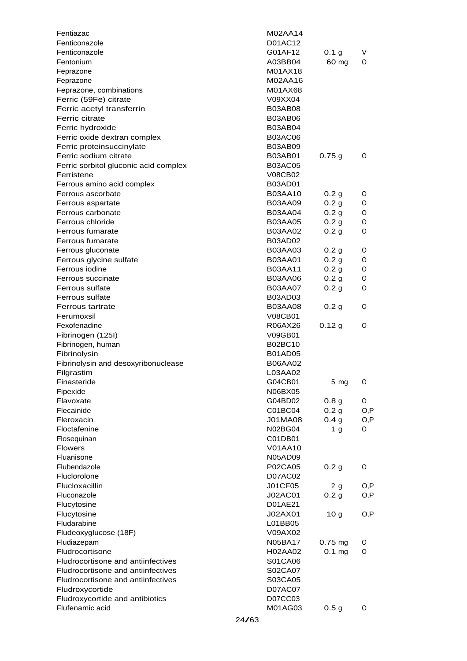| Fentiazac                             | M02AA14        |                  |      |
|---------------------------------------|----------------|------------------|------|
| Fenticonazole                         | D01AC12        |                  |      |
| Fenticonazole                         | G01AF12        | 0.1 <sub>g</sub> | V    |
| Fentonium                             | A03BB04        | 60 mg            | 0    |
| Feprazone                             | M01AX18        |                  |      |
| Feprazone                             | M02AA16        |                  |      |
| Feprazone, combinations               | M01AX68        |                  |      |
| Ferric (59Fe) citrate                 | V09XX04        |                  |      |
| Ferric acetyl transferrin             | <b>B03AB08</b> |                  |      |
| Ferric citrate                        | <b>B03AB06</b> |                  |      |
| Ferric hydroxide                      | <b>B03AB04</b> |                  |      |
| Ferric oxide dextran complex          | <b>B03AC06</b> |                  |      |
| Ferric proteinsuccinylate             | <b>B03AB09</b> |                  |      |
| Ferric sodium citrate                 | <b>B03AB01</b> | 0.75g            | 0    |
| Ferric sorbitol gluconic acid complex | <b>B03AC05</b> |                  |      |
| Ferristene                            | <b>V08CB02</b> |                  |      |
| Ferrous amino acid complex            | <b>B03AD01</b> |                  |      |
| Ferrous ascorbate                     | <b>B03AA10</b> | 0.2 <sub>g</sub> | O    |
| Ferrous aspartate                     | <b>B03AA09</b> | 0.2 <sub>g</sub> | 0    |
| Ferrous carbonate                     | <b>B03AA04</b> | 0.2 <sub>g</sub> | 0    |
| Ferrous chloride                      | <b>B03AA05</b> | 0.2 <sub>g</sub> | 0    |
| Ferrous fumarate                      | <b>B03AA02</b> | 0.2 <sub>g</sub> | 0    |
| Ferrous fumarate                      | <b>B03AD02</b> |                  |      |
| Ferrous gluconate                     | <b>B03AA03</b> | 0.2 g            | 0    |
| Ferrous glycine sulfate               | <b>B03AA01</b> | 0.2 <sub>g</sub> | 0    |
| Ferrous iodine                        | <b>B03AA11</b> | 0.2 <sub>g</sub> | 0    |
| Ferrous succinate                     | <b>B03AA06</b> | 0.2 <sub>g</sub> | 0    |
| Ferrous sulfate                       | <b>B03AA07</b> | 0.2 <sub>g</sub> | 0    |
| Ferrous sulfate                       | <b>B03AD03</b> |                  |      |
| Ferrous tartrate                      | <b>B03AA08</b> | 0.2 <sub>g</sub> | 0    |
| Ferumoxsil                            | <b>V08CB01</b> |                  |      |
| Fexofenadine                          | R06AX26        | 0.12 g           | 0    |
| Fibrinogen (125I)                     | V09GB01        |                  |      |
| Fibrinogen, human                     | <b>B02BC10</b> |                  |      |
| Fibrinolysin                          | <b>B01AD05</b> |                  |      |
| Fibrinolysin and desoxyribonuclease   | <b>B06AA02</b> |                  |      |
| Filgrastim                            | L03AA02        |                  |      |
| Finasteride                           | G04CB01        | 5 <sub>mg</sub>  | O    |
| Fipexide                              | N06BX05        |                  |      |
| Flavoxate                             | G04BD02        | 0.8 <sub>g</sub> | 0    |
| Flecainide                            | C01BC04        | 0.2 <sub>g</sub> | O, P |
| Fleroxacin                            | J01MA08        | 0.4 <sub>g</sub> | O,P  |
| Floctafenine                          | <b>N02BG04</b> | 1 <sub>g</sub>   | 0    |
| Flosequinan                           | C01DB01        |                  |      |
| <b>Flowers</b>                        | V01AA10        |                  |      |
| Fluanisone                            | <b>N05AD09</b> |                  |      |
| Flubendazole                          | P02CA05        | 0.2 <sub>g</sub> | 0    |
| Fluclorolone                          | D07AC02        |                  |      |
| Flucloxacillin                        | J01CF05        | 2g               | O, P |
| Fluconazole                           | J02AC01        | 0.2 <sub>g</sub> | O, P |
| Flucytosine                           | D01AE21        |                  |      |
| Flucytosine                           | J02AX01        | 10 <sub>g</sub>  | O, P |
| Fludarabine                           | L01BB05        |                  |      |
| Fludeoxyglucose (18F)                 | V09AX02        |                  |      |
| Fludiazepam                           | <b>N05BA17</b> | 0.75 mg          | O    |
| Fludrocortisone                       | H02AA02        | $0.1$ mg         | 0    |
| Fludrocortisone and antiinfectives    | S01CA06        |                  |      |
| Fludrocortisone and antiinfectives    | S02CA07        |                  |      |
| Fludrocortisone and antiinfectives    |                |                  |      |
| Fludroxycortide                       | S03CA05        |                  |      |
| Fludroxycortide and antibiotics       | D07AC07        |                  |      |
| Flufenamic acid                       | D07CC03        |                  | 0    |
|                                       | M01AG03        | 0.5 <sub>g</sub> |      |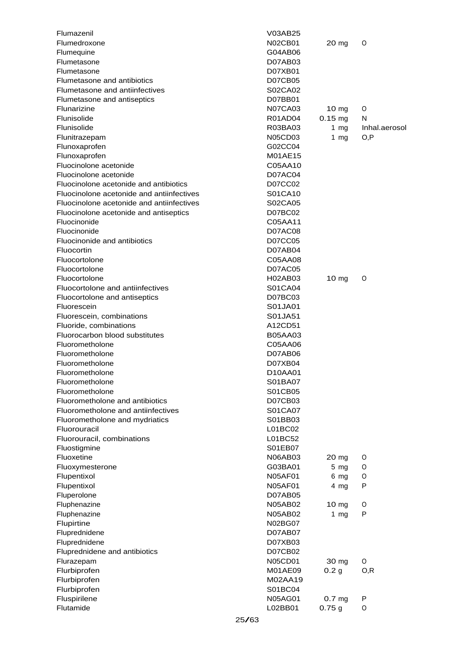| Flumazenil                                |       | V03AB25            |                     |               |
|-------------------------------------------|-------|--------------------|---------------------|---------------|
| Flumedroxone                              |       | <b>N02CB01</b>     | 20 <sub>mg</sub>    | O             |
| Flumequine                                |       | G04AB06            |                     |               |
| Flumetasone                               |       | D07AB03            |                     |               |
| Flumetasone                               |       | D07XB01            |                     |               |
| Flumetasone and antibiotics               |       | <b>D07CB05</b>     |                     |               |
| Flumetasone and antiinfectives            |       | S02CA02            |                     |               |
| Flumetasone and antiseptics               |       | D07BB01            |                     |               |
| Flunarizine                               |       | <b>N07CA03</b>     | $10 \text{ mg}$     | O             |
| Flunisolide                               |       | R01AD04            | $0.15 \, \text{mg}$ | N             |
| Flunisolide                               |       | R03BA03            | 1 $mg$              | Inhal.aerosol |
| Flunitrazepam                             |       | N05CD03            | 1 $mg$              | O, P          |
| Flunoxaprofen                             |       | G02CC04            |                     |               |
| Flunoxaprofen                             |       | M01AE15            |                     |               |
| Fluocinolone acetonide                    |       | C05AA10            |                     |               |
| Fluocinolone acetonide                    |       | D07AC04            |                     |               |
| Fluocinolone acetonide and antibiotics    |       | D07CC02            |                     |               |
| Fluocinolone acetonide and antiinfectives |       | S01CA10            |                     |               |
| Fluocinolone acetonide and antiinfectives |       | S02CA05            |                     |               |
| Fluocinolone acetonide and antiseptics    |       | D07BC02            |                     |               |
| Fluocinonide                              |       | C05AA11            |                     |               |
| Fluocinonide                              |       | D07AC08            |                     |               |
| Fluocinonide and antibiotics              |       | D07CC05            |                     |               |
| Fluocortin                                |       | D07AB04            |                     |               |
| Fluocortolone                             |       | C05AA08            |                     |               |
| Fluocortolone                             |       | D07AC05            |                     |               |
| Fluocortolone                             |       | H02AB03            | $10 \text{ mg}$     | O             |
| Fluocortolone and antiinfectives          |       | S01CA04            |                     |               |
| Fluocortolone and antiseptics             |       | D07BC03            |                     |               |
| Fluorescein                               |       | S01JA01            |                     |               |
| Fluorescein, combinations                 |       | S01JA51            |                     |               |
| Fluoride, combinations                    |       | A12CD51            |                     |               |
| Fluorocarbon blood substitutes            |       | <b>B05AA03</b>     |                     |               |
| Fluorometholone                           |       | C05AA06            |                     |               |
| Fluorometholone                           |       | D07AB06            |                     |               |
| Fluorometholone                           |       | D07XB04            |                     |               |
| Fluorometholone                           |       | D10AA01            |                     |               |
| Fluorometholone                           |       | S01BA07            |                     |               |
| Fluorometholone                           |       | S01CB05            |                     |               |
| Fluorometholone and antibiotics           |       | D07CB03            |                     |               |
| Fluorometholone and antiinfectives        |       | S01CA07            |                     |               |
| Fluorometholone and mydriatics            |       | S01BB03            |                     |               |
| Fluorouracil                              |       | L01BC02            |                     |               |
| Fluorouracil, combinations                |       | L01BC52            |                     |               |
| Fluostigmine                              |       | S01EB07            |                     |               |
| Fluoxetine                                |       | N06AB03            | 20 mg               | O             |
| Fluoxymesterone                           |       | G03BA01            | $5 \, mg$           | 0             |
| Flupentixol                               |       | N05AF01            | 6 mg                | 0<br>P        |
| Flupentixol                               |       | N05AF01            | $4 \, mg$           |               |
| Fluperolone<br>Fluphenazine               |       | D07AB05<br>N05AB02 | 10 mg               | O             |
| Fluphenazine                              |       | <b>N05AB02</b>     | 1 $mg$              | P             |
| Flupirtine                                |       | N02BG07            |                     |               |
| Fluprednidene                             |       | D07AB07            |                     |               |
| Fluprednidene                             |       | D07XB03            |                     |               |
| Fluprednidene and antibiotics             |       | D07CB02            |                     |               |
| Flurazepam                                |       | N05CD01            | 30 mg               | O             |
| Flurbiprofen                              |       | M01AE09            | 0.2 <sub>g</sub>    | O, R          |
| Flurbiprofen                              |       | M02AA19            |                     |               |
| Flurbiprofen                              |       | S01BC04            |                     |               |
| Fluspirilene                              |       | <b>N05AG01</b>     | 0.7 <sub>mg</sub>   | P             |
| Flutamide                                 |       | L02BB01            | 0.75g               | O             |
|                                           |       |                    |                     |               |
|                                           | 25/63 |                    |                     |               |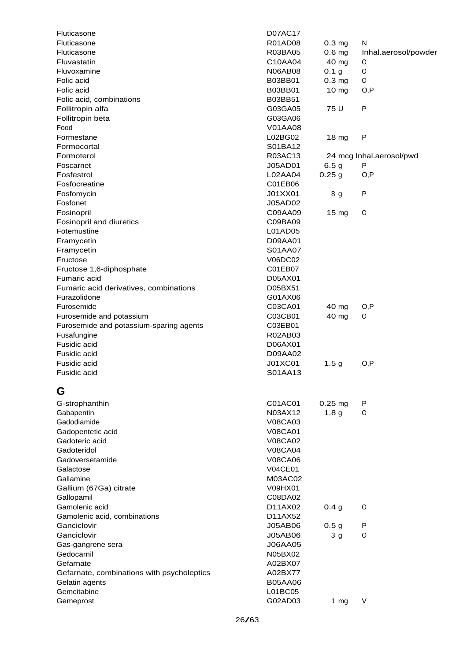| Fluticasone                                | <b>D07AC17</b> |                   |                          |
|--------------------------------------------|----------------|-------------------|--------------------------|
| Fluticasone                                | R01AD08        | 0.3 <sub>mg</sub> | N                        |
| Fluticasone                                | R03BA05        | 0.6 <sub>mg</sub> | Inhal.aerosol/powder     |
| Fluvastatin                                | C10AA04        | 40 mg             | $\circ$                  |
| Fluvoxamine                                | <b>N06AB08</b> | 0.1 <sub>g</sub>  | $\mathsf O$              |
| Folic acid                                 | <b>B03BB01</b> | 0.3 <sub>mg</sub> | O                        |
| Folic acid                                 | <b>B03BB01</b> | 10 <sub>mg</sub>  | O, P                     |
| Folic acid, combinations                   | B03BB51        |                   |                          |
| Follitropin alfa                           | G03GA05        | 75 U              | $\sf P$                  |
| Follitropin beta                           | G03GA06        |                   |                          |
| Food                                       | V01AA08        |                   |                          |
| Formestane                                 | L02BG02        | 18 <sub>mg</sub>  | ${\sf P}$                |
| Formocortal                                | S01BA12        |                   |                          |
| Formoterol                                 | R03AC13        |                   | 24 mcg Inhal.aerosol/pwd |
| Foscarnet                                  | J05AD01        | 6.5 <sub>g</sub>  | P                        |
| Fosfestrol                                 | L02AA04        | 0.25 <sub>g</sub> | O, P                     |
| Fosfocreatine                              | C01EB06        |                   |                          |
| Fosfomycin                                 | J01XX01        | 8 g               | ${\sf P}$                |
| Fosfonet                                   | J05AD02        |                   |                          |
| Fosinopril                                 | C09AA09        | 15 mg             | O                        |
| Fosinopril and diuretics                   | C09BA09        |                   |                          |
| Fotemustine                                | L01AD05        |                   |                          |
|                                            | D09AA01        |                   |                          |
| Framycetin                                 |                |                   |                          |
| Framycetin                                 | S01AA07        |                   |                          |
| Fructose                                   | V06DC02        |                   |                          |
| Fructose 1,6-diphosphate                   | C01EB07        |                   |                          |
| Fumaric acid                               | D05AX01        |                   |                          |
| Fumaric acid derivatives, combinations     | D05BX51        |                   |                          |
| Furazolidone                               | G01AX06        |                   |                          |
| Furosemide                                 | C03CA01        | 40 mg             | O, P                     |
| Furosemide and potassium                   | C03CB01        | 40 mg             | 0                        |
| Furosemide and potassium-sparing agents    | C03EB01        |                   |                          |
| Fusafungine                                | R02AB03        |                   |                          |
| Fusidic acid                               | D06AX01        |                   |                          |
| Fusidic acid                               | D09AA02        |                   |                          |
| Fusidic acid                               | J01XC01        | 1.5 <sub>g</sub>  | O, P                     |
| Fusidic acid                               | S01AA13        |                   |                          |
|                                            |                |                   |                          |
| G                                          |                |                   |                          |
| G-strophanthin                             | C01AC01        | $0.25$ mg         | Ρ                        |
| Gabapentin                                 | N03AX12        | 1.8 <sub>g</sub>  | O                        |
| Gadodiamide                                | V08CA03        |                   |                          |
| Gadopentetic acid                          | <b>V08CA01</b> |                   |                          |
| Gadoteric acid                             | <b>V08CA02</b> |                   |                          |
| Gadoteridol                                | <b>V08CA04</b> |                   |                          |
| Gadoversetamide                            | <b>V08CA06</b> |                   |                          |
| Galactose                                  | <b>V04CE01</b> |                   |                          |
| Gallamine                                  | M03AC02        |                   |                          |
| Gallium (67Ga) citrate                     | V09HX01        |                   |                          |
| Gallopamil                                 | C08DA02        |                   |                          |
| Gamolenic acid                             | D11AX02        | 0.4 <sub>g</sub>  | O                        |
| Gamolenic acid, combinations               | D11AX52        |                   |                          |
| Ganciclovir                                | <b>J05AB06</b> | 0.5 <sub>g</sub>  | Ρ                        |
| Ganciclovir                                | <b>J05AB06</b> |                   | O                        |
|                                            |                | 3 <sub>g</sub>    |                          |
| Gas-gangrene sera                          | <b>J06AA05</b> |                   |                          |
| Gedocarnil                                 | N05BX02        |                   |                          |
| Gefarnate                                  | A02BX07        |                   |                          |
| Gefarnate, combinations with psycholeptics | A02BX77        |                   |                          |
| Gelatin agents                             | <b>B05AA06</b> |                   |                          |
| Gemcitabine                                | L01BC05        |                   |                          |
| Gemeprost                                  | G02AD03        | 1 $mg$            | V                        |
|                                            |                |                   |                          |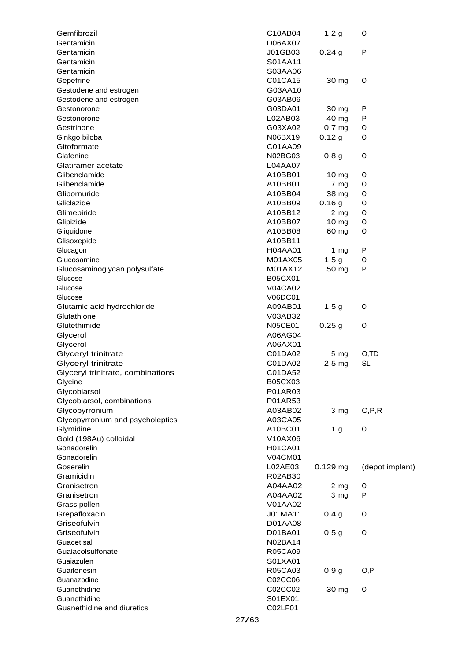| Gemfibrozil                       | C10AB04        | 1.2 <sub>g</sub>  | O               |
|-----------------------------------|----------------|-------------------|-----------------|
| Gentamicin                        | D06AX07        |                   |                 |
| Gentamicin                        | J01GB03        | 0.24g             | P               |
| Gentamicin                        | S01AA11        |                   |                 |
| Gentamicin                        | S03AA06        |                   |                 |
| Gepefrine                         | C01CA15        | 30 mg             | O               |
| Gestodene and estrogen            | G03AA10        |                   |                 |
| Gestodene and estrogen            | G03AB06        |                   |                 |
| Gestonorone                       | G03DA01        | 30 mg             | P               |
| Gestonorone                       | L02AB03        | 40 mg             | P               |
| Gestrinone                        | G03XA02        | 0.7 <sub>mg</sub> | O               |
| Ginkgo biloba                     | N06BX19        | 0.12 g            | O               |
| Gitoformate                       | C01AA09        |                   |                 |
| Glafenine                         | N02BG03        | 0.8 <sub>g</sub>  | $\circ$         |
| Glatiramer acetate                | L04AA07        |                   |                 |
| Glibenclamide                     | A10BB01        | 10 <sub>mg</sub>  | O               |
| Glibenclamide                     | A10BB01        | 7 mg              | O               |
| Glibornuride                      | A10BB04        | 38 mg             | O               |
| Gliclazide                        | A10BB09        | 0.16 <sub>g</sub> | 0               |
| Glimepiride                       | A10BB12        | 2 <sub>mg</sub>   | O               |
| Glipizide                         | A10BB07        | 10 <sub>mg</sub>  | O               |
| Gliquidone                        | A10BB08        | 60 mg             | O               |
| Glisoxepide                       | A10BB11        |                   |                 |
| Glucagon                          | <b>H04AA01</b> | 1 $mg$            | P               |
| Glucosamine                       | M01AX05        | 1.5 <sub>g</sub>  | O               |
| Glucosaminoglycan polysulfate     | M01AX12        | 50 mg             | P               |
| Glucose                           | B05CX01        |                   |                 |
| Glucose                           | <b>V04CA02</b> |                   |                 |
| Glucose                           | V06DC01        |                   |                 |
| Glutamic acid hydrochloride       | A09AB01        | 1.5 <sub>g</sub>  | O               |
| Glutathione                       | V03AB32        |                   |                 |
| Glutethimide                      | <b>N05CE01</b> | 0.25g             | O               |
| Glycerol                          | A06AG04        |                   |                 |
| Glycerol                          | A06AX01        |                   |                 |
| Glyceryl trinitrate               | C01DA02        | $5 \, mg$         | O,TD            |
| Glyceryl trinitrate               | C01DA02        | 2.5 <sub>mg</sub> | <b>SL</b>       |
| Glyceryl trinitrate, combinations | C01DA52        |                   |                 |
| Glycine                           | B05CX03        |                   |                 |
| Glycobiarsol                      | P01AR03        |                   |                 |
| Glycobiarsol, combinations        | P01AR53        |                   |                 |
| Glycopyrronium                    | A03AB02        | 3 <sub>mg</sub>   | O, P, R         |
| Glycopyrronium and psycholeptics  | A03CA05        |                   |                 |
| Glymidine                         | A10BC01        | 1 <sub>g</sub>    | O               |
| Gold (198Au) colloidal            | V10AX06        |                   |                 |
| Gonadorelin                       | <b>H01CA01</b> |                   |                 |
| Gonadorelin                       | <b>V04CM01</b> |                   |                 |
| Goserelin                         | L02AE03        | $0.129$ mg        | (depot implant) |
| Gramicidin                        | R02AB30        |                   |                 |
| Granisetron                       | A04AA02        | $2$ mg            | O               |
| Granisetron                       | A04AA02        | $3 \, mg$         | P               |
| Grass pollen                      | V01AA02        |                   |                 |
| Grepafloxacin                     | J01MA11        | 0.4 <sub>g</sub>  | O               |
| Griseofulvin                      | D01AA08        |                   |                 |
| Griseofulvin                      | D01BA01        | 0.5 <sub>g</sub>  | $\circ$         |
| Guacetisal                        | N02BA14        |                   |                 |
| Guaiacolsulfonate                 | <b>R05CA09</b> |                   |                 |
| Guaiazulen                        | S01XA01        |                   |                 |
| Guaifenesin                       | R05CA03        | 0.9 <sub>g</sub>  | O, P            |
| Guanazodine                       | C02CC06        |                   |                 |
| Guanethidine                      | C02CC02        | 30 mg             | O               |
| Guanethidine                      | S01EX01        |                   |                 |
| Guanethidine and diuretics        | C02LF01        |                   |                 |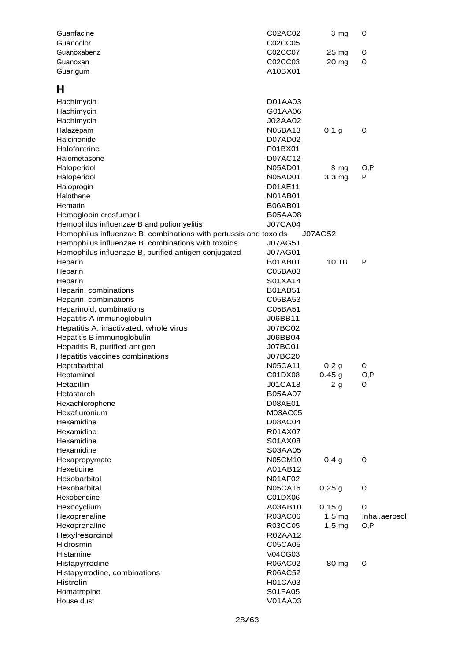| Guanfacine                                                       | C02AC02                   | 3 mg                      | 0             |
|------------------------------------------------------------------|---------------------------|---------------------------|---------------|
| Guanoclor                                                        | C02CC05                   |                           |               |
| Guanoxabenz                                                      | C02CC07                   | 25 mg                     | 0             |
| Guanoxan                                                         | C02CC03                   | 20 mg                     | O             |
| Guar gum                                                         | A10BX01                   |                           |               |
| н                                                                |                           |                           |               |
| Hachimycin                                                       | D01AA03                   |                           |               |
| Hachimycin                                                       | G01AA06                   |                           |               |
| Hachimycin                                                       | J02AA02                   |                           |               |
| Halazepam                                                        | <b>N05BA13</b>            | 0.1 <sub>g</sub>          | O             |
| Halcinonide                                                      | D07AD02                   |                           |               |
| Halofantrine                                                     | P01BX01                   |                           |               |
| Halometasone                                                     | D07AC12                   |                           |               |
| Haloperidol                                                      | <b>N05AD01</b>            | 8 mg                      | O,P           |
| Haloperidol                                                      | <b>N05AD01</b>            | 3.3 <sub>mg</sub>         | Р             |
| Haloprogin                                                       | D01AE11                   |                           |               |
| Halothane                                                        | <b>N01AB01</b>            |                           |               |
| Hematin                                                          | <b>B06AB01</b>            |                           |               |
| Hemoglobin crosfumaril                                           | <b>B05AA08</b>            |                           |               |
| Hemophilus influenzae B and poliomyelitis                        | <b>J07CA04</b>            |                           |               |
| Hemophilus influenzae B, combinations with pertussis and toxoids |                           | <b>J07AG52</b>            |               |
| Hemophilus influenzae B, combinations with toxoids               | <b>J07AG51</b>            |                           |               |
| Hemophilus influenzae B, purified antigen conjugated             | <b>J07AG01</b>            |                           |               |
| Heparin                                                          | B01AB01                   | 10 TU                     | P             |
| Heparin                                                          | C05BA03                   |                           |               |
| Heparin                                                          | S01XA14                   |                           |               |
| Heparin, combinations                                            | <b>B01AB51</b>            |                           |               |
| Heparin, combinations                                            | C05BA53                   |                           |               |
| Heparinoid, combinations                                         | C05BA51                   |                           |               |
| Hepatitis A immunoglobulin                                       | J06BB11                   |                           |               |
| Hepatitis A, inactivated, whole virus                            | J07BC02                   |                           |               |
| Hepatitis B immunoglobulin                                       | J06BB04                   |                           |               |
| Hepatitis B, purified antigen                                    | J07BC01                   |                           |               |
| Hepatitis vaccines combinations                                  | J07BC20                   |                           |               |
| Heptabarbital                                                    | <b>N05CA11</b><br>C01DX08 | 0.2 <sub>g</sub><br>0.45g | 0             |
| Heptaminol<br>Hetacillin                                         | <b>J01CA18</b>            |                           | O,P<br>O      |
| Hetastarch                                                       | <b>B05AA07</b>            | 2g                        |               |
| Hexachlorophene                                                  | D08AE01                   |                           |               |
| Hexafluronium                                                    | M03AC05                   |                           |               |
| Hexamidine                                                       | D08AC04                   |                           |               |
| Hexamidine                                                       | R01AX07                   |                           |               |
| Hexamidine                                                       | S01AX08                   |                           |               |
| Hexamidine                                                       | S03AA05                   |                           |               |
| Hexapropymate                                                    | N05CM10                   | 0.4 <sub>g</sub>          | O             |
| Hexetidine                                                       | A01AB12                   |                           |               |
| Hexobarbital                                                     | <b>N01AF02</b>            |                           |               |
| Hexobarbital                                                     | <b>N05CA16</b>            | 0.25g                     | O             |
| Hexobendine                                                      | C01DX06                   |                           |               |
| Hexocyclium                                                      | A03AB10                   | 0.15g                     | 0             |
| Hexoprenaline                                                    | R03AC06                   | 1.5 <sub>mg</sub>         | Inhal.aerosol |
| Hexoprenaline                                                    | R03CC05                   | 1.5 <sub>mg</sub>         | O, P          |
| Hexylresorcinol                                                  | R02AA12                   |                           |               |
| Hidrosmin                                                        | C05CA05                   |                           |               |
| Histamine                                                        | V04CG03                   |                           |               |
| Histapyrrodine                                                   | R06AC02                   | 80 mg                     | O             |
| Histapyrrodine, combinations                                     | R06AC52                   |                           |               |
| Histrelin                                                        | H01CA03                   |                           |               |
| Homatropine                                                      | S01FA05                   |                           |               |
| House dust                                                       | V01AA03                   |                           |               |
|                                                                  |                           |                           |               |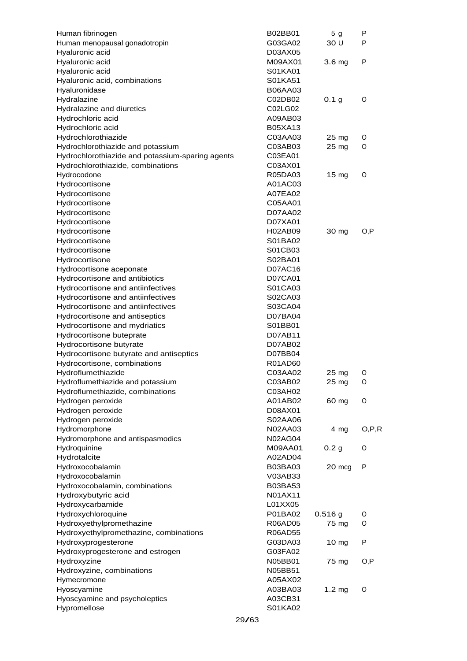| Human fibrinogen                                 |       | B02BB01        | 5 <sub>g</sub>    | P       |
|--------------------------------------------------|-------|----------------|-------------------|---------|
| Human menopausal gonadotropin                    |       | G03GA02        | 30 U              | Р       |
| Hyaluronic acid                                  |       | D03AX05        |                   |         |
| Hyaluronic acid                                  |       | M09AX01        | 3.6 <sub>mg</sub> | P       |
| Hyaluronic acid                                  |       | S01KA01        |                   |         |
| Hyaluronic acid, combinations                    |       | S01KA51        |                   |         |
| Hyaluronidase                                    |       | <b>B06AA03</b> |                   |         |
| Hydralazine                                      |       | C02DB02        | 0.1 <sub>g</sub>  | O       |
| Hydralazine and diuretics                        |       | C02LG02        |                   |         |
| Hydrochloric acid                                |       | A09AB03        |                   |         |
| Hydrochloric acid                                |       | <b>B05XA13</b> |                   |         |
| Hydrochlorothiazide                              |       | C03AA03        | $25 \text{ mg}$   | O       |
| Hydrochlorothiazide and potassium                |       | C03AB03        | 25 mg             | O       |
| Hydrochlorothiazide and potassium-sparing agents |       | C03EA01        |                   |         |
| Hydrochlorothiazide, combinations                |       | C03AX01        |                   |         |
| Hydrocodone                                      |       | R05DA03        | 15 <sub>mg</sub>  | O       |
| Hydrocortisone                                   |       | A01AC03        |                   |         |
| Hydrocortisone                                   |       | A07EA02        |                   |         |
| Hydrocortisone                                   |       | C05AA01        |                   |         |
| Hydrocortisone                                   |       | D07AA02        |                   |         |
| Hydrocortisone                                   |       | D07XA01        |                   |         |
| Hydrocortisone                                   |       | H02AB09        | 30 mg             | O, P    |
| Hydrocortisone                                   |       | S01BA02        |                   |         |
| Hydrocortisone                                   |       | S01CB03        |                   |         |
| Hydrocortisone                                   |       | S02BA01        |                   |         |
| Hydrocortisone aceponate                         |       | D07AC16        |                   |         |
| Hydrocortisone and antibiotics                   |       | <b>D07CA01</b> |                   |         |
| Hydrocortisone and antiinfectives                |       | S01CA03        |                   |         |
| Hydrocortisone and antiinfectives                |       | S02CA03        |                   |         |
| Hydrocortisone and antiinfectives                |       | S03CA04        |                   |         |
| Hydrocortisone and antiseptics                   |       | D07BA04        |                   |         |
| Hydrocortisone and mydriatics                    |       | S01BB01        |                   |         |
| Hydrocortisone buteprate                         |       | D07AB11        |                   |         |
| Hydrocortisone butyrate                          |       | D07AB02        |                   |         |
| Hydrocortisone butyrate and antiseptics          |       | D07BB04        |                   |         |
| Hydrocortisone, combinations                     |       | R01AD60        |                   |         |
| Hydroflumethiazide                               |       | C03AA02        | $25 \text{ mg}$   | O       |
| Hydroflumethiazide and potassium                 |       | C03AB02        | 25 mg             | O       |
| Hydroflumethiazide, combinations                 |       | C03AH02        |                   |         |
| Hydrogen peroxide                                |       | A01AB02        | 60 mg             | O       |
| Hydrogen peroxide                                |       | D08AX01        |                   |         |
| Hydrogen peroxide                                |       | S02AA06        |                   |         |
| Hydromorphone                                    |       | N02AA03        | $4 \, mg$         | O, P, R |
| Hydromorphone and antispasmodics                 |       | <b>N02AG04</b> |                   |         |
| Hydroquinine                                     |       | M09AA01        | 0.2 <sub>g</sub>  | O       |
| Hydrotalcite                                     |       | A02AD04        |                   |         |
| Hydroxocobalamin                                 |       | <b>B03BA03</b> | 20 mcg            | P       |
| Hydroxocobalamin                                 |       | V03AB33        |                   |         |
| Hydroxocobalamin, combinations                   |       | <b>B03BA53</b> |                   |         |
| Hydroxybutyric acid                              |       | N01AX11        |                   |         |
| Hydroxycarbamide                                 |       | L01XX05        |                   |         |
| Hydroxychloroquine                               |       | P01BA02        | $0.516$ g         | O       |
| Hydroxyethylpromethazine                         |       | <b>R06AD05</b> | 75 mg             | O       |
| Hydroxyethylpromethazine, combinations           |       | <b>R06AD55</b> |                   |         |
| Hydroxyprogesterone                              |       | G03DA03        | 10 <sub>mg</sub>  | P       |
| Hydroxyprogesterone and estrogen                 |       | G03FA02        |                   |         |
| Hydroxyzine                                      |       | N05BB01        | 75 mg             | O, P    |
| Hydroxyzine, combinations                        |       | N05BB51        |                   |         |
| Hymecromone                                      |       | A05AX02        |                   |         |
| Hyoscyamine                                      |       | A03BA03        | $1.2 \text{ mg}$  | O       |
| Hyoscyamine and psycholeptics                    |       | A03CB31        |                   |         |
| Hypromellose                                     |       | S01KA02        |                   |         |
|                                                  | 29/63 |                |                   |         |
|                                                  |       |                |                   |         |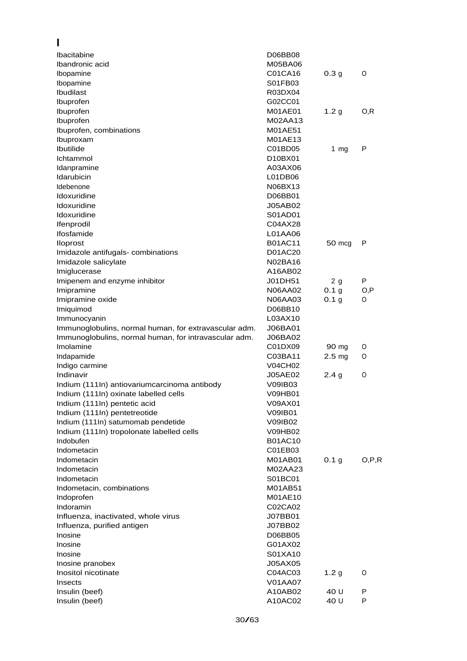| ı                                                     |                           |                   |         |
|-------------------------------------------------------|---------------------------|-------------------|---------|
| <b>Ibacitabine</b>                                    | D06BB08                   |                   |         |
| Ibandronic acid                                       | M05BA06                   |                   |         |
| Ibopamine                                             | C01CA16                   | 0.3 <sub>g</sub>  | O       |
| Ibopamine                                             | S01FB03                   |                   |         |
| Ibudilast                                             | R03DX04                   |                   |         |
| Ibuprofen                                             | G02CC01                   |                   |         |
| Ibuprofen                                             | M01AE01                   | 1.2 <sub>g</sub>  | O, R    |
| Ibuprofen                                             | M02AA13                   |                   |         |
| Ibuprofen, combinations                               | M01AE51                   |                   |         |
| Ibuproxam                                             | M01AE13                   |                   |         |
| Ibutilide                                             | C01BD05                   | 1 $mg$            | P       |
| Ichtammol                                             | D10BX01                   |                   |         |
| Idanpramine                                           | A03AX06                   |                   |         |
| Idarubicin                                            | L01DB06                   |                   |         |
| Idebenone                                             | N06BX13                   |                   |         |
| Idoxuridine                                           | D06BB01                   |                   |         |
| Idoxuridine<br>Idoxuridine                            | <b>J05AB02</b><br>S01AD01 |                   |         |
|                                                       | C04AX28                   |                   |         |
| Ifenprodil<br>Ifosfamide                              | L01AA06                   |                   |         |
|                                                       | <b>B01AC11</b>            |                   | P       |
| <b>Iloprost</b><br>Imidazole antifugals- combinations | D01AC20                   | 50 mcg            |         |
| Imidazole salicylate                                  | N02BA16                   |                   |         |
| Imiglucerase                                          | A16AB02                   |                   |         |
| Imipenem and enzyme inhibitor                         | J01DH51                   | 2g                | P       |
| Imipramine                                            | N06AA02                   | 0.1 g             | O, P    |
| Imipramine oxide                                      | N06AA03                   | 0.1 <sub>g</sub>  | 0       |
| Imiquimod                                             | D06BB10                   |                   |         |
| Immunocyanin                                          | L03AX10                   |                   |         |
| Immunoglobulins, normal human, for extravascular adm. | J06BA01                   |                   |         |
| Immunoglobulins, normal human, for intravascular adm. | J06BA02                   |                   |         |
| Imolamine                                             | C01DX09                   | 90 mg             | O       |
| Indapamide                                            | C03BA11                   | 2.5 <sub>mg</sub> | O       |
| Indigo carmine                                        | <b>V04CH02</b>            |                   |         |
| Indinavir                                             | J05AE02                   | 2.4 <sub>g</sub>  | O       |
| Indium (111In) antiovariumcarcinoma antibody          | V09IB03                   |                   |         |
| Indium (111In) oxinate labelled cells                 | <b>V09HB01</b>            |                   |         |
| Indium (111In) pentetic acid                          | V09AX01                   |                   |         |
| Indium (111In) pentetreotide                          | <b>V09IB01</b>            |                   |         |
| Indium (111In) satumomab pendetide                    | V09IB02                   |                   |         |
| Indium (111In) tropolonate labelled cells             | V09HB02                   |                   |         |
| Indobufen                                             | <b>B01AC10</b>            |                   |         |
| Indometacin                                           | C01EB03                   |                   |         |
| Indometacin                                           | M01AB01                   | 0.1 <sub>g</sub>  | O, P, R |
| Indometacin                                           | M02AA23                   |                   |         |
| Indometacin                                           | S01BC01                   |                   |         |
| Indometacin, combinations                             | M01AB51                   |                   |         |
| Indoprofen                                            | M01AE10                   |                   |         |
| Indoramin                                             | C02CA02                   |                   |         |
| Influenza, inactivated, whole virus                   | J07BB01                   |                   |         |
| Influenza, purified antigen                           | J07BB02                   |                   |         |
| Inosine                                               | D06BB05                   |                   |         |
| Inosine                                               | G01AX02                   |                   |         |
| Inosine                                               | S01XA10                   |                   |         |
| Inosine pranobex                                      | J05AX05                   |                   |         |
| Inositol nicotinate                                   | C04AC03                   | 1.2 <sub>g</sub>  | 0       |
| Insects                                               | <b>V01AA07</b>            |                   |         |
| Insulin (beef)                                        | A10AB02                   | 40 U              | P       |
| Insulin (beef)                                        | A10AC02                   | 40 U              | P       |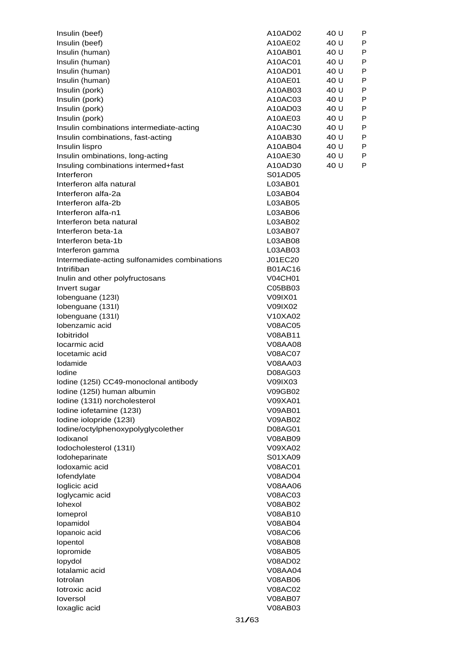| Insulin (beef)                                | A10AD02        | 40 U | P |
|-----------------------------------------------|----------------|------|---|
| Insulin (beef)                                | A10AE02        | 40 U | P |
| Insulin (human)                               | A10AB01        | 40 U | P |
| Insulin (human)                               | A10AC01        | 40 U | P |
| Insulin (human)                               | A10AD01        | 40 U | P |
| Insulin (human)                               | A10AE01        | 40 U | P |
| Insulin (pork)                                | A10AB03        | 40 U | P |
| Insulin (pork)                                | A10AC03        | 40 U | P |
| Insulin (pork)                                | A10AD03        | 40 U | P |
| Insulin (pork)                                | A10AE03        | 40 U | P |
| Insulin combinations intermediate-acting      | A10AC30        | 40 U | P |
| Insulin combinations, fast-acting             | A10AB30        | 40 U | P |
| Insulin lispro                                | A10AB04        | 40 U | P |
| Insulin ombinations, long-acting              | A10AE30        | 40 U | P |
| Insuling combinations intermed+fast           | A10AD30        | 40 U | P |
| Interferon                                    | S01AD05        |      |   |
| Interferon alfa natural                       | L03AB01        |      |   |
| Interferon alfa-2a                            | L03AB04        |      |   |
| Interferon alfa-2b                            | L03AB05        |      |   |
| Interferon alfa-n1                            | L03AB06        |      |   |
| Interferon beta natural                       |                |      |   |
|                                               | L03AB02        |      |   |
| Interferon beta-1a                            | L03AB07        |      |   |
| Interferon beta-1b                            | L03AB08        |      |   |
| Interferon gamma                              | L03AB03        |      |   |
| Intermediate-acting sulfonamides combinations | J01EC20        |      |   |
| Intrifiban                                    | <b>B01AC16</b> |      |   |
| Inulin and other polyfructosans               | <b>V04CH01</b> |      |   |
| Invert sugar                                  | C05BB03        |      |   |
| Iobenguane (123I)                             | V09IX01        |      |   |
| Iobenguane (131I)                             | V09IX02        |      |   |
| Iobenguane (131I)                             | V10XA02        |      |   |
| lobenzamic acid                               | <b>V08AC05</b> |      |   |
| <b>lobitridol</b>                             | V08AB11        |      |   |
| locarmic acid                                 | V08AA08        |      |   |
| locetamic acid                                | <b>V08AC07</b> |      |   |
| Iodamide                                      | V08AA03        |      |   |
| lodine                                        | D08AG03        |      |   |
| Iodine (125I) CC49-monoclonal antibody        | V09IX03        |      |   |
| Iodine (125I) human albumin                   | V09GB02        |      |   |
| lodine (131I) norcholesterol                  | V09XA01        |      |   |
| Iodine iofetamine (123I)                      | <b>V09AB01</b> |      |   |
| Iodine iolopride (123I)                       | <b>V09AB02</b> |      |   |
| lodine/octylphenoxypolyglycolether            | D08AG01        |      |   |
| lodixanol                                     | <b>V08AB09</b> |      |   |
| Iodocholesterol (131I)                        | V09XA02        |      |   |
| lodoheparinate                                | S01XA09        |      |   |
| lodoxamic acid                                | <b>V08AC01</b> |      |   |
| lofendylate                                   | V08AD04        |      |   |
| loglicic acid                                 | V08AA06        |      |   |
| loglycamic acid                               | V08AC03        |      |   |
| lohexol                                       | V08AB02        |      |   |
| lomeprol                                      | V08AB10        |      |   |
| lopamidol                                     | <b>V08AB04</b> |      |   |
| lopanoic acid                                 | <b>V08AC06</b> |      |   |
| lopentol                                      | <b>V08AB08</b> |      |   |
| lopromide                                     | <b>V08AB05</b> |      |   |
|                                               | V08AD02        |      |   |
| lopydol<br>Iotalamic acid                     | V08AA04        |      |   |
| lotrolan                                      | <b>V08AB06</b> |      |   |
| lotroxic acid                                 | <b>V08AC02</b> |      |   |
|                                               |                |      |   |
| loversol                                      | <b>V08AB07</b> |      |   |
| loxaglic acid                                 | V08AB03        |      |   |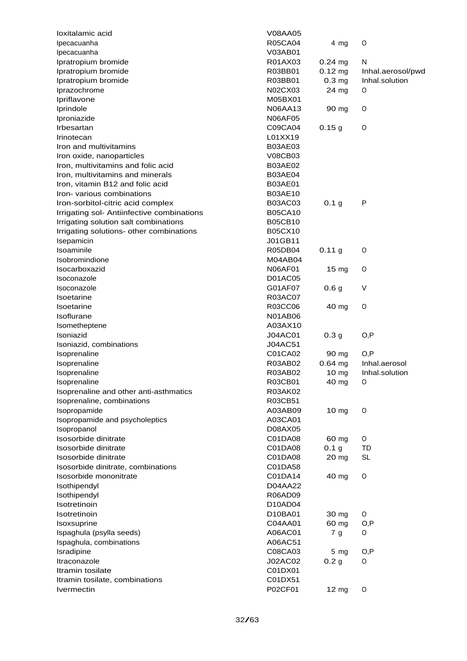| loxitalamic acid                           | V08AA05        |                     |                   |
|--------------------------------------------|----------------|---------------------|-------------------|
| Ipecacuanha                                | <b>R05CA04</b> | 4 mg                | $\circ$           |
| Ipecacuanha                                | V03AB01        |                     |                   |
| Ipratropium bromide                        | R01AX03        | $0.24 \, \text{mg}$ | N                 |
| Ipratropium bromide                        | R03BB01        | $0.12 \, \text{mg}$ | Inhal.aerosol/pwd |
| Ipratropium bromide                        | R03BB01        | $0.3$ mg            | Inhal.solution    |
| Iprazochrome                               | N02CX03        | 24 mg               | O                 |
| Ipriflavone                                | M05BX01        |                     |                   |
| Iprindole                                  | <b>N06AA13</b> | 90 mg               | O                 |
| Iproniazide                                | <b>N06AF05</b> |                     |                   |
| Irbesartan                                 | C09CA04        | 0.15g               | $\circ$           |
| Irinotecan                                 | L01XX19        |                     |                   |
| Iron and multivitamins                     | <b>B03AE03</b> |                     |                   |
| Iron oxide, nanoparticles                  | <b>V08CB03</b> |                     |                   |
| Iron, multivitamins and folic acid         | <b>B03AE02</b> |                     |                   |
| Iron, multivitamins and minerals           | <b>B03AE04</b> |                     |                   |
|                                            | <b>B03AE01</b> |                     |                   |
| Iron, vitamin B12 and folic acid           | <b>B03AE10</b> |                     |                   |
| Iron-various combinations                  |                |                     |                   |
| Iron-sorbitol-citric acid complex          | <b>B03AC03</b> | 0.1 <sub>g</sub>    | P                 |
| Irrigating sol- Antiinfective combinations | <b>B05CA10</b> |                     |                   |
| Irrigating solution salt combinations      | <b>B05CB10</b> |                     |                   |
| Irrigating solutions- other combinations   | <b>B05CX10</b> |                     |                   |
| Isepamicin                                 | J01GB11        |                     |                   |
| Isoaminile                                 | R05DB04        | 0.11 g              | O                 |
| <b>Isobromindione</b>                      | M04AB04        |                     |                   |
| Isocarboxazid                              | <b>N06AF01</b> | 15 <sub>mg</sub>    | O                 |
| Isoconazole                                | <b>D01AC05</b> |                     |                   |
| Isoconazole                                | G01AF07        | 0.6 <sub>g</sub>    | V                 |
| Isoetarine                                 | R03AC07        |                     |                   |
| <b>Isoetarine</b>                          | R03CC06        | 40 mg               | $\circ$           |
| Isoflurane                                 | <b>N01AB06</b> |                     |                   |
| Isometheptene                              | A03AX10        |                     |                   |
| Isoniazid                                  | <b>J04AC01</b> | 0.3 <sub>g</sub>    | O, P              |
| Isoniazid, combinations                    | J04AC51        |                     |                   |
| Isoprenaline                               | C01CA02        | 90 mg               | O, P              |
| Isoprenaline                               | R03AB02        | $0.64$ mg           | Inhal.aerosol     |
| Isoprenaline                               | R03AB02        | 10 <sub>mg</sub>    | Inhal.solution    |
| Isoprenaline                               | R03CB01        | 40 mg               | O                 |
| Isoprenaline and other anti-asthmatics     | R03AK02        |                     |                   |
| Isoprenaline, combinations                 | R03CB51        |                     |                   |
| Isopropamide                               | A03AB09        | 10 mg               | $\circ$           |
| Isopropamide and psycholeptics             | A03CA01        |                     |                   |
| Isopropanol                                | D08AX05        |                     |                   |
| Isosorbide dinitrate                       | C01DA08        | 60 mg               | O                 |
| Isosorbide dinitrate                       | C01DA08        | 0.1 <sub>g</sub>    | TD                |
| Isosorbide dinitrate                       | C01DA08        | 20 mg               | <b>SL</b>         |
| Isosorbide dinitrate, combinations         | C01DA58        |                     |                   |
| Isosorbide mononitrate                     | C01DA14        | 40 mg               | 0                 |
| Isothipendyl                               | D04AA22        |                     |                   |
| Isothipendyl                               | R06AD09        |                     |                   |
| Isotretinoin                               | D10AD04        |                     |                   |
| Isotretinoin                               | D10BA01        | 30 mg               | O                 |
| Isoxsuprine                                | C04AA01        | 60 mg               | O,P               |
| Ispaghula (psylla seeds)                   | A06AC01        | 7 <sub>g</sub>      | O                 |
|                                            |                |                     |                   |
| Ispaghula, combinations                    | A06AC51        |                     |                   |
| Isradipine                                 | C08CA03        | 5 <sub>mg</sub>     | O,P               |
| Itraconazole                               | J02AC02        | 0.2 <sub>g</sub>    | O                 |
| Itramin tosilate                           | C01DX01        |                     |                   |
| Itramin tosilate, combinations             | C01DX51        |                     |                   |
| <b>Ivermectin</b>                          | P02CF01        | 12 mg               | $\circ$           |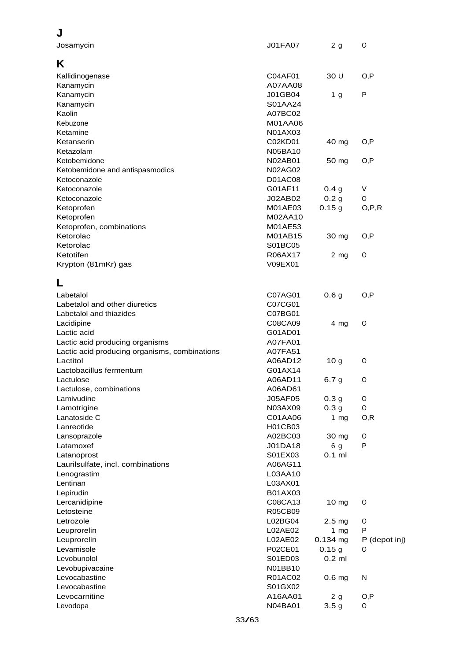| J                                             |                |                   |               |
|-----------------------------------------------|----------------|-------------------|---------------|
| Josamycin                                     | J01FA07        | 2g                | O             |
| Κ                                             |                |                   |               |
| Kallidinogenase                               | C04AF01        | 30 U              | O, P          |
| Kanamycin                                     | A07AA08        |                   |               |
| Kanamycin                                     | J01GB04        | 1 <sub>g</sub>    | P             |
| Kanamycin                                     | S01AA24        |                   |               |
| Kaolin                                        | A07BC02        |                   |               |
| Kebuzone                                      | M01AA06        |                   |               |
| Ketamine                                      | N01AX03        |                   |               |
| Ketanserin                                    | C02KD01        | 40 mg             | O, P          |
| Ketazolam                                     | N05BA10        |                   |               |
| Ketobemidone                                  | N02AB01        | 50 mg             | O, P          |
| Ketobemidone and antispasmodics               | <b>N02AG02</b> |                   |               |
| Ketoconazole                                  | <b>D01AC08</b> |                   |               |
| Ketoconazole                                  | G01AF11        | 0.4 <sub>g</sub>  | V             |
| Ketoconazole                                  | J02AB02        | 0.2 <sub>g</sub>  | O             |
| Ketoprofen                                    | M01AE03        | 0.15g             | O, P, R       |
| Ketoprofen                                    | M02AA10        |                   |               |
| Ketoprofen, combinations                      | M01AE53        |                   |               |
| Ketorolac                                     | M01AB15        | 30 mg             | O, P          |
| Ketorolac                                     | S01BC05        |                   |               |
| Ketotifen                                     | R06AX17        | $2$ mg            | 0             |
| Krypton (81mKr) gas                           | V09EX01        |                   |               |
| L                                             |                |                   |               |
| Labetalol                                     | C07AG01        | 0.6 <sub>g</sub>  | O, P          |
| Labetalol and other diuretics                 | C07CG01        |                   |               |
| Labetalol and thiazides                       | C07BG01        |                   |               |
| Lacidipine                                    | C08CA09        | $4$ mg            | O             |
| Lactic acid                                   | G01AD01        |                   |               |
| Lactic acid producing organisms               | A07FA01        |                   |               |
| Lactic acid producing organisms, combinations | A07FA51        |                   |               |
| Lactitol                                      | A06AD12        | 10 <sub>g</sub>   | O             |
| Lactobacillus fermentum                       | G01AX14        |                   |               |
| Lactulose                                     | A06AD11        | 6.7 <sub>g</sub>  | 0             |
| Lactulose, combinations                       | A06AD61        |                   |               |
| Lamivudine                                    | J05AF05        | 0.3 <sub>g</sub>  | 0             |
| Lamotrigine                                   | N03AX09        | 0.3 <sub>g</sub>  | 0             |
| Lanatoside C                                  | C01AA06        | $1$ mg            | O, R          |
| Lanreotide                                    | H01CB03        |                   |               |
| Lansoprazole                                  | A02BC03        | 30 mg             | 0             |
| Latamoxef                                     | J01DA18        | 6 g               | P             |
| Latanoprost                                   | S01EX03        | $0.1$ ml          |               |
| Laurilsulfate, incl. combinations             | A06AG11        |                   |               |
| Lenograstim                                   | L03AA10        |                   |               |
| Lentinan                                      | L03AX01        |                   |               |
| Lepirudin                                     | B01AX03        |                   |               |
| Lercanidipine                                 | C08CA13        | 10 mg             | O             |
| Letosteine                                    | R05CB09        |                   |               |
| Letrozole                                     | L02BG04        | 2.5 <sub>mg</sub> | 0             |
| Leuprorelin                                   | L02AE02        | 1 $mg$            | P             |
| Leuprorelin                                   | L02AE02        | $0.134$ mg        | P (depot inj) |
| Levamisole                                    | P02CE01        | 0.15g             | O             |
| Levobunolol                                   | S01ED03        | $0.2$ ml          |               |
| Levobupivacaine                               | N01BB10        |                   |               |
| Levocabastine                                 | R01AC02        | 0.6 <sub>mg</sub> | N             |
| Levocabastine                                 | S01GX02        |                   |               |
| Levocarnitine                                 | A16AA01        | 2g                | O, P          |
| Levodopa                                      | N04BA01        | 3.5 <sub>g</sub>  | O             |
|                                               |                |                   |               |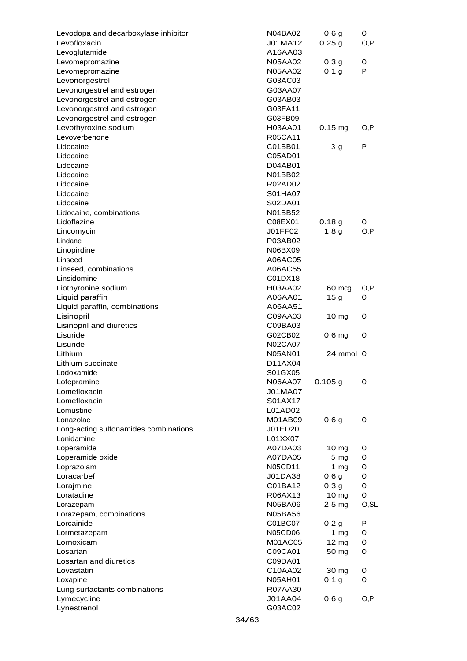| Levodopa and decarboxylase inhibitor   | <b>N04BA02</b> | 0.6 <sub>g</sub>    | O     |
|----------------------------------------|----------------|---------------------|-------|
| Levofloxacin                           | J01MA12        | 0.25 <sub>g</sub>   | O,P   |
| Levoglutamide                          | A16AA03        |                     |       |
| Levomepromazine                        | <b>N05AA02</b> | 0.3 <sub>g</sub>    | O     |
| Levomepromazine                        | <b>N05AA02</b> | 0.1 <sub>g</sub>    | P     |
| Levonorgestrel                         | G03AC03        |                     |       |
| Levonorgestrel and estrogen            | G03AA07        |                     |       |
| Levonorgestrel and estrogen            | G03AB03        |                     |       |
| Levonorgestrel and estrogen            | G03FA11        |                     |       |
| Levonorgestrel and estrogen            | G03FB09        |                     |       |
| Levothyroxine sodium                   | H03AA01        | $0.15 \, \text{mg}$ | O,P   |
| Levoverbenone                          | R05CA11        |                     |       |
| Lidocaine                              | C01BB01        | 3 <sub>g</sub>      | P     |
| Lidocaine                              | C05AD01        |                     |       |
| Lidocaine                              | D04AB01        |                     |       |
| Lidocaine                              | N01BB02        |                     |       |
| Lidocaine                              | R02AD02        |                     |       |
| Lidocaine                              | S01HA07        |                     |       |
| Lidocaine                              | S02DA01        |                     |       |
|                                        | N01BB52        |                     |       |
| Lidocaine, combinations<br>Lidoflazine |                |                     |       |
|                                        | C08EX01        | 0.18 <sub>g</sub>   | O     |
| Lincomycin                             | J01FF02        | 1.8 <sub>g</sub>    | O, P  |
| Lindane                                | P03AB02        |                     |       |
| Linopirdine                            | N06BX09        |                     |       |
| Linseed                                | A06AC05        |                     |       |
| Linseed, combinations                  | A06AC55        |                     |       |
| Linsidomine                            | C01DX18        |                     |       |
| Liothyronine sodium                    | H03AA02        | 60 mcg              | O,P   |
| Liquid paraffin                        | A06AA01        | 15 <sub>g</sub>     | O     |
| Liquid paraffin, combinations          | A06AA51        |                     |       |
| Lisinopril                             | C09AA03        | $10 \text{ mg}$     | O     |
| Lisinopril and diuretics               | C09BA03        |                     |       |
| Lisuride                               | G02CB02        | 0.6 <sub>mg</sub>   | O     |
| Lisuride                               | <b>N02CA07</b> |                     |       |
| Lithium                                | <b>N05AN01</b> | 24 mmol 0           |       |
| Lithium succinate                      | D11AX04        |                     |       |
| Lodoxamide                             | S01GX05        |                     |       |
| Lofepramine                            | <b>N06AA07</b> | $0.105$ g           | O     |
| Lomefloxacin                           | <b>J01MA07</b> |                     |       |
| Lomefloxacin                           | S01AX17        |                     |       |
| Lomustine                              | L01AD02        |                     |       |
| Lonazolac                              | M01AB09        | 0.6 <sub>g</sub>    | 0     |
| Long-acting sulfonamides combinations  | J01ED20        |                     |       |
| Lonidamine                             | L01XX07        |                     |       |
| Loperamide                             | A07DA03        | $10 \text{ mg}$     | O     |
| Loperamide oxide                       | A07DA05        | $5 \, \text{mg}$    | 0     |
| Loprazolam                             | <b>N05CD11</b> | 1 $mg$              | 0     |
| Loracarbef                             | J01DA38        | 0.6 <sub>g</sub>    | 0     |
| Lorajmine                              | C01BA12        | 0.3 <sub>g</sub>    | O     |
| Loratadine                             | R06AX13        | 10 mg               | 0     |
| Lorazepam                              | <b>N05BA06</b> | 2.5 <sub>mg</sub>   | O, SL |
| Lorazepam, combinations                | <b>N05BA56</b> |                     |       |
| Lorcainide                             | C01BC07        | 0.2 <sub>g</sub>    | P     |
|                                        | N05CD06        | 1 $mg$              | O     |
| Lormetazepam<br>Lornoxicam             | M01AC05        |                     |       |
|                                        |                | $12 \text{ mg}$     | O     |
| Losartan                               | C09CA01        | 50 mg               | O     |
| Losartan and diuretics                 | C09DA01        |                     |       |
| Lovastatin                             | C10AA02        | 30 mg               | 0     |
| Loxapine                               | <b>N05AH01</b> | 0.1 <sub>g</sub>    | O     |
| Lung surfactants combinations          | R07AA30        |                     |       |
| Lymecycline                            | <b>J01AA04</b> | 0.6 <sub>g</sub>    | O,P   |
| Lynestrenol                            | G03AC02        |                     |       |
|                                        | 34/63          |                     |       |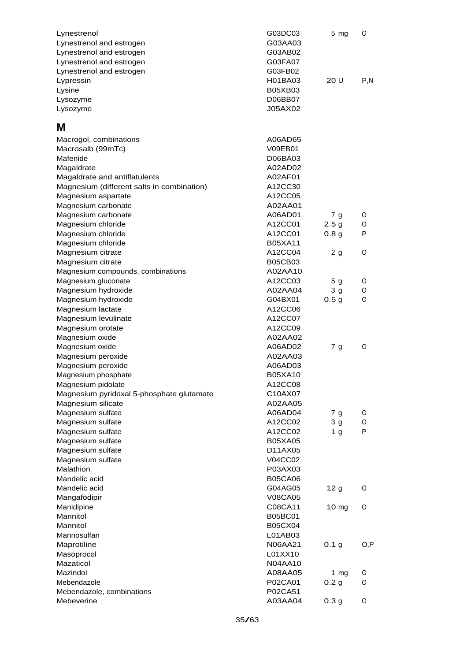| Lynestrenol<br>Lynestrenol and estrogen<br>Lynestrenol and estrogen<br>Lynestrenol and estrogen<br>Lynestrenol and estrogen | G03DC03<br>G03AA03<br>G03AB02<br>G03FA07<br>G03FB02 | 5 <sub>mg</sub>                  | O      |
|-----------------------------------------------------------------------------------------------------------------------------|-----------------------------------------------------|----------------------------------|--------|
| Lypressin                                                                                                                   | H01BA03                                             | 20 U                             | P.N    |
| Lysine<br>Lysozyme                                                                                                          | <b>B05XB03</b><br>D06BB07                           |                                  |        |
| Lysozyme                                                                                                                    | J05AX02                                             |                                  |        |
|                                                                                                                             |                                                     |                                  |        |
| М                                                                                                                           |                                                     |                                  |        |
| Macrogol, combinations                                                                                                      | A06AD65<br>V09EB01                                  |                                  |        |
| Macrosalb (99mTc)<br>Mafenide                                                                                               | D06BA03                                             |                                  |        |
| Magaldrate                                                                                                                  | A02AD02                                             |                                  |        |
| Magaldrate and antiflatulents                                                                                               | A02AF01                                             |                                  |        |
| Magnesium (different salts in combination)                                                                                  | A12CC30                                             |                                  |        |
| Magnesium aspartate                                                                                                         | A12CC05                                             |                                  |        |
| Magnesium carbonate                                                                                                         | A02AA01                                             |                                  |        |
| Magnesium carbonate                                                                                                         | A06AD01                                             | 7 <sub>g</sub>                   | O      |
| Magnesium chloride                                                                                                          | A12CC01                                             | 2.5 <sub>g</sub>                 | O      |
| Magnesium chloride                                                                                                          | A12CC01                                             | 0.8 <sub>g</sub>                 | P      |
| Magnesium chloride                                                                                                          | <b>B05XA11</b>                                      |                                  |        |
| Magnesium citrate                                                                                                           | A12CC04                                             | 2 <sub>g</sub>                   | 0      |
| Magnesium citrate                                                                                                           | <b>B05CB03</b>                                      |                                  |        |
| Magnesium compounds, combinations                                                                                           | A02AA10                                             |                                  |        |
| Magnesium gluconate<br>Magnesium hydroxide                                                                                  | A12CC03<br>A02AA04                                  | 5 <sub>g</sub><br>3 <sub>g</sub> | O<br>O |
| Magnesium hydroxide                                                                                                         | G04BX01                                             | 0.5 <sub>g</sub>                 | 0      |
| Magnesium lactate                                                                                                           | A12CC06                                             |                                  |        |
| Magnesium levulinate                                                                                                        | A12CC07                                             |                                  |        |
| Magnesium orotate                                                                                                           | A12CC09                                             |                                  |        |
| Magnesium oxide                                                                                                             | A02AA02                                             |                                  |        |
| Magnesium oxide                                                                                                             | A06AD02                                             | 7 <sub>g</sub>                   | O      |
| Magnesium peroxide                                                                                                          | A02AA03                                             |                                  |        |
| Magnesium peroxide                                                                                                          | A06AD03                                             |                                  |        |
| Magnesium phosphate                                                                                                         | <b>B05XA10</b>                                      |                                  |        |
| Magnesium pidolate                                                                                                          | A12CC08                                             |                                  |        |
| Magnesium pyridoxal 5-phosphate glutamate                                                                                   | C10AX07                                             |                                  |        |
| Magnesium silicate                                                                                                          | A02AA05                                             |                                  |        |
| Magnesium sulfate                                                                                                           | A06AD04                                             | 7 <sub>g</sub>                   | 0      |
| Magnesium sulfate                                                                                                           | A12CC02                                             | 3 <sub>g</sub>                   | O      |
| Magnesium sulfate                                                                                                           | A12CC02                                             | 1 <sub>g</sub>                   | P      |
| Magnesium sulfate                                                                                                           | <b>B05XA05</b>                                      |                                  |        |
| Magnesium sulfate<br>Magnesium sulfate                                                                                      | D11AX05<br>V04CC02                                  |                                  |        |
| Malathion                                                                                                                   | P03AX03                                             |                                  |        |
| Mandelic acid                                                                                                               | <b>B05CA06</b>                                      |                                  |        |
| Mandelic acid                                                                                                               | G04AG05                                             | 12 <sub>g</sub>                  | O      |
| Mangafodipir                                                                                                                | <b>V08CA05</b>                                      |                                  |        |
| Manidipine                                                                                                                  | C08CA11                                             | 10 mg                            | O      |
| Mannitol                                                                                                                    | <b>B05BC01</b>                                      |                                  |        |
| Mannitol                                                                                                                    | <b>B05CX04</b>                                      |                                  |        |
| Mannosulfan                                                                                                                 | L01AB03                                             |                                  |        |
| Maprotiline                                                                                                                 | N06AA21                                             | 0.1 <sub>g</sub>                 | O,P    |
| Masoprocol                                                                                                                  | L01XX10                                             |                                  |        |
| Mazaticol                                                                                                                   | <b>N04AA10</b>                                      |                                  |        |
| Mazindol                                                                                                                    | A08AA05                                             | 1 $mg$                           | O      |
| Mebendazole                                                                                                                 | P02CA01                                             | 0.2 <sub>g</sub>                 | O      |
| Mebendazole, combinations                                                                                                   | P02CA51                                             |                                  |        |
| Mebeverine                                                                                                                  | A03AA04                                             | 0.3 <sub>g</sub>                 | O      |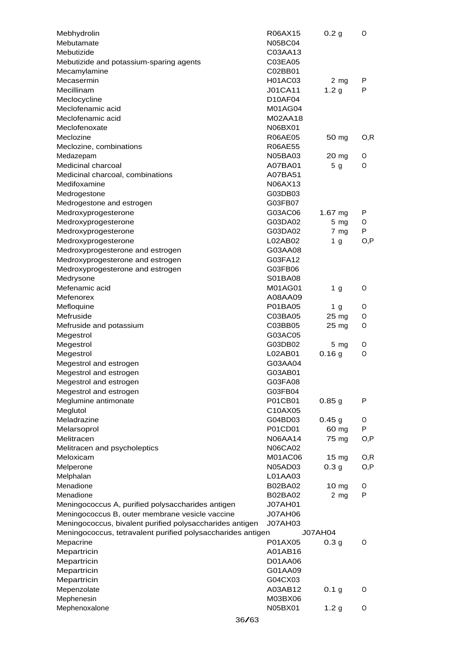| Mebhydrolin                                                 | R06AX15        | 0.2 <sub>g</sub> | O    |
|-------------------------------------------------------------|----------------|------------------|------|
| Mebutamate                                                  | <b>N05BC04</b> |                  |      |
| Mebutizide                                                  | C03AA13        |                  |      |
| Mebutizide and potassium-sparing agents                     | C03EA05        |                  |      |
| Mecamylamine                                                | C02BB01        |                  |      |
| Mecasermin                                                  | H01AC03        | $2 \, mg$        | P    |
| Mecillinam                                                  | <b>J01CA11</b> | 1.2 <sub>g</sub> | P    |
| Meclocycline                                                | D10AF04        |                  |      |
| Meclofenamic acid                                           | M01AG04        |                  |      |
| Meclofenamic acid                                           | M02AA18        |                  |      |
| Meclofenoxate                                               | N06BX01        |                  |      |
| Meclozine                                                   | <b>R06AE05</b> | 50 mg            | 0,R  |
| Meclozine, combinations                                     | <b>R06AE55</b> |                  |      |
| Medazepam                                                   | <b>N05BA03</b> | 20 mg            | O    |
| Medicinal charcoal                                          | A07BA01        | 5 <sub>g</sub>   | O    |
| Medicinal charcoal, combinations                            | A07BA51        |                  |      |
| Medifoxamine                                                | N06AX13        |                  |      |
| Medrogestone                                                | G03DB03        |                  |      |
| Medrogestone and estrogen                                   | G03FB07        |                  |      |
| Medroxyprogesterone                                         | G03AC06        | 1.67 $mg$        | P    |
| Medroxyprogesterone                                         | G03DA02        | $5 \, mg$        | O    |
| Medroxyprogesterone                                         | G03DA02        | $7 \, mg$        | P    |
| Medroxyprogesterone                                         | L02AB02        | 1 <sub>g</sub>   | O, P |
| Medroxyprogesterone and estrogen                            | G03AA08        |                  |      |
| Medroxyprogesterone and estrogen                            | G03FA12        |                  |      |
| Medroxyprogesterone and estrogen                            | G03FB06        |                  |      |
| Medrysone                                                   | S01BA08        |                  |      |
| Mefenamic acid                                              | M01AG01        | 1 <sub>g</sub>   | O    |
| Mefenorex                                                   | A08AA09        |                  |      |
| Mefloquine                                                  | P01BA05        | 1 <sub>g</sub>   | O    |
| Mefruside                                                   | C03BA05        | 25 mg            | 0    |
| Mefruside and potassium                                     | C03BB05        | 25 mg            | O    |
| Megestrol                                                   | G03AC05        |                  |      |
| Megestrol                                                   | G03DB02        | $5 \, mg$        | O    |
| Megestrol                                                   | L02AB01        | 0.16g            | O    |
| Megestrol and estrogen                                      | G03AA04        |                  |      |
| Megestrol and estrogen                                      | G03AB01        |                  |      |
| Megestrol and estrogen                                      | G03FA08        |                  |      |
| Megestrol and estrogen                                      | G03FB04        |                  |      |
| Meglumine antimonate                                        | P01CB01        | 0.85g            | P    |
| Meglutol                                                    | C10AX05        |                  |      |
| Meladrazine                                                 | G04BD03        | 0.45g            | 0    |
| Melarsoprol                                                 | P01CD01        | 60 mg            | P    |
| Melitracen                                                  | N06AA14        | 75 mg            | O, P |
| Melitracen and psycholeptics                                | <b>N06CA02</b> |                  |      |
| Meloxicam                                                   | M01AC06        | $15 \text{ mg}$  | O, R |
| Melperone                                                   | <b>N05AD03</b> | 0.3 <sub>g</sub> | O,P  |
| Melphalan                                                   | L01AA03        |                  |      |
| Menadione                                                   | B02BA02        | 10 mg            | 0    |
| Menadione                                                   | <b>B02BA02</b> | 2 <sub>mg</sub>  | P    |
| Meningococcus A, purified polysaccharides antigen           | J07AH01        |                  |      |
| Meningococcus B, outer membrane vesicle vaccine             | <b>J07AH06</b> |                  |      |
| Meningococcus, bivalent purified polysaccharides antigen    | <b>J07AH03</b> |                  |      |
| Meningococcus, tetravalent purified polysaccharides antigen |                | <b>J07AH04</b>   |      |
| Mepacrine                                                   | P01AX05        | 0.3 <sub>g</sub> | O    |
| Mepartricin                                                 | A01AB16        |                  |      |
| Mepartricin                                                 | D01AA06        |                  |      |
| Mepartricin                                                 | G01AA09        |                  |      |
| Mepartricin                                                 | G04CX03        |                  |      |
| Mepenzolate                                                 | A03AB12        | 0.1 <sub>g</sub> | O    |
| Mephenesin                                                  | M03BX06        |                  |      |
| Mephenoxalone                                               | N05BX01        | 1.2 <sub>g</sub> | O    |
|                                                             |                |                  |      |
| 36/63                                                       |                |                  |      |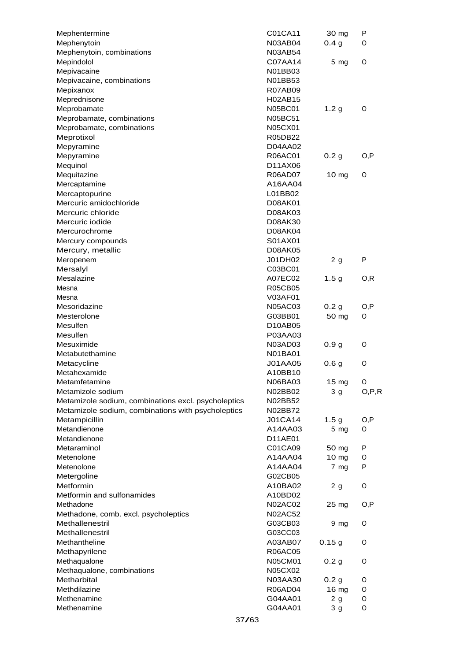| Mephentermine                                       | C01CA11        | 30 mg            | P       |
|-----------------------------------------------------|----------------|------------------|---------|
| Mephenytoin                                         | <b>N03AB04</b> | 0.4 <sub>g</sub> | O       |
| Mephenytoin, combinations                           | <b>N03AB54</b> |                  |         |
| Mepindolol                                          | C07AA14        | $5 \, mg$        | O       |
| Mepivacaine                                         | N01BB03        |                  |         |
| Mepivacaine, combinations                           | N01BB53        |                  |         |
| Mepixanox                                           | <b>R07AB09</b> |                  |         |
| Meprednisone                                        | H02AB15        |                  |         |
| Meprobamate                                         | <b>N05BC01</b> | 1.2 <sub>g</sub> | O       |
| Meprobamate, combinations                           | <b>N05BC51</b> |                  |         |
| Meprobamate, combinations                           | N05CX01        |                  |         |
| Meprotixol                                          | R05DB22        |                  |         |
| Mepyramine                                          | D04AA02        |                  |         |
| Mepyramine                                          | R06AC01        | 0.2 <sub>g</sub> | O,P     |
| Mequinol                                            | D11AX06        |                  |         |
| Mequitazine                                         | R06AD07        | $10 \text{ mg}$  | 0       |
| Mercaptamine                                        | A16AA04        |                  |         |
| Mercaptopurine                                      | L01BB02        |                  |         |
| Mercuric amidochloride                              | D08AK01        |                  |         |
| Mercuric chloride                                   | D08AK03        |                  |         |
| Mercuric iodide                                     | D08AK30        |                  |         |
| Mercurochrome                                       | D08AK04        |                  |         |
| Mercury compounds                                   | S01AX01        |                  |         |
| Mercury, metallic                                   | D08AK05        |                  |         |
| Meropenem                                           | J01DH02        | 2 g              | P       |
| Mersalyl                                            | C03BC01        |                  |         |
| Mesalazine                                          | A07EC02        | 1.5 <sub>g</sub> | O, R    |
| Mesna                                               | <b>R05CB05</b> |                  |         |
| Mesna                                               | V03AF01        |                  |         |
| Mesoridazine                                        | <b>N05AC03</b> | 0.2 <sub>g</sub> | O, P    |
| Mesterolone                                         | G03BB01        | 50 mg            | O       |
| Mesulfen                                            | D10AB05        |                  |         |
| Mesulfen                                            | P03AA03        |                  |         |
| Mesuximide                                          | N03AD03        | 0.9 <sub>g</sub> | O       |
| Metabutethamine                                     | N01BA01        |                  |         |
| Metacycline                                         | <b>J01AA05</b> | 0.6 <sub>g</sub> | O       |
| Metahexamide                                        | A10BB10        |                  |         |
| Metamfetamine                                       | N06BA03        | 15 <sub>mg</sub> | O       |
| Metamizole sodium                                   | N02BB02        | 3 <sub>g</sub>   | O, P, R |
| Metamizole sodium, combinations excl. psycholeptics | N02BB52        |                  |         |
| Metamizole sodium, combinations with psycholeptics  | N02BB72        |                  |         |
| Metampicillin                                       | <b>J01CA14</b> | 1.5 <sub>g</sub> | O,P     |
| Metandienone                                        | A14AA03        | $5 \, mg$        | O       |
| Metandienone                                        | D11AE01        |                  |         |
| Metaraminol                                         | C01CA09        | 50 mg            | P       |
| Metenolone                                          | A14AA04        | $10 \text{ mg}$  | O       |
| Metenolone                                          | A14AA04        | $7 \, mg$        | P       |
| Metergoline                                         | G02CB05        |                  |         |
| Metformin                                           | A10BA02        | 2 g              | O       |
| Metformin and sulfonamides                          | A10BD02        |                  |         |
| Methadone                                           | <b>N02AC02</b> | 25 mg            | O,P     |
| Methadone, comb. excl. psycholeptics                | <b>N02AC52</b> |                  |         |
| Methallenestril                                     | G03CB03        | 9 mg             | O       |
| Methallenestril                                     | G03CC03        |                  |         |
| Methantheline                                       | A03AB07        | 0.15g            | O       |
| Methapyrilene                                       | <b>R06AC05</b> |                  |         |
| Methaqualone                                        | N05CM01        | 0.2 <sub>g</sub> | O       |
| Methaqualone, combinations                          | N05CX02        |                  |         |
| Metharbital                                         | N03AA30        | 0.2 <sub>g</sub> | O       |
| Methdilazine                                        | R06AD04        | 16 mg            | O       |
| Methenamine                                         | G04AA01        | 2 g              | O       |
| Methenamine                                         | G04AA01        |                  | O       |
|                                                     |                | 3 <sub>g</sub>   |         |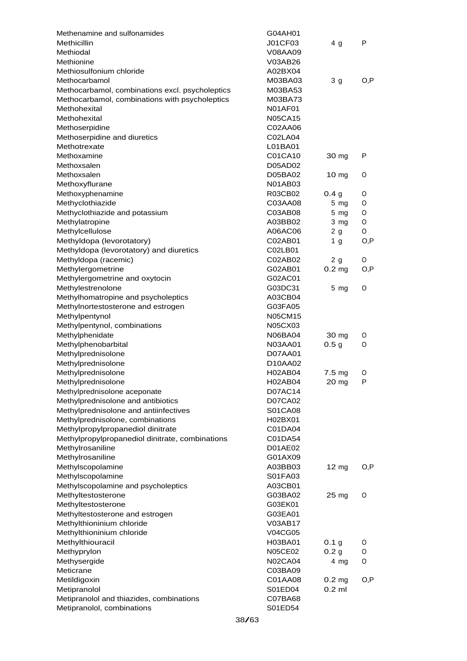| Methenamine and sulfonamides                    | G04AH01        |                   |      |
|-------------------------------------------------|----------------|-------------------|------|
| Methicillin                                     | J01CF03        | 4 <sub>g</sub>    | P    |
| Methiodal                                       | V08AA09        |                   |      |
| Methionine                                      | V03AB26        |                   |      |
| Methiosulfonium chloride                        | A02BX04        |                   |      |
| Methocarbamol                                   | M03BA03        | 3 <sub>g</sub>    | O,P  |
| Methocarbamol, combinations excl. psycholeptics | M03BA53        |                   |      |
| Methocarbamol, combinations with psycholeptics  | M03BA73        |                   |      |
| Methohexital                                    | <b>N01AF01</b> |                   |      |
| Methohexital                                    | <b>N05CA15</b> |                   |      |
| Methoserpidine                                  | C02AA06        |                   |      |
| Methoserpidine and diuretics                    | C02LA04        |                   |      |
| Methotrexate                                    | L01BA01        |                   |      |
| Methoxamine                                     | C01CA10        | 30 mg             | P    |
| Methoxsalen                                     | D05AD02        |                   |      |
| Methoxsalen                                     | D05BA02        | 10 <sub>mg</sub>  | 0    |
| Methoxyflurane                                  | <b>N01AB03</b> |                   |      |
| Methoxyphenamine                                | R03CB02        | 0.4 <sub>g</sub>  | O    |
| Methyclothiazide                                | C03AA08        | $5 \, mg$         | 0    |
| Methyclothiazide and potassium                  | C03AB08        | 5 <sub>mg</sub>   | 0    |
| Methylatropine                                  | A03BB02        | 3 <sub>mg</sub>   | O    |
| Methylcellulose                                 | A06AC06        | 2 <sub>g</sub>    | O    |
| Methyldopa (levorotatory)                       | C02AB01        | 1 <sub>g</sub>    | O,P  |
| Methyldopa (levorotatory) and diuretics         | C02LB01        |                   |      |
| Methyldopa (racemic)                            | C02AB02        | 2 <sub>g</sub>    | O    |
| Methylergometrine                               | G02AB01        | 0.2 <sub>mg</sub> | O,P  |
| Methylergometrine and oxytocin                  | G02AC01        |                   |      |
| Methylestrenolone                               | G03DC31        | $5 \, mg$         | O    |
| Methylhomatropine and psycholeptics             | A03CB04        |                   |      |
| Methylnortestosterone and estrogen              | G03FA05        |                   |      |
| Methylpentynol                                  | <b>N05CM15</b> |                   |      |
| Methylpentynol, combinations                    | N05CX03        |                   |      |
| Methylphenidate                                 | N06BA04        | 30 mg             | O    |
| Methylphenobarbital                             | N03AA01        | 0.5 <sub>g</sub>  | 0    |
| Methylprednisolone                              | <b>D07AA01</b> |                   |      |
| Methylprednisolone                              | D10AA02        |                   |      |
| Methylprednisolone                              | <b>H02AB04</b> | 7.5 mg            | O    |
| Methylprednisolone                              | H02AB04        | 20 mg             | P    |
| Methylprednisolone aceponate                    | D07AC14        |                   |      |
| Methylprednisolone and antibiotics              | D07CA02        |                   |      |
| Methylprednisolone and antiinfectives           | S01CA08        |                   |      |
| Methylprednisolone, combinations                | H02BX01        |                   |      |
| Methylpropylpropanediol dinitrate               | C01DA04        |                   |      |
| Methylpropylpropanediol dinitrate, combinations | C01DA54        |                   |      |
| Methylrosaniline                                | D01AE02        |                   |      |
| Methylrosaniline                                | G01AX09        |                   |      |
| Methylscopolamine                               | A03BB03        | 12 mg             | O,P  |
| Methylscopolamine                               | S01FA03        |                   |      |
| Methylscopolamine and psycholeptics             | A03CB01        |                   |      |
| Methyltestosterone                              | G03BA02        | 25 mg             | O    |
| Methyltestosterone                              | G03EK01        |                   |      |
| Methyltestosterone and estrogen                 | G03EA01        |                   |      |
| Methylthioninium chloride                       | V03AB17        |                   |      |
|                                                 |                |                   |      |
| Methylthioninium chloride                       | V04CG05        |                   |      |
| Methylthiouracil                                | H03BA01        | 0.1 g             | O    |
| Methyprylon                                     | <b>N05CE02</b> | 0.2 <sub>g</sub>  | 0    |
| Methysergide                                    | <b>N02CA04</b> | 4 mg              | O    |
| Meticrane                                       | C03BA09        |                   |      |
| Metildigoxin                                    | C01AA08        | 0.2 <sub>mg</sub> | O, P |
| Metipranolol                                    | S01ED04        | $0.2$ ml          |      |
| Metipranolol and thiazides, combinations        | C07BA68        |                   |      |
| Metipranolol, combinations                      | S01ED54        |                   |      |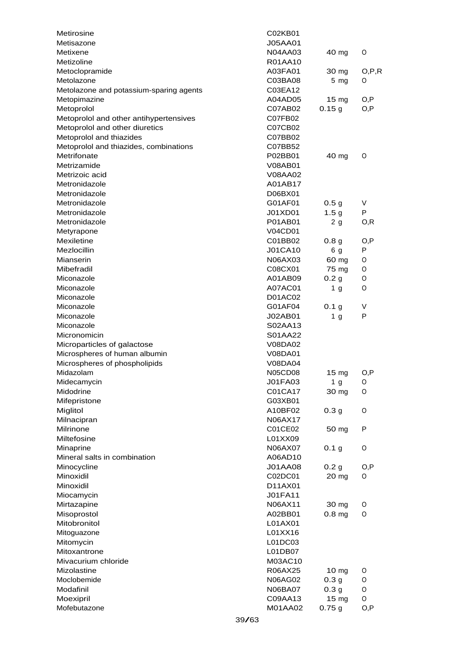| <b>J05AA01</b><br>Metixene<br><b>N04AA03</b><br>40 mg<br>O<br>Metizoline<br>R01AA10<br>Metoclopramide<br>A03FA01<br>30 mg<br>Metolazone<br>C03BA08<br>$5$ mg<br>O<br>Metolazone and potassium-sparing agents<br>C03EA12<br>Metopimazine<br>A04AD05<br>15 <sub>mg</sub><br>O,P<br>0.15g<br>O, P<br>Metoprolol<br>C07AB02<br>Metoprolol and other antihypertensives<br>C07FB02<br>Metoprolol and other diuretics<br>C07CB02<br>Metoprolol and thiazides<br>C07BB02<br>Metoprolol and thiazides, combinations<br>C07BB52<br>Metrifonate<br>P02BB01<br>40 mg<br>O<br>Metrizamide<br><b>V08AB01</b><br>Metrizoic acid<br>V08AA02<br>Metronidazole<br>A01AB17<br>Metronidazole<br>D06BX01<br>Metronidazole<br>V<br>G01AF01<br>0.5 <sub>g</sub><br>Metronidazole<br>1.5 <sub>g</sub><br>P<br>J01XD01<br>Metronidazole<br>P01AB01<br>2g<br>O, R<br><b>V04CD01</b><br>Metyrapone<br>Mexiletine<br>C01BB02<br>0.8 <sub>g</sub><br>O, P<br>Mezlocillin<br><b>J01CA10</b><br>P<br>6 g<br>Mianserin<br>N06AX03<br>60 mg<br>0<br>Mibefradil<br>75 mg<br>C08CX01<br>O<br>Miconazole<br>A01AB09<br>0.2 <sub>g</sub><br>0<br>Miconazole<br>A07AC01<br>O<br>1 g<br>Miconazole<br>D01AC02<br>Miconazole<br>G01AF04<br>0.1 <sub>g</sub><br>V<br>P<br>Miconazole<br>J02AB01<br>1 <sub>g</sub><br>Miconazole<br>S02AA13<br>Micronomicin<br>S01AA22<br>Microparticles of galactose<br>V08DA02<br>Microspheres of human albumin<br>V08DA01<br>Microspheres of phospholipids<br>V08DA04<br>Midazolam<br><b>N05CD08</b><br>15 mg<br>O, P<br>J01FA03<br>1 <sub>g</sub><br>Midecamycin<br>O<br>Midodrine<br>C01CA17<br>30 mg<br>O<br>Mifepristone<br>G03XB01<br>Miglitol<br>A10BF02<br>0.3 <sub>g</sub><br>O<br>Milnacipran<br>N06AX17<br>Milrinone<br>C01CE02<br>P<br>50 mg<br>Miltefosine<br>L01XX09<br>Minaprine<br>N06AX07<br>0.1 <sub>g</sub><br>O<br>Mineral salts in combination<br>A06AD10<br>Minocycline<br>J01AA08<br>0.2 <sub>g</sub><br>O, P<br>Minoxidil<br>C02DC01<br>20 mg<br>0<br>Minoxidil<br>D11AX01<br>J01FA11<br>Miocamycin<br>Mirtazapine<br>N06AX11<br>30 mg<br>0<br>Misoprostol<br>$0.8$ mg<br>A02BB01<br>O<br>Mitobronitol<br>L01AX01<br>L01XX16<br>Mitoguazone<br>Mitomycin<br>L01DC03<br>Mitoxantrone<br>L01DB07<br>Mivacurium chloride<br>M03AC10<br>R06AX25<br>Mizolastine<br>10 mg<br>O<br>Moclobemide<br>0.3 <sub>g</sub><br>N06AG02<br>0<br>Modafinil<br>0.3 <sub>g</sub><br>O<br>N06BA07<br>15 <sub>mg</sub><br>O<br>Moexipril<br>C09AA13<br>Mofebutazone<br>M01AA02<br>0.75g<br>O, P | Metirosine | C02KB01 |         |
|-------------------------------------------------------------------------------------------------------------------------------------------------------------------------------------------------------------------------------------------------------------------------------------------------------------------------------------------------------------------------------------------------------------------------------------------------------------------------------------------------------------------------------------------------------------------------------------------------------------------------------------------------------------------------------------------------------------------------------------------------------------------------------------------------------------------------------------------------------------------------------------------------------------------------------------------------------------------------------------------------------------------------------------------------------------------------------------------------------------------------------------------------------------------------------------------------------------------------------------------------------------------------------------------------------------------------------------------------------------------------------------------------------------------------------------------------------------------------------------------------------------------------------------------------------------------------------------------------------------------------------------------------------------------------------------------------------------------------------------------------------------------------------------------------------------------------------------------------------------------------------------------------------------------------------------------------------------------------------------------------------------------------------------------------------------------------------------------------------------------------------------------------------------------------------------------------------------------------------------------------------------------------------------------------------------------------------------------------------------------------------------------------------------------------------------------------------------------------------------------|------------|---------|---------|
|                                                                                                                                                                                                                                                                                                                                                                                                                                                                                                                                                                                                                                                                                                                                                                                                                                                                                                                                                                                                                                                                                                                                                                                                                                                                                                                                                                                                                                                                                                                                                                                                                                                                                                                                                                                                                                                                                                                                                                                                                                                                                                                                                                                                                                                                                                                                                                                                                                                                                           | Metisazone |         |         |
|                                                                                                                                                                                                                                                                                                                                                                                                                                                                                                                                                                                                                                                                                                                                                                                                                                                                                                                                                                                                                                                                                                                                                                                                                                                                                                                                                                                                                                                                                                                                                                                                                                                                                                                                                                                                                                                                                                                                                                                                                                                                                                                                                                                                                                                                                                                                                                                                                                                                                           |            |         |         |
|                                                                                                                                                                                                                                                                                                                                                                                                                                                                                                                                                                                                                                                                                                                                                                                                                                                                                                                                                                                                                                                                                                                                                                                                                                                                                                                                                                                                                                                                                                                                                                                                                                                                                                                                                                                                                                                                                                                                                                                                                                                                                                                                                                                                                                                                                                                                                                                                                                                                                           |            |         |         |
|                                                                                                                                                                                                                                                                                                                                                                                                                                                                                                                                                                                                                                                                                                                                                                                                                                                                                                                                                                                                                                                                                                                                                                                                                                                                                                                                                                                                                                                                                                                                                                                                                                                                                                                                                                                                                                                                                                                                                                                                                                                                                                                                                                                                                                                                                                                                                                                                                                                                                           |            |         | O, P, R |
|                                                                                                                                                                                                                                                                                                                                                                                                                                                                                                                                                                                                                                                                                                                                                                                                                                                                                                                                                                                                                                                                                                                                                                                                                                                                                                                                                                                                                                                                                                                                                                                                                                                                                                                                                                                                                                                                                                                                                                                                                                                                                                                                                                                                                                                                                                                                                                                                                                                                                           |            |         |         |
|                                                                                                                                                                                                                                                                                                                                                                                                                                                                                                                                                                                                                                                                                                                                                                                                                                                                                                                                                                                                                                                                                                                                                                                                                                                                                                                                                                                                                                                                                                                                                                                                                                                                                                                                                                                                                                                                                                                                                                                                                                                                                                                                                                                                                                                                                                                                                                                                                                                                                           |            |         |         |
|                                                                                                                                                                                                                                                                                                                                                                                                                                                                                                                                                                                                                                                                                                                                                                                                                                                                                                                                                                                                                                                                                                                                                                                                                                                                                                                                                                                                                                                                                                                                                                                                                                                                                                                                                                                                                                                                                                                                                                                                                                                                                                                                                                                                                                                                                                                                                                                                                                                                                           |            |         |         |
|                                                                                                                                                                                                                                                                                                                                                                                                                                                                                                                                                                                                                                                                                                                                                                                                                                                                                                                                                                                                                                                                                                                                                                                                                                                                                                                                                                                                                                                                                                                                                                                                                                                                                                                                                                                                                                                                                                                                                                                                                                                                                                                                                                                                                                                                                                                                                                                                                                                                                           |            |         |         |
|                                                                                                                                                                                                                                                                                                                                                                                                                                                                                                                                                                                                                                                                                                                                                                                                                                                                                                                                                                                                                                                                                                                                                                                                                                                                                                                                                                                                                                                                                                                                                                                                                                                                                                                                                                                                                                                                                                                                                                                                                                                                                                                                                                                                                                                                                                                                                                                                                                                                                           |            |         |         |
|                                                                                                                                                                                                                                                                                                                                                                                                                                                                                                                                                                                                                                                                                                                                                                                                                                                                                                                                                                                                                                                                                                                                                                                                                                                                                                                                                                                                                                                                                                                                                                                                                                                                                                                                                                                                                                                                                                                                                                                                                                                                                                                                                                                                                                                                                                                                                                                                                                                                                           |            |         |         |
|                                                                                                                                                                                                                                                                                                                                                                                                                                                                                                                                                                                                                                                                                                                                                                                                                                                                                                                                                                                                                                                                                                                                                                                                                                                                                                                                                                                                                                                                                                                                                                                                                                                                                                                                                                                                                                                                                                                                                                                                                                                                                                                                                                                                                                                                                                                                                                                                                                                                                           |            |         |         |
|                                                                                                                                                                                                                                                                                                                                                                                                                                                                                                                                                                                                                                                                                                                                                                                                                                                                                                                                                                                                                                                                                                                                                                                                                                                                                                                                                                                                                                                                                                                                                                                                                                                                                                                                                                                                                                                                                                                                                                                                                                                                                                                                                                                                                                                                                                                                                                                                                                                                                           |            |         |         |
|                                                                                                                                                                                                                                                                                                                                                                                                                                                                                                                                                                                                                                                                                                                                                                                                                                                                                                                                                                                                                                                                                                                                                                                                                                                                                                                                                                                                                                                                                                                                                                                                                                                                                                                                                                                                                                                                                                                                                                                                                                                                                                                                                                                                                                                                                                                                                                                                                                                                                           |            |         |         |
|                                                                                                                                                                                                                                                                                                                                                                                                                                                                                                                                                                                                                                                                                                                                                                                                                                                                                                                                                                                                                                                                                                                                                                                                                                                                                                                                                                                                                                                                                                                                                                                                                                                                                                                                                                                                                                                                                                                                                                                                                                                                                                                                                                                                                                                                                                                                                                                                                                                                                           |            |         |         |
|                                                                                                                                                                                                                                                                                                                                                                                                                                                                                                                                                                                                                                                                                                                                                                                                                                                                                                                                                                                                                                                                                                                                                                                                                                                                                                                                                                                                                                                                                                                                                                                                                                                                                                                                                                                                                                                                                                                                                                                                                                                                                                                                                                                                                                                                                                                                                                                                                                                                                           |            |         |         |
|                                                                                                                                                                                                                                                                                                                                                                                                                                                                                                                                                                                                                                                                                                                                                                                                                                                                                                                                                                                                                                                                                                                                                                                                                                                                                                                                                                                                                                                                                                                                                                                                                                                                                                                                                                                                                                                                                                                                                                                                                                                                                                                                                                                                                                                                                                                                                                                                                                                                                           |            |         |         |
|                                                                                                                                                                                                                                                                                                                                                                                                                                                                                                                                                                                                                                                                                                                                                                                                                                                                                                                                                                                                                                                                                                                                                                                                                                                                                                                                                                                                                                                                                                                                                                                                                                                                                                                                                                                                                                                                                                                                                                                                                                                                                                                                                                                                                                                                                                                                                                                                                                                                                           |            |         |         |
|                                                                                                                                                                                                                                                                                                                                                                                                                                                                                                                                                                                                                                                                                                                                                                                                                                                                                                                                                                                                                                                                                                                                                                                                                                                                                                                                                                                                                                                                                                                                                                                                                                                                                                                                                                                                                                                                                                                                                                                                                                                                                                                                                                                                                                                                                                                                                                                                                                                                                           |            |         |         |
|                                                                                                                                                                                                                                                                                                                                                                                                                                                                                                                                                                                                                                                                                                                                                                                                                                                                                                                                                                                                                                                                                                                                                                                                                                                                                                                                                                                                                                                                                                                                                                                                                                                                                                                                                                                                                                                                                                                                                                                                                                                                                                                                                                                                                                                                                                                                                                                                                                                                                           |            |         |         |
|                                                                                                                                                                                                                                                                                                                                                                                                                                                                                                                                                                                                                                                                                                                                                                                                                                                                                                                                                                                                                                                                                                                                                                                                                                                                                                                                                                                                                                                                                                                                                                                                                                                                                                                                                                                                                                                                                                                                                                                                                                                                                                                                                                                                                                                                                                                                                                                                                                                                                           |            |         |         |
|                                                                                                                                                                                                                                                                                                                                                                                                                                                                                                                                                                                                                                                                                                                                                                                                                                                                                                                                                                                                                                                                                                                                                                                                                                                                                                                                                                                                                                                                                                                                                                                                                                                                                                                                                                                                                                                                                                                                                                                                                                                                                                                                                                                                                                                                                                                                                                                                                                                                                           |            |         |         |
|                                                                                                                                                                                                                                                                                                                                                                                                                                                                                                                                                                                                                                                                                                                                                                                                                                                                                                                                                                                                                                                                                                                                                                                                                                                                                                                                                                                                                                                                                                                                                                                                                                                                                                                                                                                                                                                                                                                                                                                                                                                                                                                                                                                                                                                                                                                                                                                                                                                                                           |            |         |         |
|                                                                                                                                                                                                                                                                                                                                                                                                                                                                                                                                                                                                                                                                                                                                                                                                                                                                                                                                                                                                                                                                                                                                                                                                                                                                                                                                                                                                                                                                                                                                                                                                                                                                                                                                                                                                                                                                                                                                                                                                                                                                                                                                                                                                                                                                                                                                                                                                                                                                                           |            |         |         |
|                                                                                                                                                                                                                                                                                                                                                                                                                                                                                                                                                                                                                                                                                                                                                                                                                                                                                                                                                                                                                                                                                                                                                                                                                                                                                                                                                                                                                                                                                                                                                                                                                                                                                                                                                                                                                                                                                                                                                                                                                                                                                                                                                                                                                                                                                                                                                                                                                                                                                           |            |         |         |
|                                                                                                                                                                                                                                                                                                                                                                                                                                                                                                                                                                                                                                                                                                                                                                                                                                                                                                                                                                                                                                                                                                                                                                                                                                                                                                                                                                                                                                                                                                                                                                                                                                                                                                                                                                                                                                                                                                                                                                                                                                                                                                                                                                                                                                                                                                                                                                                                                                                                                           |            |         |         |
|                                                                                                                                                                                                                                                                                                                                                                                                                                                                                                                                                                                                                                                                                                                                                                                                                                                                                                                                                                                                                                                                                                                                                                                                                                                                                                                                                                                                                                                                                                                                                                                                                                                                                                                                                                                                                                                                                                                                                                                                                                                                                                                                                                                                                                                                                                                                                                                                                                                                                           |            |         |         |
|                                                                                                                                                                                                                                                                                                                                                                                                                                                                                                                                                                                                                                                                                                                                                                                                                                                                                                                                                                                                                                                                                                                                                                                                                                                                                                                                                                                                                                                                                                                                                                                                                                                                                                                                                                                                                                                                                                                                                                                                                                                                                                                                                                                                                                                                                                                                                                                                                                                                                           |            |         |         |
|                                                                                                                                                                                                                                                                                                                                                                                                                                                                                                                                                                                                                                                                                                                                                                                                                                                                                                                                                                                                                                                                                                                                                                                                                                                                                                                                                                                                                                                                                                                                                                                                                                                                                                                                                                                                                                                                                                                                                                                                                                                                                                                                                                                                                                                                                                                                                                                                                                                                                           |            |         |         |
|                                                                                                                                                                                                                                                                                                                                                                                                                                                                                                                                                                                                                                                                                                                                                                                                                                                                                                                                                                                                                                                                                                                                                                                                                                                                                                                                                                                                                                                                                                                                                                                                                                                                                                                                                                                                                                                                                                                                                                                                                                                                                                                                                                                                                                                                                                                                                                                                                                                                                           |            |         |         |
|                                                                                                                                                                                                                                                                                                                                                                                                                                                                                                                                                                                                                                                                                                                                                                                                                                                                                                                                                                                                                                                                                                                                                                                                                                                                                                                                                                                                                                                                                                                                                                                                                                                                                                                                                                                                                                                                                                                                                                                                                                                                                                                                                                                                                                                                                                                                                                                                                                                                                           |            |         |         |
|                                                                                                                                                                                                                                                                                                                                                                                                                                                                                                                                                                                                                                                                                                                                                                                                                                                                                                                                                                                                                                                                                                                                                                                                                                                                                                                                                                                                                                                                                                                                                                                                                                                                                                                                                                                                                                                                                                                                                                                                                                                                                                                                                                                                                                                                                                                                                                                                                                                                                           |            |         |         |
|                                                                                                                                                                                                                                                                                                                                                                                                                                                                                                                                                                                                                                                                                                                                                                                                                                                                                                                                                                                                                                                                                                                                                                                                                                                                                                                                                                                                                                                                                                                                                                                                                                                                                                                                                                                                                                                                                                                                                                                                                                                                                                                                                                                                                                                                                                                                                                                                                                                                                           |            |         |         |
|                                                                                                                                                                                                                                                                                                                                                                                                                                                                                                                                                                                                                                                                                                                                                                                                                                                                                                                                                                                                                                                                                                                                                                                                                                                                                                                                                                                                                                                                                                                                                                                                                                                                                                                                                                                                                                                                                                                                                                                                                                                                                                                                                                                                                                                                                                                                                                                                                                                                                           |            |         |         |
|                                                                                                                                                                                                                                                                                                                                                                                                                                                                                                                                                                                                                                                                                                                                                                                                                                                                                                                                                                                                                                                                                                                                                                                                                                                                                                                                                                                                                                                                                                                                                                                                                                                                                                                                                                                                                                                                                                                                                                                                                                                                                                                                                                                                                                                                                                                                                                                                                                                                                           |            |         |         |
|                                                                                                                                                                                                                                                                                                                                                                                                                                                                                                                                                                                                                                                                                                                                                                                                                                                                                                                                                                                                                                                                                                                                                                                                                                                                                                                                                                                                                                                                                                                                                                                                                                                                                                                                                                                                                                                                                                                                                                                                                                                                                                                                                                                                                                                                                                                                                                                                                                                                                           |            |         |         |
|                                                                                                                                                                                                                                                                                                                                                                                                                                                                                                                                                                                                                                                                                                                                                                                                                                                                                                                                                                                                                                                                                                                                                                                                                                                                                                                                                                                                                                                                                                                                                                                                                                                                                                                                                                                                                                                                                                                                                                                                                                                                                                                                                                                                                                                                                                                                                                                                                                                                                           |            |         |         |
|                                                                                                                                                                                                                                                                                                                                                                                                                                                                                                                                                                                                                                                                                                                                                                                                                                                                                                                                                                                                                                                                                                                                                                                                                                                                                                                                                                                                                                                                                                                                                                                                                                                                                                                                                                                                                                                                                                                                                                                                                                                                                                                                                                                                                                                                                                                                                                                                                                                                                           |            |         |         |
|                                                                                                                                                                                                                                                                                                                                                                                                                                                                                                                                                                                                                                                                                                                                                                                                                                                                                                                                                                                                                                                                                                                                                                                                                                                                                                                                                                                                                                                                                                                                                                                                                                                                                                                                                                                                                                                                                                                                                                                                                                                                                                                                                                                                                                                                                                                                                                                                                                                                                           |            |         |         |
|                                                                                                                                                                                                                                                                                                                                                                                                                                                                                                                                                                                                                                                                                                                                                                                                                                                                                                                                                                                                                                                                                                                                                                                                                                                                                                                                                                                                                                                                                                                                                                                                                                                                                                                                                                                                                                                                                                                                                                                                                                                                                                                                                                                                                                                                                                                                                                                                                                                                                           |            |         |         |
|                                                                                                                                                                                                                                                                                                                                                                                                                                                                                                                                                                                                                                                                                                                                                                                                                                                                                                                                                                                                                                                                                                                                                                                                                                                                                                                                                                                                                                                                                                                                                                                                                                                                                                                                                                                                                                                                                                                                                                                                                                                                                                                                                                                                                                                                                                                                                                                                                                                                                           |            |         |         |
|                                                                                                                                                                                                                                                                                                                                                                                                                                                                                                                                                                                                                                                                                                                                                                                                                                                                                                                                                                                                                                                                                                                                                                                                                                                                                                                                                                                                                                                                                                                                                                                                                                                                                                                                                                                                                                                                                                                                                                                                                                                                                                                                                                                                                                                                                                                                                                                                                                                                                           |            |         |         |
|                                                                                                                                                                                                                                                                                                                                                                                                                                                                                                                                                                                                                                                                                                                                                                                                                                                                                                                                                                                                                                                                                                                                                                                                                                                                                                                                                                                                                                                                                                                                                                                                                                                                                                                                                                                                                                                                                                                                                                                                                                                                                                                                                                                                                                                                                                                                                                                                                                                                                           |            |         |         |
|                                                                                                                                                                                                                                                                                                                                                                                                                                                                                                                                                                                                                                                                                                                                                                                                                                                                                                                                                                                                                                                                                                                                                                                                                                                                                                                                                                                                                                                                                                                                                                                                                                                                                                                                                                                                                                                                                                                                                                                                                                                                                                                                                                                                                                                                                                                                                                                                                                                                                           |            |         |         |
|                                                                                                                                                                                                                                                                                                                                                                                                                                                                                                                                                                                                                                                                                                                                                                                                                                                                                                                                                                                                                                                                                                                                                                                                                                                                                                                                                                                                                                                                                                                                                                                                                                                                                                                                                                                                                                                                                                                                                                                                                                                                                                                                                                                                                                                                                                                                                                                                                                                                                           |            |         |         |
|                                                                                                                                                                                                                                                                                                                                                                                                                                                                                                                                                                                                                                                                                                                                                                                                                                                                                                                                                                                                                                                                                                                                                                                                                                                                                                                                                                                                                                                                                                                                                                                                                                                                                                                                                                                                                                                                                                                                                                                                                                                                                                                                                                                                                                                                                                                                                                                                                                                                                           |            |         |         |
|                                                                                                                                                                                                                                                                                                                                                                                                                                                                                                                                                                                                                                                                                                                                                                                                                                                                                                                                                                                                                                                                                                                                                                                                                                                                                                                                                                                                                                                                                                                                                                                                                                                                                                                                                                                                                                                                                                                                                                                                                                                                                                                                                                                                                                                                                                                                                                                                                                                                                           |            |         |         |
|                                                                                                                                                                                                                                                                                                                                                                                                                                                                                                                                                                                                                                                                                                                                                                                                                                                                                                                                                                                                                                                                                                                                                                                                                                                                                                                                                                                                                                                                                                                                                                                                                                                                                                                                                                                                                                                                                                                                                                                                                                                                                                                                                                                                                                                                                                                                                                                                                                                                                           |            |         |         |
|                                                                                                                                                                                                                                                                                                                                                                                                                                                                                                                                                                                                                                                                                                                                                                                                                                                                                                                                                                                                                                                                                                                                                                                                                                                                                                                                                                                                                                                                                                                                                                                                                                                                                                                                                                                                                                                                                                                                                                                                                                                                                                                                                                                                                                                                                                                                                                                                                                                                                           |            |         |         |
|                                                                                                                                                                                                                                                                                                                                                                                                                                                                                                                                                                                                                                                                                                                                                                                                                                                                                                                                                                                                                                                                                                                                                                                                                                                                                                                                                                                                                                                                                                                                                                                                                                                                                                                                                                                                                                                                                                                                                                                                                                                                                                                                                                                                                                                                                                                                                                                                                                                                                           |            |         |         |
|                                                                                                                                                                                                                                                                                                                                                                                                                                                                                                                                                                                                                                                                                                                                                                                                                                                                                                                                                                                                                                                                                                                                                                                                                                                                                                                                                                                                                                                                                                                                                                                                                                                                                                                                                                                                                                                                                                                                                                                                                                                                                                                                                                                                                                                                                                                                                                                                                                                                                           |            |         |         |
|                                                                                                                                                                                                                                                                                                                                                                                                                                                                                                                                                                                                                                                                                                                                                                                                                                                                                                                                                                                                                                                                                                                                                                                                                                                                                                                                                                                                                                                                                                                                                                                                                                                                                                                                                                                                                                                                                                                                                                                                                                                                                                                                                                                                                                                                                                                                                                                                                                                                                           |            |         |         |
|                                                                                                                                                                                                                                                                                                                                                                                                                                                                                                                                                                                                                                                                                                                                                                                                                                                                                                                                                                                                                                                                                                                                                                                                                                                                                                                                                                                                                                                                                                                                                                                                                                                                                                                                                                                                                                                                                                                                                                                                                                                                                                                                                                                                                                                                                                                                                                                                                                                                                           |            |         |         |
|                                                                                                                                                                                                                                                                                                                                                                                                                                                                                                                                                                                                                                                                                                                                                                                                                                                                                                                                                                                                                                                                                                                                                                                                                                                                                                                                                                                                                                                                                                                                                                                                                                                                                                                                                                                                                                                                                                                                                                                                                                                                                                                                                                                                                                                                                                                                                                                                                                                                                           |            |         |         |
|                                                                                                                                                                                                                                                                                                                                                                                                                                                                                                                                                                                                                                                                                                                                                                                                                                                                                                                                                                                                                                                                                                                                                                                                                                                                                                                                                                                                                                                                                                                                                                                                                                                                                                                                                                                                                                                                                                                                                                                                                                                                                                                                                                                                                                                                                                                                                                                                                                                                                           |            |         |         |
|                                                                                                                                                                                                                                                                                                                                                                                                                                                                                                                                                                                                                                                                                                                                                                                                                                                                                                                                                                                                                                                                                                                                                                                                                                                                                                                                                                                                                                                                                                                                                                                                                                                                                                                                                                                                                                                                                                                                                                                                                                                                                                                                                                                                                                                                                                                                                                                                                                                                                           |            |         |         |
|                                                                                                                                                                                                                                                                                                                                                                                                                                                                                                                                                                                                                                                                                                                                                                                                                                                                                                                                                                                                                                                                                                                                                                                                                                                                                                                                                                                                                                                                                                                                                                                                                                                                                                                                                                                                                                                                                                                                                                                                                                                                                                                                                                                                                                                                                                                                                                                                                                                                                           |            |         |         |
|                                                                                                                                                                                                                                                                                                                                                                                                                                                                                                                                                                                                                                                                                                                                                                                                                                                                                                                                                                                                                                                                                                                                                                                                                                                                                                                                                                                                                                                                                                                                                                                                                                                                                                                                                                                                                                                                                                                                                                                                                                                                                                                                                                                                                                                                                                                                                                                                                                                                                           |            |         |         |
|                                                                                                                                                                                                                                                                                                                                                                                                                                                                                                                                                                                                                                                                                                                                                                                                                                                                                                                                                                                                                                                                                                                                                                                                                                                                                                                                                                                                                                                                                                                                                                                                                                                                                                                                                                                                                                                                                                                                                                                                                                                                                                                                                                                                                                                                                                                                                                                                                                                                                           |            |         |         |
|                                                                                                                                                                                                                                                                                                                                                                                                                                                                                                                                                                                                                                                                                                                                                                                                                                                                                                                                                                                                                                                                                                                                                                                                                                                                                                                                                                                                                                                                                                                                                                                                                                                                                                                                                                                                                                                                                                                                                                                                                                                                                                                                                                                                                                                                                                                                                                                                                                                                                           |            |         |         |
|                                                                                                                                                                                                                                                                                                                                                                                                                                                                                                                                                                                                                                                                                                                                                                                                                                                                                                                                                                                                                                                                                                                                                                                                                                                                                                                                                                                                                                                                                                                                                                                                                                                                                                                                                                                                                                                                                                                                                                                                                                                                                                                                                                                                                                                                                                                                                                                                                                                                                           |            |         |         |
|                                                                                                                                                                                                                                                                                                                                                                                                                                                                                                                                                                                                                                                                                                                                                                                                                                                                                                                                                                                                                                                                                                                                                                                                                                                                                                                                                                                                                                                                                                                                                                                                                                                                                                                                                                                                                                                                                                                                                                                                                                                                                                                                                                                                                                                                                                                                                                                                                                                                                           |            |         |         |
|                                                                                                                                                                                                                                                                                                                                                                                                                                                                                                                                                                                                                                                                                                                                                                                                                                                                                                                                                                                                                                                                                                                                                                                                                                                                                                                                                                                                                                                                                                                                                                                                                                                                                                                                                                                                                                                                                                                                                                                                                                                                                                                                                                                                                                                                                                                                                                                                                                                                                           |            |         |         |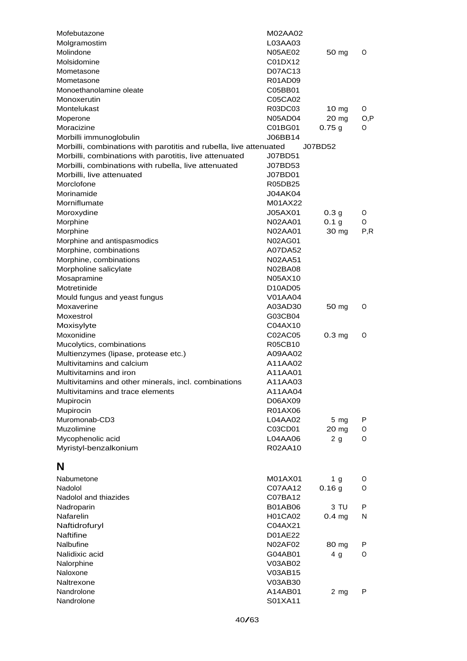| Mofebutazone                                                       | M02AA02        |                   |      |
|--------------------------------------------------------------------|----------------|-------------------|------|
| Molgramostim                                                       | L03AA03        |                   |      |
| Molindone                                                          | <b>N05AE02</b> | 50 mg             | 0    |
| Molsidomine                                                        | C01DX12        |                   |      |
| Mometasone                                                         | D07AC13        |                   |      |
| Mometasone                                                         | <b>R01AD09</b> |                   |      |
| Monoethanolamine oleate                                            | C05BB01        |                   |      |
| Monoxerutin                                                        | C05CA02        |                   |      |
| Montelukast                                                        | R03DC03        | 10 mg             | O    |
| Moperone                                                           | <b>N05AD04</b> | 20 mg             | O, P |
| Moracizine                                                         | C01BG01        | 0.75g             | O    |
| Morbilli immunoglobulin                                            | J06BB14        |                   |      |
| Morbilli, combinations with parotitis and rubella, live attenuated |                | J07BD52           |      |
| Morbilli, combinations with parotitis, live attenuated             | J07BD51        |                   |      |
| Morbilli, combinations with rubella, live attenuated               | J07BD53        |                   |      |
| Morbilli, live attenuated                                          | J07BD01        |                   |      |
| Morclofone                                                         | R05DB25        |                   |      |
| Morinamide                                                         | <b>J04AK04</b> |                   |      |
| Morniflumate                                                       | M01AX22        |                   |      |
| Moroxydine                                                         | J05AX01        | 0.3 <sub>g</sub>  | O    |
| Morphine                                                           | N02AA01        | 0.1 <sub>g</sub>  | O    |
| Morphine                                                           | N02AA01        | 30 mg             | P, R |
| Morphine and antispasmodics                                        | N02AG01        |                   |      |
| Morphine, combinations                                             | A07DA52        |                   |      |
| Morphine, combinations                                             | N02AA51        |                   |      |
| Morpholine salicylate                                              | N02BA08        |                   |      |
| Mosapramine                                                        | N05AX10        |                   |      |
| Motretinide                                                        | D10AD05        |                   |      |
| Mould fungus and yeast fungus                                      | V01AA04        |                   |      |
| Moxaverine                                                         | A03AD30        | 50 mg             | O    |
| Moxestrol                                                          | G03CB04        |                   |      |
| Moxisylyte                                                         | C04AX10        |                   |      |
| Moxonidine                                                         | C02AC05        | 0.3 <sub>mg</sub> | O    |
| Mucolytics, combinations                                           | R05CB10        |                   |      |
| Multienzymes (lipase, protease etc.)                               | A09AA02        |                   |      |
| Multivitamins and calcium                                          | A11AA02        |                   |      |
| Multivitamins and iron                                             | A11AA01        |                   |      |
| Multivitamins and other minerals, incl. combinations               | A11AA03        |                   |      |
| Multivitamins and trace elements                                   | A11AA04        |                   |      |
| Mupirocin                                                          | D06AX09        |                   |      |
| Mupirocin                                                          | R01AX06        |                   |      |
| Muromonab-CD3                                                      | L04AA02        | 5 mg              | P    |
| Muzolimine                                                         | C03CD01        | 20 mg             | O    |
| Mycophenolic acid                                                  | L04AA06        | 2 <sub>g</sub>    | O    |
| Myristyl-benzalkonium                                              | R02AA10        |                   |      |
|                                                                    |                |                   |      |
| N                                                                  |                |                   |      |
|                                                                    |                |                   |      |
| Nabumetone                                                         | M01AX01        | 1 <sub>g</sub>    | O    |
| Nadolol                                                            | C07AA12        | 0.16g             | O    |
| Nadolol and thiazides                                              | C07BA12        |                   |      |
| Nadroparin                                                         | <b>B01AB06</b> | 3 TU              | P    |
| Nafarelin                                                          | <b>H01CA02</b> | 0.4 <sub>mg</sub> | N    |
| Naftidrofuryl                                                      | C04AX21        |                   |      |
| <b>Naftifine</b>                                                   | D01AE22        |                   |      |
| Nalbufine                                                          | N02AF02        | 80 mg             | Р    |
| Nalidixic acid                                                     | G04AB01        | 4 g               | O    |
| Nalorphine                                                         | V03AB02        |                   |      |
| Naloxone                                                           | V03AB15        |                   |      |
| Naltrexone                                                         | V03AB30        |                   |      |
| Nandrolone                                                         | A14AB01        | 2 mg              | P    |
| Nandrolone                                                         | S01XA11        |                   |      |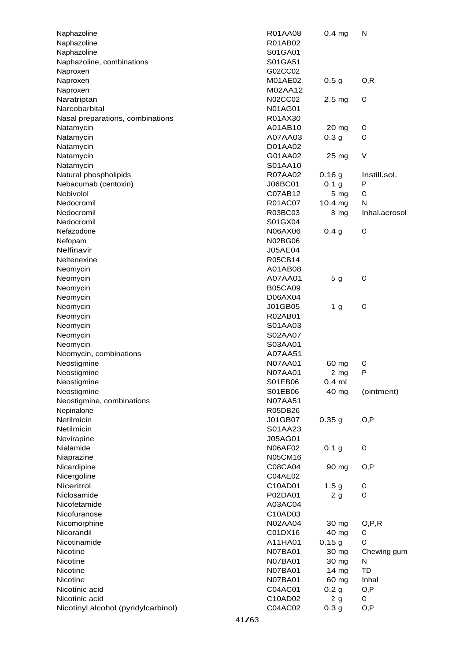| Naphazoline                         | <b>R01AA08</b> | 0.4 <sub>mg</sub> | N             |
|-------------------------------------|----------------|-------------------|---------------|
| Naphazoline                         | R01AB02        |                   |               |
| Naphazoline                         | S01GA01        |                   |               |
| Naphazoline, combinations           | S01GA51        |                   |               |
| Naproxen                            | G02CC02        |                   |               |
| Naproxen                            | M01AE02        | 0.5 <sub>g</sub>  | O, R          |
| Naproxen                            | M02AA12        |                   |               |
| Naratriptan                         | N02CC02        | 2.5 <sub>mg</sub> | 0             |
| Narcobarbital                       | <b>N01AG01</b> |                   |               |
| Nasal preparations, combinations    | R01AX30        |                   |               |
| Natamycin                           | A01AB10        | 20 <sub>mg</sub>  | O             |
| Natamycin                           | A07AA03        | 0.3 <sub>g</sub>  | 0             |
| Natamycin                           | D01AA02        |                   |               |
| Natamycin                           | G01AA02        | 25 mg             | V             |
| Natamycin                           | S01AA10        |                   |               |
| Natural phospholipids               | <b>R07AA02</b> | 0.16g             | Instill.sol.  |
| Nebacumab (centoxin)                | J06BC01        | 0.1 <sub>g</sub>  | P             |
| Nebivolol                           | C07AB12        | $5 \, mg$         | O             |
| Nedocromil                          | R01AC07        | $10.4$ mg         | N             |
| Nedocromil                          | R03BC03        | 8 mg              | Inhal.aerosol |
| Nedocromil                          | S01GX04        |                   |               |
| Nefazodone                          | N06AX06        | 0.4 <sub>g</sub>  | O             |
| Nefopam                             | N02BG06        |                   |               |
| Nelfinavir                          | <b>J05AE04</b> |                   |               |
| Neltenexine                         | R05CB14        |                   |               |
|                                     | A01AB08        |                   |               |
| Neomycin                            |                |                   |               |
| Neomycin                            | A07AA01        | 5 <sub>g</sub>    | O             |
| Neomycin                            | <b>B05CA09</b> |                   |               |
| Neomycin                            | D06AX04        |                   |               |
| Neomycin                            | J01GB05        | 1 g               | 0             |
| Neomycin                            | R02AB01        |                   |               |
| Neomycin                            | S01AA03        |                   |               |
| Neomycin                            | S02AA07        |                   |               |
| Neomycin                            | S03AA01        |                   |               |
| Neomycin, combinations              | A07AA51        |                   |               |
| Neostigmine                         | <b>N07AA01</b> | 60 mg             | O             |
| Neostigmine                         | <b>N07AA01</b> | $2$ mg            | P             |
| Neostigmine                         | S01EB06        | $0.4$ ml          |               |
| Neostigmine                         | S01EB06        | 40 mg             | (ointment)    |
| Neostigmine, combinations           | N07AA51        |                   |               |
| Nepinalone                          | R05DB26        |                   |               |
| Netilmicin                          | J01GB07        | 0.35g             | O, P          |
| Netilmicin                          | S01AA23        |                   |               |
| Nevirapine                          | J05AG01        |                   |               |
| Nialamide                           | N06AF02        | 0.1 <sub>g</sub>  | O             |
| Niaprazine                          | N05CM16        |                   |               |
| Nicardipine                         | C08CA04        | 90 mg             | O, P          |
| Nicergoline                         | C04AE02        |                   |               |
| Niceritrol                          | C10AD01        | 1.5 <sub>g</sub>  | O             |
| Niclosamide                         | P02DA01        | 2 <sub>g</sub>    | O             |
| Nicofetamide                        | A03AC04        |                   |               |
| Nicofuranose                        | C10AD03        |                   |               |
| Nicomorphine                        | <b>N02AA04</b> | 30 mg             | O, P, R       |
| Nicorandil                          | C01DX16        | 40 mg             | O             |
| Nicotinamide                        | A11HA01        | 0.15g             | O             |
| Nicotine                            | <b>N07BA01</b> | 30 mg             | Chewing gum   |
| Nicotine                            | <b>N07BA01</b> | 30 mg             | N             |
| Nicotine                            | <b>N07BA01</b> | 14 mg             | TD            |
| Nicotine                            | <b>N07BA01</b> | 60 mg             | Inhal         |
| Nicotinic acid                      | C04AC01        | 0.2 <sub>g</sub>  | O, P          |
| Nicotinic acid                      | C10AD02        | 2 <sub>g</sub>    | O             |
|                                     | C04AC02        |                   |               |
| Nicotinyl alcohol (pyridylcarbinol) |                | 0.3 <sub>g</sub>  | O,P           |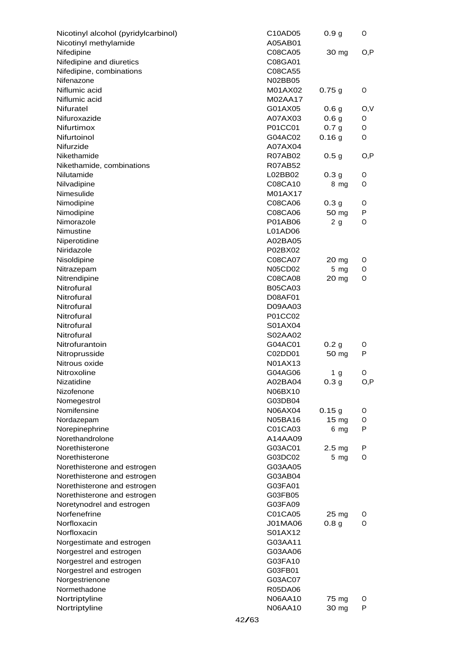| Nicotinyl alcohol (pyridylcarbinol)                  |       | C10AD05                          | 0.9 <sub>g</sub>  | O      |
|------------------------------------------------------|-------|----------------------------------|-------------------|--------|
| Nicotinyl methylamide                                |       | A05AB01                          |                   |        |
| Nifedipine                                           |       | C08CA05                          | 30 mg             | O, P   |
| Nifedipine and diuretics                             |       | C08GA01                          |                   |        |
| Nifedipine, combinations                             |       | C08CA55                          |                   |        |
| Nifenazone                                           |       | <b>N02BB05</b>                   |                   |        |
| Niflumic acid                                        |       | M01AX02                          | 0.75g             | O      |
| Niflumic acid                                        |       | M02AA17                          |                   |        |
| Nifuratel                                            |       | G01AX05                          | 0.6 <sub>g</sub>  | O,V    |
| Nifuroxazide                                         |       | A07AX03                          | 0.6 <sub>g</sub>  | O      |
| Nifurtimox                                           |       | P01CC01                          | 0.7 <sub>g</sub>  | O      |
| Nifurtoinol                                          |       | G04AC02                          | 0.16g             | O      |
| Nifurzide<br>Nikethamide                             |       | A07AX04                          |                   |        |
|                                                      |       | <b>R07AB02</b><br><b>R07AB52</b> | 0.5 <sub>g</sub>  | O, P   |
| Nikethamide, combinations<br>Nilutamide              |       | L02BB02                          | 0.3 <sub>g</sub>  |        |
| Nilvadipine                                          |       | C08CA10                          | 8 mg              | O<br>O |
| Nimesulide                                           |       | M01AX17                          |                   |        |
| Nimodipine                                           |       | C08CA06                          | 0.3 <sub>g</sub>  | O      |
| Nimodipine                                           |       | C08CA06                          | 50 mg             | P      |
| Nimorazole                                           |       | P01AB06                          | 2 <sub>g</sub>    | O      |
| Nimustine                                            |       | L01AD06                          |                   |        |
| Niperotidine                                         |       | A02BA05                          |                   |        |
| Niridazole                                           |       | P02BX02                          |                   |        |
| Nisoldipine                                          |       | C08CA07                          | 20 mg             | O      |
| Nitrazepam                                           |       | N05CD02                          | 5 <sub>mg</sub>   | O      |
| Nitrendipine                                         |       | C08CA08                          | 20 mg             | O      |
| Nitrofural                                           |       | <b>B05CA03</b>                   |                   |        |
| Nitrofural                                           |       | D08AF01                          |                   |        |
| Nitrofural                                           |       | D09AA03                          |                   |        |
| Nitrofural                                           |       | P01CC02                          |                   |        |
| Nitrofural                                           |       | S01AX04                          |                   |        |
| Nitrofural                                           |       | S02AA02                          |                   |        |
| Nitrofurantoin                                       |       | G04AC01                          | 0.2 <sub>g</sub>  | O      |
| Nitroprusside                                        |       | C02DD01                          | 50 mg             | P      |
| Nitrous oxide                                        |       | N01AX13                          |                   |        |
| Nitroxoline                                          |       | G04AG06                          | 1 <sub>g</sub>    | O      |
| Nizatidine                                           |       | A02BA04                          | 0.3 g             | O,P    |
| Nizofenone                                           |       | N06BX10                          |                   |        |
| Nomegestrol                                          |       | G03DB04                          |                   |        |
| Nomifensine                                          |       | N06AX04                          | 0.15g             | O      |
| Nordazepam                                           |       | N05BA16                          | $15 \text{ mg}$   | 0      |
| Norepinephrine                                       |       | C01CA03                          | 6 mg              | P      |
| Norethandrolone                                      |       | A14AA09                          |                   |        |
| Norethisterone                                       |       | G03AC01                          | 2.5 <sub>mg</sub> | P      |
| Norethisterone                                       |       | G03DC02                          | $5 \, mg$         | O      |
| Norethisterone and estrogen                          |       | G03AA05                          |                   |        |
| Norethisterone and estrogen                          |       | G03AB04                          |                   |        |
| Norethisterone and estrogen                          |       | G03FA01                          |                   |        |
| Norethisterone and estrogen                          |       | G03FB05                          |                   |        |
| Noretynodrel and estrogen                            |       | G03FA09                          |                   |        |
| Norfenefrine                                         |       | C01CA05                          | 25 mg             | O      |
| Norfloxacin                                          |       | J01MA06                          | 0.8 <sub>g</sub>  | O      |
| Norfloxacin                                          |       | S01AX12                          |                   |        |
| Norgestimate and estrogen<br>Norgestrel and estrogen |       | G03AA11<br>G03AA06               |                   |        |
| Norgestrel and estrogen                              |       | G03FA10                          |                   |        |
| Norgestrel and estrogen                              |       | G03FB01                          |                   |        |
| Norgestrienone                                       |       | G03AC07                          |                   |        |
| Normethadone                                         |       | <b>R05DA06</b>                   |                   |        |
| Nortriptyline                                        |       | N06AA10                          | 75 mg             | O      |
| Nortriptyline                                        |       | N06AA10                          | 30 mg             | P      |
|                                                      | 42/63 |                                  |                   |        |
|                                                      |       |                                  |                   |        |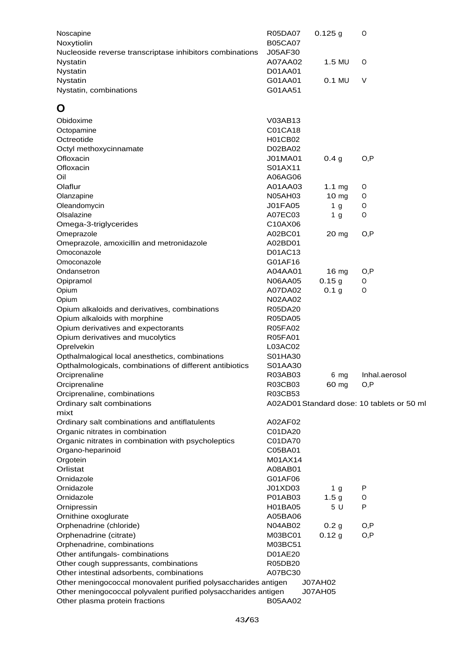| Noscapine<br>Noxytiolin                                                                                                                                         | R05DA07<br><b>B05CA07</b><br>J05AF30 | $0.125$ g         | 0                                          |  |
|-----------------------------------------------------------------------------------------------------------------------------------------------------------------|--------------------------------------|-------------------|--------------------------------------------|--|
| Nucleoside reverse transcriptase inhibitors combinations<br>Nystatin<br>Nystatin                                                                                | A07AA02<br>D01AA01                   | 1.5 MU            | 0                                          |  |
| Nystatin<br>Nystatin, combinations                                                                                                                              | G01AA01<br>G01AA51                   | 0.1 MU            | $\vee$                                     |  |
| Õ                                                                                                                                                               |                                      |                   |                                            |  |
| Obidoxime                                                                                                                                                       | V03AB13                              |                   |                                            |  |
| Octopamine                                                                                                                                                      | C01CA18                              |                   |                                            |  |
| Octreotide                                                                                                                                                      | H01CB02                              |                   |                                            |  |
| Octyl methoxycinnamate                                                                                                                                          | D02BA02                              |                   |                                            |  |
| Ofloxacin                                                                                                                                                       | J01MA01                              | 0.4 <sub>g</sub>  | O, P                                       |  |
| Ofloxacin                                                                                                                                                       | S01AX11                              |                   |                                            |  |
| Oil                                                                                                                                                             | A06AG06                              |                   |                                            |  |
| Olaflur                                                                                                                                                         | A01AA03                              | 1.1 <sub>mg</sub> | O                                          |  |
| Olanzapine                                                                                                                                                      | <b>N05AH03</b>                       | 10 <sub>mg</sub>  | 0                                          |  |
| Oleandomycin                                                                                                                                                    | <b>J01FA05</b>                       | 1 <sub>g</sub>    | 0                                          |  |
| Olsalazine                                                                                                                                                      | A07EC03                              | 1 <sub>g</sub>    | 0                                          |  |
| Omega-3-triglycerides                                                                                                                                           | C10AX06                              |                   |                                            |  |
| Omeprazole<br>Omeprazole, amoxicillin and metronidazole                                                                                                         | A02BC01<br>A02BD01                   | 20 mg             | O, P                                       |  |
| Omoconazole                                                                                                                                                     | D01AC13                              |                   |                                            |  |
| Omoconazole                                                                                                                                                     | G01AF16                              |                   |                                            |  |
| Ondansetron                                                                                                                                                     | A04AA01                              | 16 <sub>mg</sub>  | O, P                                       |  |
| Opipramol                                                                                                                                                       | <b>N06AA05</b>                       | 0.15g             | O                                          |  |
| Opium                                                                                                                                                           | A07DA02                              | 0.1 <sub>g</sub>  | O                                          |  |
| Opium                                                                                                                                                           | N02AA02                              |                   |                                            |  |
| Opium alkaloids and derivatives, combinations                                                                                                                   | R05DA20                              |                   |                                            |  |
| Opium alkaloids with morphine                                                                                                                                   | R05DA05                              |                   |                                            |  |
| Opium derivatives and expectorants                                                                                                                              | <b>R05FA02</b>                       |                   |                                            |  |
| Opium derivatives and mucolytics                                                                                                                                | R05FA01                              |                   |                                            |  |
| Oprelvekin                                                                                                                                                      | L03AC02                              |                   |                                            |  |
| Opthalmalogical local anesthetics, combinations                                                                                                                 | S01HA30                              |                   |                                            |  |
| Opthalmologicals, combinations of different antibiotics                                                                                                         | S01AA30                              |                   |                                            |  |
| Orciprenaline                                                                                                                                                   | R03AB03                              | 6 mg              | Inhal.aerosol                              |  |
| Orciprenaline                                                                                                                                                   | R03CB03                              | 60 mg             | O, P                                       |  |
| Orciprenaline, combinations                                                                                                                                     | R03CB53                              |                   |                                            |  |
| Ordinary salt combinations<br>mixt                                                                                                                              |                                      |                   | A02AD01 Standard dose: 10 tablets or 50 ml |  |
| Ordinary salt combinations and antiflatulents                                                                                                                   | A02AF02                              |                   |                                            |  |
| Organic nitrates in combination                                                                                                                                 | C01DA20                              |                   |                                            |  |
| Organic nitrates in combination with psycholeptics                                                                                                              | C01DA70                              |                   |                                            |  |
| Organo-heparinoid                                                                                                                                               | C05BA01                              |                   |                                            |  |
| Orgotein                                                                                                                                                        | M01AX14                              |                   |                                            |  |
| Orlistat                                                                                                                                                        | A08AB01                              |                   |                                            |  |
| Ornidazole                                                                                                                                                      | G01AF06                              |                   |                                            |  |
| Ornidazole                                                                                                                                                      | J01XD03                              | 1 <sub>g</sub>    | P                                          |  |
| Ornidazole                                                                                                                                                      | P01AB03                              | 1.5 <sub>g</sub>  | O                                          |  |
| Ornipressin                                                                                                                                                     | H01BA05                              | 5 U               | P                                          |  |
| Ornithine oxoglurate                                                                                                                                            | A05BA06                              |                   |                                            |  |
| Orphenadrine (chloride)                                                                                                                                         | N04AB02                              | 0.2 <sub>g</sub>  | O, P                                       |  |
| Orphenadrine (citrate)                                                                                                                                          | M03BC01                              | 0.12 g            | O, P                                       |  |
| Orphenadrine, combinations                                                                                                                                      | M03BC51                              |                   |                                            |  |
| Other antifungals- combinations                                                                                                                                 | D01AE20                              |                   |                                            |  |
| Other cough suppressants, combinations                                                                                                                          | R05DB20                              |                   |                                            |  |
| Other intestinal adsorbents, combinations                                                                                                                       | A07BC30                              |                   |                                            |  |
| Other meningococcal monovalent purified polysaccharides antigen<br>J07AH02<br>Other meningococcal polyvalent purified polysaccharides antigen<br><b>J07AH05</b> |                                      |                   |                                            |  |
| Other plasma protein fractions                                                                                                                                  | <b>B05AA02</b>                       |                   |                                            |  |
|                                                                                                                                                                 |                                      |                   |                                            |  |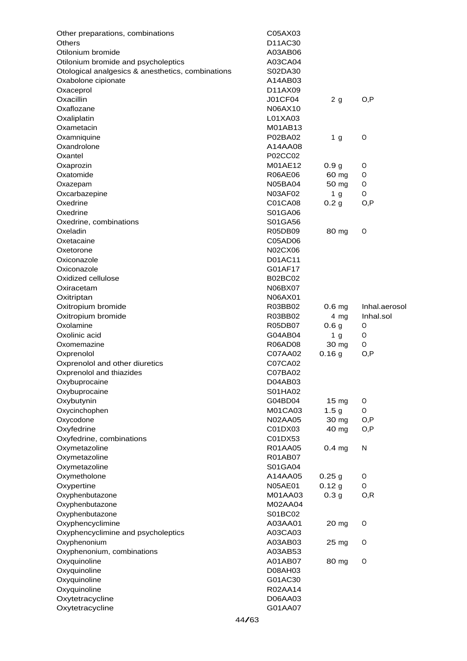| Other preparations, combinations                  | C05AX03        |                   |               |
|---------------------------------------------------|----------------|-------------------|---------------|
| <b>Others</b>                                     | D11AC30        |                   |               |
| Otilonium bromide                                 | A03AB06        |                   |               |
| Otilonium bromide and psycholeptics               | A03CA04        |                   |               |
| Otological analgesics & anesthetics, combinations | S02DA30        |                   |               |
| Oxabolone cipionate                               | A14AB03        |                   |               |
| Oxaceprol                                         | D11AX09        |                   |               |
| Oxacillin                                         | <b>J01CF04</b> | 2g                | O, P          |
| Oxaflozane                                        | N06AX10        |                   |               |
| Oxaliplatin                                       | L01XA03        |                   |               |
| Oxametacin                                        | M01AB13        |                   |               |
| Oxamniquine                                       | P02BA02        | 1 <sub>g</sub>    | 0             |
| Oxandrolone                                       | A14AA08        |                   |               |
| Oxantel                                           | P02CC02        |                   |               |
| Oxaprozin                                         | M01AE12        | 0.9 <sub>g</sub>  | O             |
| Oxatomide                                         | R06AE06        | 60 mg             | O             |
| Oxazepam                                          | N05BA04        | 50 mg             | O             |
| Oxcarbazepine                                     | N03AF02        | 1 <sub>g</sub>    | O             |
| Oxedrine                                          | C01CA08        | 0.2 <sub>g</sub>  | O, P          |
| Oxedrine                                          | S01GA06        |                   |               |
| Oxedrine, combinations                            | S01GA56        |                   |               |
| Oxeladin                                          | R05DB09        | 80 mg             | O             |
| Oxetacaine                                        | C05AD06        |                   |               |
| Oxetorone                                         | N02CX06        |                   |               |
| Oxiconazole                                       | D01AC11        |                   |               |
| Oxiconazole                                       | G01AF17        |                   |               |
| Oxidized cellulose                                | <b>B02BC02</b> |                   |               |
| Oxiracetam                                        | N06BX07        |                   |               |
| Oxitriptan                                        | N06AX01        |                   |               |
| Oxitropium bromide                                | R03BB02        | 0.6 <sub>mg</sub> | Inhal.aerosol |
| Oxitropium bromide                                | R03BB02        | 4 mg              | Inhal.sol     |
| Oxolamine                                         | R05DB07        | 0.6 <sub>g</sub>  | O             |
| Oxolinic acid                                     | G04AB04        | 1 <sub>g</sub>    | O             |
| Oxomemazine                                       | R06AD08        | 30 mg             | O             |
| Oxprenolol                                        | C07AA02        | 0.16g             | O, P          |
| Oxprenolol and other diuretics                    | C07CA02        |                   |               |
| Oxprenolol and thiazides                          | C07BA02        |                   |               |
| Oxybuprocaine                                     | D04AB03        |                   |               |
| Oxybuprocaine                                     | S01HA02        |                   |               |
| Oxybutynin                                        | G04BD04        | $15 \text{ mg}$   | O             |
| Oxycinchophen                                     | M01CA03        | 1.5 <sub>g</sub>  | O             |
| Oxycodone                                         | N02AA05        | 30 mg             | O,P           |
| Oxyfedrine                                        | C01DX03        | 40 mg             | O,P           |
| Oxyfedrine, combinations                          | C01DX53        |                   |               |
| Oxymetazoline                                     | R01AA05        | 0.4 <sub>mg</sub> | N             |
| Oxymetazoline                                     | R01AB07        |                   |               |
|                                                   | S01GA04        |                   |               |
| Oxymetazoline                                     | A14AA05        |                   | O             |
| Oxymetholone                                      |                | 0.25g             |               |
| Oxypertine                                        | <b>N05AE01</b> | 0.12 g            | O             |
| Oxyphenbutazone                                   | M01AA03        | 0.3 <sub>g</sub>  | O, R          |
| Oxyphenbutazone                                   | M02AA04        |                   |               |
| Oxyphenbutazone                                   | S01BC02        |                   |               |
| Oxyphencyclimine                                  | A03AA01        | 20 mg             | O             |
| Oxyphencyclimine and psycholeptics                | A03CA03        |                   |               |
| Oxyphenonium                                      | A03AB03        | 25 mg             | O             |
| Oxyphenonium, combinations                        | A03AB53        |                   |               |
| Oxyquinoline                                      | A01AB07        | 80 mg             | O             |
| Oxyquinoline                                      | D08AH03        |                   |               |
| Oxyquinoline                                      | G01AC30        |                   |               |
| Oxyquinoline                                      | R02AA14        |                   |               |
| Oxytetracycline                                   | D06AA03        |                   |               |
| Oxytetracycline                                   | G01AA07        |                   |               |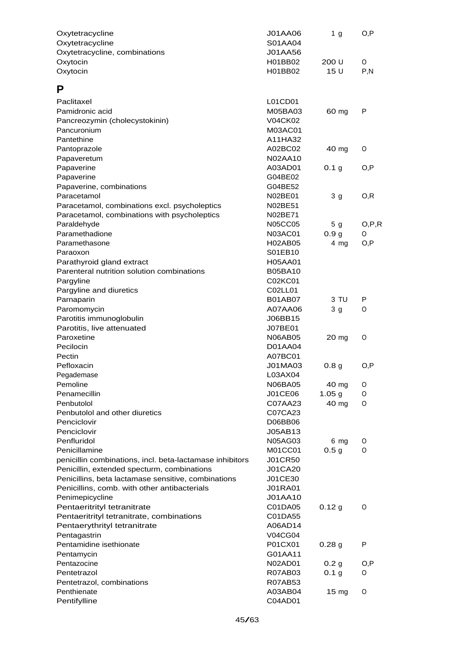| Oxytetracycline<br>Oxytetracycline                       | J01AA06<br>S01AA04        | 1 <sub>g</sub>           | O, P    |
|----------------------------------------------------------|---------------------------|--------------------------|---------|
| Oxytetracycline, combinations                            | J01AA56                   |                          |         |
| Oxytocin                                                 | H01BB02                   | 200 U                    | O       |
| Oxytocin                                                 | H01BB02                   | 15 U                     | P, N    |
|                                                          |                           |                          |         |
| P                                                        |                           |                          |         |
| Paclitaxel                                               | L01CD01                   |                          |         |
| Pamidronic acid                                          | M05BA03                   | 60 mg                    | P       |
| Pancreozymin (cholecystokinin)                           | V04CK02                   |                          |         |
| Pancuronium                                              | M03AC01                   |                          |         |
| Pantethine                                               | A11HA32                   |                          |         |
| Pantoprazole                                             | A02BC02                   | 40 mg                    | O       |
| Papaveretum                                              | N02AA10                   |                          |         |
| Papaverine                                               | A03AD01                   | 0.1 <sub>g</sub>         | O, P    |
| Papaverine                                               | G04BE02                   |                          |         |
| Papaverine, combinations                                 | G04BE52                   |                          |         |
| Paracetamol                                              | N02BE01                   | 3 <sub>g</sub>           | O, R    |
| Paracetamol, combinations excl. psycholeptics            | N02BE51                   |                          |         |
| Paracetamol, combinations with psycholeptics             | N02BE71                   |                          |         |
| Paraldehyde                                              | <b>N05CC05</b>            | 5 <sub>g</sub>           | O, P, R |
| Paramethadione                                           | N03AC01                   | 0.9 <sub>g</sub>         | O       |
| Paramethasone                                            | H02AB05                   | 4 mg                     | O, P    |
| Paraoxon                                                 | S01EB10                   |                          |         |
| Parathyroid gland extract                                | <b>H05AA01</b>            |                          |         |
| Parenteral nutrition solution combinations               | <b>B05BA10</b>            |                          |         |
| Pargyline                                                | C02KC01                   |                          |         |
| Pargyline and diuretics                                  | C02LL01                   |                          |         |
| Parnaparin                                               | <b>B01AB07</b>            | 3 TU                     | P       |
| Paromomycin                                              | A07AA06                   | 3 <sub>g</sub>           | O       |
| Parotitis immunoglobulin                                 | J06BB15                   |                          |         |
| Parotitis, live attenuated                               | J07BE01                   |                          |         |
| Paroxetine                                               | <b>N06AB05</b>            | 20 mg                    | O       |
| Pecilocin                                                | D01AA04                   |                          |         |
| Pectin                                                   | A07BC01                   |                          |         |
| Pefloxacin                                               | J01MA03                   | 0.8 <sub>g</sub>         | O,P     |
| Pegademase                                               | L03AX04                   |                          |         |
| Pemoline                                                 | <b>N06BA05</b>            | 40 mg                    | O       |
| Penamecillin                                             | J01CE06                   | 1.05 <sub>g</sub>        | O       |
| Penbutolol                                               | C07AA23                   | 40 mg                    | 0       |
| Penbutolol and other diuretics                           | C07CA23                   |                          |         |
| Penciclovir<br>Penciclovir                               | D06BB06<br>J05AB13        |                          |         |
| Penfluridol                                              |                           |                          |         |
| Penicillamine                                            | <b>N05AG03</b><br>M01CC01 | 6 mg<br>0.5 <sub>g</sub> | O<br>0  |
| penicillin combinations, incl. beta-lactamase inhibitors | <b>J01CR50</b>            |                          |         |
| Penicillin, extended specturm, combinations              | <b>J01CA20</b>            |                          |         |
| Penicillins, beta lactamase sensitive, combinations      | J01CE30                   |                          |         |
| Penicillins, comb. with other antibacterials             | <b>J01RA01</b>            |                          |         |
| Penimepicycline                                          | J01AA10                   |                          |         |
| Pentaeritrityl tetranitrate                              | C01DA05                   | 0.12 g                   | O       |
| Pentaeritrityl tetranitrate, combinations                | C01DA55                   |                          |         |
| Pentaerythrityl tetranitrate                             | A06AD14                   |                          |         |
| Pentagastrin                                             | V04CG04                   |                          |         |
| Pentamidine isethionate                                  | P01CX01                   | 0.28 <sub>g</sub>        | P       |
| Pentamycin                                               | G01AA11                   |                          |         |
| Pentazocine                                              | N02AD01                   | 0.2 <sub>g</sub>         | O, P    |
| Pentetrazol                                              | R07AB03                   | 0.1 <sub>g</sub>         | O       |
| Pentetrazol, combinations                                | <b>R07AB53</b>            |                          |         |
| Penthienate                                              | A03AB04                   | $15 \text{ mg}$          | O       |
| Pentifylline                                             | C04AD01                   |                          |         |
|                                                          |                           |                          |         |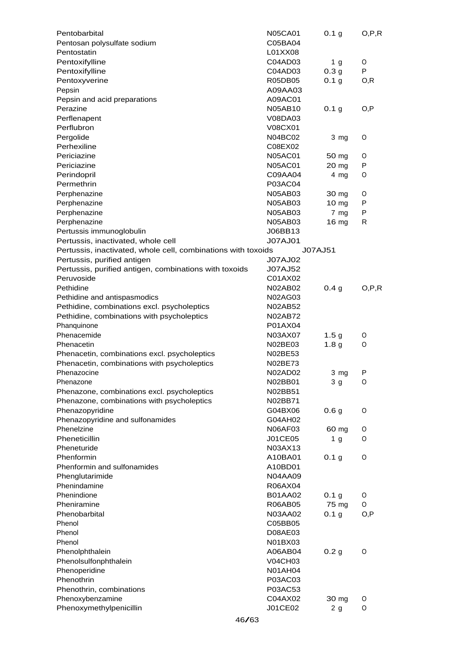| Pentobarbital                                                 | <b>N05CA01</b> | 0.1 g            | O, P, R |
|---------------------------------------------------------------|----------------|------------------|---------|
| Pentosan polysulfate sodium                                   | C05BA04        |                  |         |
| Pentostatin                                                   | L01XX08        |                  |         |
| Pentoxifylline                                                | C04AD03        | 1 <sub>g</sub>   | O       |
| Pentoxifylline                                                | C04AD03        | 0.3 <sub>g</sub> | P       |
| Pentoxyverine                                                 | R05DB05        | 0.1 <sub>g</sub> | O, R    |
| Pepsin                                                        | A09AA03        |                  |         |
| Pepsin and acid preparations                                  | A09AC01        |                  |         |
| Perazine                                                      | <b>N05AB10</b> | 0.1 <sub>g</sub> | O,P     |
| Perflenapent                                                  | V08DA03        |                  |         |
| Perflubron                                                    | V08CX01        |                  |         |
| Pergolide                                                     | N04BC02        | 3 mg             | O       |
| Perhexiline                                                   | C08EX02        |                  |         |
| Periciazine                                                   | <b>N05AC01</b> | 50 mg            | 0       |
| Periciazine                                                   | <b>N05AC01</b> | 20 mg            | P       |
| Perindopril                                                   | C09AA04        | $4 \, mg$        | O       |
| Permethrin                                                    | P03AC04        |                  |         |
| Perphenazine                                                  | <b>N05AB03</b> | 30 mg            | 0       |
| Perphenazine                                                  | <b>N05AB03</b> | $10 \text{ mg}$  | P       |
| Perphenazine                                                  | <b>N05AB03</b> | $7 \, mg$        | P       |
| Perphenazine                                                  | <b>N05AB03</b> | 16 mg            | R       |
| Pertussis immunoglobulin                                      | J06BB13        |                  |         |
| Pertussis, inactivated, whole cell                            | <b>J07AJ01</b> |                  |         |
| Pertussis, inactivated, whole cell, combinations with toxoids |                | J07AJ51          |         |
| Pertussis, purified antigen                                   | J07AJ02        |                  |         |
| Pertussis, purified antigen, combinations with toxoids        | <b>J07AJ52</b> |                  |         |
| Peruvoside                                                    | C01AX02        |                  |         |
| Pethidine                                                     | <b>N02AB02</b> | 0.4 <sub>g</sub> | O, P, R |
|                                                               | N02AG03        |                  |         |
| Pethidine and antispasmodics                                  | <b>N02AB52</b> |                  |         |
| Pethidine, combinations excl. psycholeptics                   |                |                  |         |
| Pethidine, combinations with psycholeptics                    | <b>N02AB72</b> |                  |         |
| Phanquinone                                                   | P01AX04        |                  |         |
| Phenacemide                                                   | N03AX07        | 1.5 <sub>g</sub> | O       |
| Phenacetin                                                    | N02BE03        | 1.8 <sub>g</sub> | 0       |
| Phenacetin, combinations excl. psycholeptics                  | N02BE53        |                  |         |
| Phenacetin, combinations with psycholeptics                   | N02BE73        |                  |         |
| Phenazocine                                                   | <b>N02AD02</b> | $3 \, mg$        | P       |
| Phenazone                                                     | N02BB01        | 3 g              | O       |
| Phenazone, combinations excl. psycholeptics                   | N02BB51        |                  |         |
| Phenazone, combinations with psycholeptics                    | N02BB71        |                  |         |
| Phenazopyridine                                               | G04BX06        | 0.6 <sub>g</sub> | O       |
| Phenazopyridine and sulfonamides                              | G04AH02        |                  |         |
| Phenelzine                                                    | N06AF03        | 60 mg            | O       |
| Pheneticillin                                                 | J01CE05        | 1 g              | 0       |
| Pheneturide                                                   | N03AX13        |                  |         |
| Phenformin                                                    | A10BA01        | 0.1 <sub>g</sub> | O       |
| Phenformin and sulfonamides                                   | A10BD01        |                  |         |
| Phenglutarimide                                               | <b>N04AA09</b> |                  |         |
| Phenindamine                                                  | R06AX04        |                  |         |
| Phenindione                                                   | <b>B01AA02</b> | 0.1 <sub>g</sub> | O       |
| Pheniramine                                                   | R06AB05        | 75 mg            | O       |
| Phenobarbital                                                 | N03AA02        | 0.1 <sub>g</sub> | O, P    |
| Phenol                                                        | C05BB05        |                  |         |
| Phenol                                                        | D08AE03        |                  |         |
| Phenol                                                        | N01BX03        |                  |         |
| Phenolphthalein                                               | A06AB04        | 0.2 <sub>g</sub> | O       |
| Phenolsulfonphthalein                                         | V04CH03        |                  |         |
| Phenoperidine                                                 | <b>N01AH04</b> |                  |         |
| Phenothrin                                                    | P03AC03        |                  |         |
| Phenothrin, combinations                                      | P03AC53        |                  |         |
| Phenoxybenzamine                                              | C04AX02        | 30 mg            | O       |
| Phenoxymethylpenicillin                                       | J01CE02        | 2 <sub>g</sub>   | O       |
|                                                               |                |                  |         |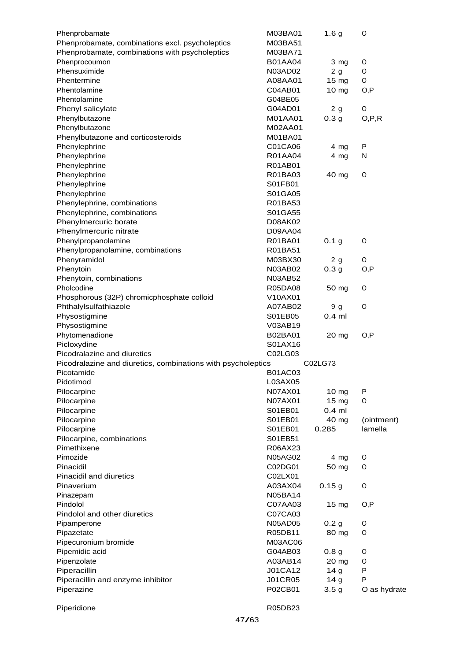| Phenprobamate                                                | M03BA01        | 1.6 <sub>g</sub> | O            |
|--------------------------------------------------------------|----------------|------------------|--------------|
| Phenprobamate, combinations excl. psycholeptics              | M03BA51        |                  |              |
| Phenprobamate, combinations with psycholeptics               | M03BA71        |                  |              |
| Phenprocoumon                                                | <b>B01AA04</b> | 3 mg             | O            |
| Phensuximide                                                 | N03AD02        | 2g               | O            |
| Phentermine                                                  | A08AA01        | 15 <sub>mg</sub> | O            |
| Phentolamine                                                 | C04AB01        | 10 <sub>mg</sub> | O, P         |
| Phentolamine                                                 | G04BE05        |                  |              |
| Phenyl salicylate                                            | G04AD01        | 2 <sub>g</sub>   | O            |
| Phenylbutazone                                               | M01AA01        | 0.3 <sub>g</sub> | O, P, R      |
| Phenylbutazone                                               | M02AA01        |                  |              |
| Phenylbutazone and corticosteroids                           | M01BA01        |                  |              |
|                                                              |                |                  | P            |
| Phenylephrine                                                | C01CA06        | 4 mg             |              |
| Phenylephrine                                                | R01AA04        | 4 mg             | N            |
| Phenylephrine                                                | R01AB01        |                  |              |
| Phenylephrine                                                | R01BA03        | 40 mg            | O            |
| Phenylephrine                                                | S01FB01        |                  |              |
| Phenylephrine                                                | S01GA05        |                  |              |
| Phenylephrine, combinations                                  | R01BA53        |                  |              |
| Phenylephrine, combinations                                  | S01GA55        |                  |              |
| Phenylmercuric borate                                        | D08AK02        |                  |              |
| Phenylmercuric nitrate                                       | D09AA04        |                  |              |
| Phenylpropanolamine                                          | R01BA01        | 0.1 <sub>g</sub> | O            |
| Phenylpropanolamine, combinations                            | R01BA51        |                  |              |
| Phenyramidol                                                 | M03BX30        | 2g               | O            |
| Phenytoin                                                    | N03AB02        | 0.3 <sub>g</sub> | O, P         |
| Phenytoin, combinations                                      | N03AB52        |                  |              |
| Pholcodine                                                   | R05DA08        | 50 mg            | O            |
| Phosphorous (32P) chromicphosphate colloid                   | V10AX01        |                  |              |
| Phthalylsulfathiazole                                        | A07AB02        | 9 <sub>g</sub>   | O            |
| Physostigmine                                                | S01EB05        | $0.4$ ml         |              |
| Physostigmine                                                | V03AB19        |                  |              |
| Phytomenadione                                               | B02BA01        | 20 <sub>mg</sub> | O, P         |
| Picloxydine                                                  | S01AX16        |                  |              |
| Picodralazine and diuretics                                  | C02LG03        |                  |              |
| Picodralazine and diuretics, combinations with psycholeptics |                | C02LG73          |              |
| Picotamide                                                   | <b>B01AC03</b> |                  |              |
| Pidotimod                                                    |                |                  |              |
|                                                              | L03AX05        |                  |              |
| Pilocarpine                                                  | N07AX01        | $10 \text{ mg}$  | P            |
| Pilocarpine                                                  | N07AX01        | $15 \text{ mg}$  | 0            |
| Pilocarpine                                                  | S01EB01        | $0.4$ ml         |              |
| Pilocarpine                                                  | S01EB01        | 40 mg            | (ointment)   |
| Pilocarpine                                                  | S01EB01        | 0.285            | lamella      |
| Pilocarpine, combinations                                    | S01EB51        |                  |              |
| Pimethixene                                                  | R06AX23        |                  |              |
| Pimozide                                                     | <b>N05AG02</b> | $4 \, mg$        | O            |
| Pinacidil                                                    | C02DG01        | 50 mg            | O            |
| Pinacidil and diuretics                                      | C02LX01        |                  |              |
| Pinaverium                                                   | A03AX04        | 0.15g            | O            |
| Pinazepam                                                    | <b>N05BA14</b> |                  |              |
| Pindolol                                                     | C07AA03        | 15 mg            | O, P         |
| Pindolol and other diuretics                                 | C07CA03        |                  |              |
| Pipamperone                                                  | <b>N05AD05</b> | 0.2 <sub>g</sub> | O            |
| Pipazetate                                                   | R05DB11        | 80 mg            | O            |
| Pipecuronium bromide                                         | M03AC06        |                  |              |
| Pipemidic acid                                               | G04AB03        | 0.8 <sub>g</sub> | O            |
| Pipenzolate                                                  | A03AB14        | $20 \text{ mg}$  | 0            |
| Piperacillin                                                 | <b>J01CA12</b> | 14 <sub>g</sub>  | P            |
| Piperacillin and enzyme inhibitor                            | <b>J01CR05</b> | 14 <sub>g</sub>  | P            |
| Piperazine                                                   | P02CB01        | 3.5 <sub>g</sub> | O as hydrate |
|                                                              |                |                  |              |
| Piperidione                                                  | R05DB23        |                  |              |
|                                                              |                |                  |              |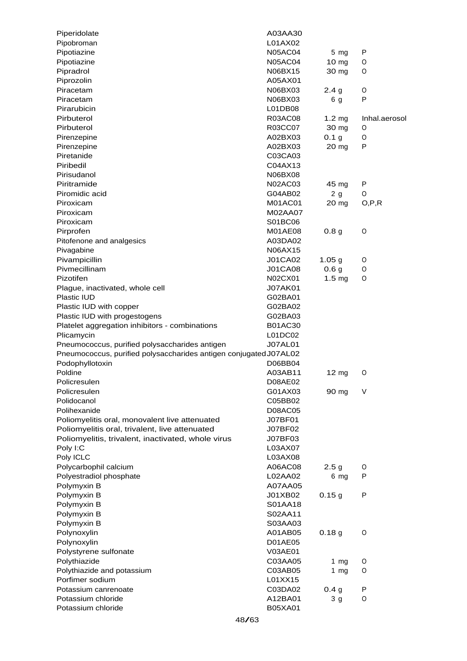| Piperidolate                                                      | A03AA30        |                   |               |
|-------------------------------------------------------------------|----------------|-------------------|---------------|
| Pipobroman                                                        | L01AX02        |                   |               |
| Pipotiazine                                                       | <b>N05AC04</b> | 5 mg              | P             |
| Pipotiazine                                                       | <b>N05AC04</b> | 10 mg             | O             |
| Pipradrol                                                         | N06BX15        | 30 mg             | O             |
| Piprozolin                                                        | A05AX01        |                   |               |
| Piracetam                                                         | N06BX03        | 2.4 <sub>g</sub>  | 0             |
| Piracetam                                                         | N06BX03        | 6 g               | P             |
| Pirarubicin                                                       | L01DB08        |                   |               |
| Pirbuterol                                                        | R03AC08        | $1.2 \text{ mg}$  | Inhal.aerosol |
| Pirbuterol                                                        | R03CC07        | 30 mg             | O             |
| Pirenzepine                                                       | A02BX03        | 0.1 <sub>g</sub>  | 0             |
| Pirenzepine                                                       | A02BX03        | 20 mg             | P             |
| Piretanide                                                        | C03CA03        |                   |               |
| Piribedil                                                         | C04AX13        |                   |               |
| Pirisudanol                                                       | N06BX08        |                   |               |
| Piritramide                                                       | <b>N02AC03</b> | 45 mg             | P             |
| Piromidic acid                                                    | G04AB02        | 2g                | O             |
| Piroxicam                                                         | M01AC01        | 20 mg             | O, P, R       |
| Piroxicam                                                         | M02AA07        |                   |               |
| Piroxicam                                                         | S01BC06        |                   |               |
| Pirprofen                                                         | M01AE08        | 0.8 <sub>g</sub>  | O             |
| Pitofenone and analgesics                                         | A03DA02        |                   |               |
| Pivagabine                                                        | N06AX15        |                   |               |
| Pivampicillin                                                     | <b>J01CA02</b> | 1.05 <sub>g</sub> | O             |
| Pivmecillinam                                                     | <b>J01CA08</b> | 0.6 <sub>g</sub>  | 0             |
| Pizotifen                                                         | N02CX01        | 1.5 <sub>mg</sub> | O             |
| Plague, inactivated, whole cell                                   | <b>J07AK01</b> |                   |               |
| Plastic IUD                                                       | G02BA01        |                   |               |
| Plastic IUD with copper                                           | G02BA02        |                   |               |
| Plastic IUD with progestogens                                     | G02BA03        |                   |               |
| Platelet aggregation inhibitors - combinations                    | <b>B01AC30</b> |                   |               |
| Plicamycin                                                        | L01DC02        |                   |               |
| Pneumococcus, purified polysaccharides antigen                    | <b>J07AL01</b> |                   |               |
| Pneumococcus, purified polysaccharides antigen conjugated J07AL02 |                |                   |               |
| Podophyllotoxin                                                   | D06BB04        |                   |               |
| Poldine                                                           | A03AB11        | $12 \text{ mg}$   | 0             |
| Policresulen                                                      | D08AE02        |                   |               |
| Policresulen                                                      | G01AX03        | 90 mg             | V             |
| Polidocanol                                                       | C05BB02        |                   |               |
| Polihexanide                                                      | D08AC05        |                   |               |
| Poliomyelitis oral, monovalent live attenuated                    | J07BF01        |                   |               |
| Poliomyelitis oral, trivalent, live attenuated                    | J07BF02        |                   |               |
| Poliomyelitis, trivalent, inactivated, whole virus                | J07BF03        |                   |               |
| Poly I:C                                                          | L03AX07        |                   |               |
| Poly ICLC                                                         | L03AX08        |                   |               |
| Polycarbophil calcium                                             | A06AC08        | 2.5 <sub>g</sub>  | O             |
| Polyestradiol phosphate                                           | L02AA02        | 6 mg              | P             |
| Polymyxin B                                                       | A07AA05        |                   |               |
| Polymyxin B                                                       | J01XB02        | 0.15g             | P             |
| Polymyxin B                                                       | S01AA18        |                   |               |
| Polymyxin B                                                       | S02AA11        |                   |               |
|                                                                   |                |                   |               |
| Polymyxin B                                                       | S03AA03        |                   | O             |
| Polynoxylin                                                       | A01AB05        | 0.18 <sub>g</sub> |               |
| Polynoxylin                                                       | D01AE05        |                   |               |
| Polystyrene sulfonate                                             | V03AE01        |                   |               |
| Polythiazide                                                      | C03AA05        | 1 $mg$            | O             |
| Polythiazide and potassium                                        | C03AB05        | 1 $mg$            | 0             |
| Porfimer sodium                                                   | L01XX15        |                   |               |
| Potassium canrenoate                                              | C03DA02        | 0.4 <sub>g</sub>  | P             |
| Potassium chloride                                                | A12BA01        | 3 <sub>g</sub>    | O             |
| Potassium chloride                                                | B05XA01        |                   |               |
|                                                                   | 48/63          |                   |               |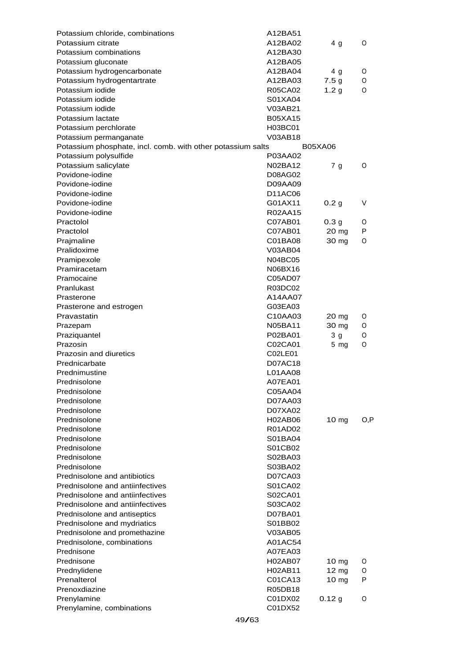| Potassium chloride, combinations                            | A12BA51            |                  |        |
|-------------------------------------------------------------|--------------------|------------------|--------|
| Potassium citrate                                           | A12BA02            | 4 g              | 0      |
| Potassium combinations                                      | A12BA30            |                  |        |
| Potassium gluconate                                         | A12BA05            |                  |        |
| Potassium hydrogencarbonate                                 | A12BA04            | 4 g              | O      |
| Potassium hydrogentartrate                                  | A12BA03            | 7.5 <sub>g</sub> | 0      |
| Potassium iodide                                            | R05CA02            | 1.2 <sub>g</sub> | O      |
| Potassium iodide                                            | S01XA04            |                  |        |
| Potassium iodide                                            | V03AB21            |                  |        |
| Potassium lactate                                           | <b>B05XA15</b>     |                  |        |
| Potassium perchlorate                                       | H03BC01            |                  |        |
| Potassium permanganate                                      | V03AB18            |                  |        |
| Potassium phosphate, incl. comb. with other potassium salts |                    | <b>B05XA06</b>   |        |
| Potassium polysulfide                                       | P03AA02            |                  |        |
| Potassium salicylate                                        | N02BA12            | 7 g              | 0      |
| Povidone-iodine                                             | D08AG02            |                  |        |
| Povidone-iodine                                             | D09AA09            |                  |        |
| Povidone-iodine                                             | D11AC06            |                  |        |
| Povidone-iodine<br>Povidone-iodine                          | G01AX11            | 0.2 <sub>g</sub> | V      |
| Practolol                                                   | R02AA15            |                  |        |
|                                                             | C07AB01            | 0.3 <sub>g</sub> | 0      |
| Practolol                                                   | C07AB01            | 20 mg            | P      |
| Prajmaline<br>Pralidoxime                                   | C01BA08<br>V03AB04 | 30 mg            | 0      |
| Pramipexole                                                 | <b>N04BC05</b>     |                  |        |
| Pramiracetam                                                | N06BX16            |                  |        |
| Pramocaine                                                  | C05AD07            |                  |        |
| Pranlukast                                                  | R03DC02            |                  |        |
| Prasterone                                                  | A14AA07            |                  |        |
| Prasterone and estrogen                                     | G03EA03            |                  |        |
| Pravastatin                                                 | C10AA03            | 20 mg            | O      |
| Prazepam                                                    | N05BA11            | 30 mg            | 0      |
| Praziquantel                                                | P02BA01            | 3 <sub>g</sub>   | O      |
| Prazosin                                                    | C02CA01            | $5 \, mg$        | 0      |
| Prazosin and diuretics                                      | C02LE01            |                  |        |
| Prednicarbate                                               | D07AC18            |                  |        |
| Prednimustine                                               | L01AA08            |                  |        |
| Prednisolone                                                | A07EA01            |                  |        |
| Prednisolone                                                | C05AA04            |                  |        |
| Prednisolone                                                | D07AA03            |                  |        |
| Prednisolone                                                | D07XA02            |                  |        |
| Prednisolone                                                | <b>H02AB06</b>     | 10 <sub>mg</sub> | O,P    |
| Prednisolone                                                | R01AD02            |                  |        |
| Prednisolone                                                | S01BA04            |                  |        |
| Prednisolone                                                | S01CB02            |                  |        |
| Prednisolone                                                | S02BA03            |                  |        |
| Prednisolone                                                | S03BA02            |                  |        |
| Prednisolone and antibiotics                                | D07CA03            |                  |        |
| Prednisolone and antiinfectives                             | S01CA02            |                  |        |
| Prednisolone and antiinfectives                             | S02CA01            |                  |        |
| Prednisolone and antiinfectives                             | S03CA02            |                  |        |
| Prednisolone and antiseptics                                | D07BA01            |                  |        |
| Prednisolone and mydriatics                                 | S01BB02            |                  |        |
| Prednisolone and promethazine                               | V03AB05            |                  |        |
| Prednisolone, combinations                                  | A01AC54            |                  |        |
| Prednisone                                                  | A07EA03            |                  |        |
| Prednisone                                                  | <b>H02AB07</b>     | 10 <sub>mg</sub> | O      |
| Prednylidene<br>Prenalterol                                 | H02AB11            | 12 mg            | O<br>P |
| Prenoxdiazine                                               | C01CA13<br>R05DB18 | 10 <sub>mg</sub> |        |
| Prenylamine                                                 | C01DX02            | 0.12 g           | 0      |
| Prenylamine, combinations                                   | C01DX52            |                  |        |
|                                                             |                    |                  |        |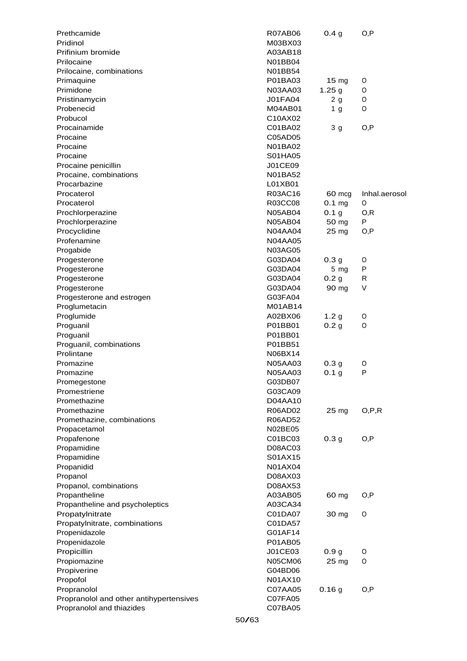| Prethcamide                             | <b>R07AB06</b> | 0.4 <sub>g</sub> | O,P           |
|-----------------------------------------|----------------|------------------|---------------|
| Pridinol                                | M03BX03        |                  |               |
| Prifinium bromide                       | A03AB18        |                  |               |
| Prilocaine                              | N01BB04        |                  |               |
| Prilocaine, combinations                | N01BB54        |                  |               |
| Primaquine                              | P01BA03        | $15 \text{ mg}$  | O             |
| Primidone                               | N03AA03        | 1.25 g           | O             |
| Pristinamycin                           | <b>J01FA04</b> | 2g               | O             |
| Probenecid                              | M04AB01        | 1 <sub>g</sub>   | 0             |
| Probucol                                | C10AX02        |                  |               |
| Procainamide                            | C01BA02        | 3 <sub>g</sub>   | O,P           |
| Procaine                                | C05AD05        |                  |               |
| Procaine                                | N01BA02        |                  |               |
| Procaine                                | S01HA05        |                  |               |
| Procaine penicillin                     | J01CE09        |                  |               |
|                                         | <b>N01BA52</b> |                  |               |
| Procaine, combinations                  | L01XB01        |                  |               |
| Procarbazine                            |                |                  |               |
| Procaterol                              | R03AC16        | 60 mcg           | Inhal.aerosol |
| Procaterol                              | R03CC08        | $0.1$ mg         | O             |
| Prochlorperazine                        | N05AB04        | 0.1 <sub>g</sub> | 0,R           |
| Prochlorperazine                        | <b>N05AB04</b> | 50 mg            | P             |
| Procyclidine                            | N04AA04        | 25 mg            | O,P           |
| Profenamine                             | <b>N04AA05</b> |                  |               |
| Progabide                               | N03AG05        |                  |               |
| Progesterone                            | G03DA04        | 0.3 <sub>g</sub> | O             |
| Progesterone                            | G03DA04        | 5 <sub>mg</sub>  | P             |
| Progesterone                            | G03DA04        | 0.2 <sub>g</sub> | R             |
| Progesterone                            | G03DA04        | 90 mg            | V             |
| Progesterone and estrogen               | G03FA04        |                  |               |
| Proglumetacin                           | M01AB14        |                  |               |
| Proglumide                              | A02BX06        | 1.2 <sub>g</sub> | O             |
| Proguanil                               | P01BB01        | 0.2 <sub>g</sub> | O             |
| Proguanil                               | P01BB01        |                  |               |
| Proguanil, combinations                 | P01BB51        |                  |               |
| Prolintane                              | N06BX14        |                  |               |
| Promazine                               | N05AA03        | 0.3 <sub>g</sub> | 0             |
| Promazine                               | N05AA03        | 0.1 <sub>g</sub> | P             |
| Promegestone                            | G03DB07        |                  |               |
| Promestriene                            | G03CA09        |                  |               |
| Promethazine                            | D04AA10        |                  |               |
| Promethazine                            | R06AD02        | 25 mg            | O, P, R       |
| Promethazine, combinations              | R06AD52        |                  |               |
| Propacetamol                            | N02BE05        |                  |               |
| Propafenone                             | C01BC03        | 0.3 <sub>g</sub> | O,P           |
| Propamidine                             | D08AC03        |                  |               |
| Propamidine                             | S01AX15        |                  |               |
| Propanidid                              | N01AX04        |                  |               |
| Propanol                                | D08AX03        |                  |               |
|                                         |                |                  |               |
| Propanol, combinations                  | D08AX53        |                  |               |
| Propantheline                           | A03AB05        | 60 mg            | O,P           |
| Propantheline and psycholeptics         | A03CA34        |                  |               |
| Propatylnitrate                         | C01DA07        | 30 mg            | O             |
| Propatylnitrate, combinations           | C01DA57        |                  |               |
| Propenidazole                           | G01AF14        |                  |               |
| Propenidazole                           | P01AB05        |                  |               |
| Propicillin                             | J01CE03        | 0.9 <sub>g</sub> | 0             |
| Propiomazine                            | N05CM06        | 25 mg            | O             |
| Propiverine                             | G04BD06        |                  |               |
| Propofol                                | N01AX10        |                  |               |
| Propranolol                             | C07AA05        | 0.16g            | O,P           |
| Propranolol and other antihypertensives | C07FA05        |                  |               |
| Propranolol and thiazides               | C07BA05        |                  |               |
|                                         |                |                  |               |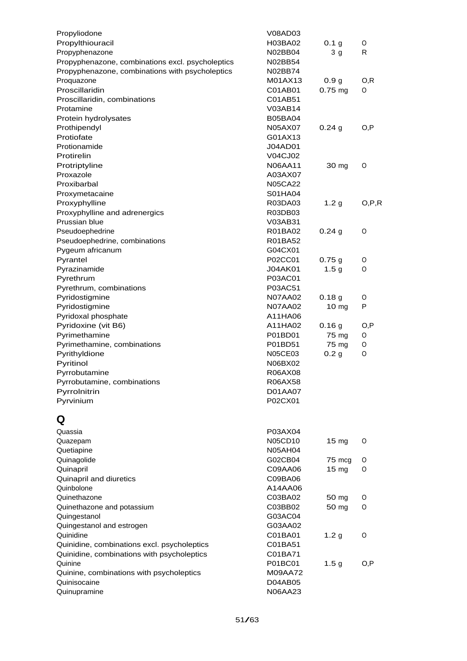| Propyliodone                                     | V08AD03        |                   |         |
|--------------------------------------------------|----------------|-------------------|---------|
| Propylthiouracil                                 | H03BA02        | 0.1 <sub>g</sub>  | O       |
| Propyphenazone                                   | N02BB04        | 3 <sub>g</sub>    | R       |
| Propyphenazone, combinations excl. psycholeptics | N02BB54        |                   |         |
| Propyphenazone, combinations with psycholeptics  | N02BB74        |                   |         |
| Proquazone                                       | M01AX13        | 0.9 <sub>g</sub>  | O, R    |
| Proscillaridin                                   | C01AB01        | $0.75$ mg         | 0       |
| Proscillaridin, combinations                     | C01AB51        |                   |         |
| Protamine                                        | V03AB14        |                   |         |
| Protein hydrolysates                             | <b>B05BA04</b> |                   |         |
| Prothipendyl                                     | N05AX07        | 0.24g             | O,P     |
| Protiofate                                       | G01AX13        |                   |         |
|                                                  |                |                   |         |
| Protionamide                                     | <b>J04AD01</b> |                   |         |
| Protirelin                                       | V04CJ02        |                   |         |
| Protriptyline                                    | N06AA11        | 30 mg             | 0       |
| Proxazole                                        | A03AX07        |                   |         |
| Proxibarbal                                      | <b>N05CA22</b> |                   |         |
| Proxymetacaine                                   | S01HA04        |                   |         |
| Proxyphylline                                    | R03DA03        | 1.2 <sub>g</sub>  | O, P, R |
| Proxyphylline and adrenergics                    | R03DB03        |                   |         |
| Prussian blue                                    | V03AB31        |                   |         |
| Pseudoephedrine                                  | R01BA02        | 0.24g             | 0       |
| Pseudoephedrine, combinations                    | R01BA52        |                   |         |
| Pygeum africanum                                 | G04CX01        |                   |         |
| Pyrantel                                         | P02CC01        | 0.75g             | O       |
| Pyrazinamide                                     | J04AK01        | 1.5 <sub>g</sub>  | 0       |
| Pyrethrum                                        | P03AC01        |                   |         |
| Pyrethrum, combinations                          | P03AC51        |                   |         |
| Pyridostigmine                                   | <b>N07AA02</b> | 0.18 <sub>g</sub> | 0       |
| Pyridostigmine                                   | N07AA02        | 10 mg             | P       |
| Pyridoxal phosphate                              | A11HA06        |                   |         |
|                                                  |                |                   |         |
| Pyridoxine (vit B6)                              | A11HA02        | 0.16g             | O, P    |
| Pyrimethamine                                    | P01BD01        | 75 mg             | 0       |
| Pyrimethamine, combinations                      | P01BD51        | 75 mg             | O       |
| Pyrithyldione                                    | N05CE03        | 0.2 <sub>g</sub>  | 0       |
| Pyritinol                                        | N06BX02        |                   |         |
| Pyrrobutamine                                    | R06AX08        |                   |         |
| Pyrrobutamine, combinations                      | R06AX58        |                   |         |
| Pyrrolnitrin                                     | D01AA07        |                   |         |
| Pyrvinium                                        | P02CX01        |                   |         |
|                                                  |                |                   |         |
| Q                                                |                |                   |         |
| Quassia                                          | P03AX04        |                   |         |
| Quazepam                                         | N05CD10        | $15 \text{ mg}$   | O       |
| Quetiapine                                       | <b>N05AH04</b> |                   |         |
| Quinagolide                                      | G02CB04        | 75 mcg            | O       |
| Quinapril                                        | C09AA06        | 15 mg             | 0       |
| Quinapril and diuretics                          | C09BA06        |                   |         |
| Quinbolone                                       | A14AA06        |                   |         |
| Quinethazone                                     | C03BA02        | 50 mg             | O       |
| Quinethazone and potassium                       | C03BB02        | 50 mg             | 0       |
| Quingestanol                                     | G03AC04        |                   |         |
| Quingestanol and estrogen                        | G03AA02        |                   |         |
| Quinidine                                        | C01BA01        | 1.2 <sub>g</sub>  | 0       |
|                                                  |                |                   |         |
| Quinidine, combinations excl. psycholeptics      | C01BA51        |                   |         |
| Quinidine, combinations with psycholeptics       | C01BA71        |                   |         |
| Quinine                                          | P01BC01        | 1.5 <sub>g</sub>  | O,P     |
| Quinine, combinations with psycholeptics         | M09AA72        |                   |         |
| Quinisocaine                                     | D04AB05        |                   |         |
| Quinupramine                                     | N06AA23        |                   |         |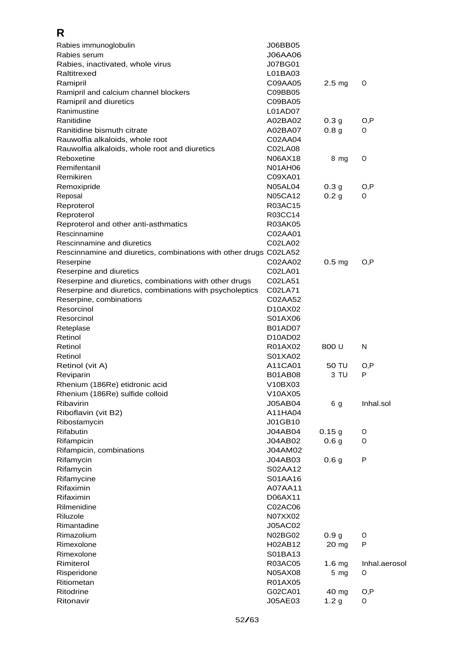## **R**

| Rabies immunoglobulin                                             | J06BB05                           |                   |               |
|-------------------------------------------------------------------|-----------------------------------|-------------------|---------------|
| Rabies serum                                                      | J06AA06                           |                   |               |
| Rabies, inactivated, whole virus                                  | J07BG01                           |                   |               |
| Raltitrexed                                                       | L01BA03                           |                   |               |
| Ramipril                                                          | C09AA05                           | 2.5 <sub>mg</sub> | 0             |
| Ramipril and calcium channel blockers                             | C09BB05                           |                   |               |
| Ramipril and diuretics                                            | C09BA05                           |                   |               |
| Ranimustine                                                       | L01AD07                           |                   |               |
| Ranitidine                                                        | A02BA02                           | 0.3 <sub>g</sub>  | O, P          |
| Ranitidine bismuth citrate                                        | A02BA07                           | 0.8 <sub>g</sub>  | 0             |
| Rauwolfia alkaloids, whole root                                   | C02AA04                           |                   |               |
| Rauwolfia alkaloids, whole root and diuretics                     | C02LA08                           |                   |               |
| Reboxetine                                                        | N06AX18                           | 8 mg              | O             |
| Remifentanil                                                      | N01AH06                           |                   |               |
| Remikiren                                                         | C09XA01                           |                   |               |
| Remoxipride                                                       | N05AL04                           | 0.3 <sub>g</sub>  | O,P           |
| Reposal                                                           | N05CA12                           | 0.2 <sub>g</sub>  | 0             |
| Reproterol                                                        | R03AC15                           |                   |               |
| Reproterol                                                        | R03CC14                           |                   |               |
| Reproterol and other anti-asthmatics                              | R03AK05                           |                   |               |
| Rescinnamine                                                      | C02AA01                           |                   |               |
| Rescinnamine and diuretics                                        | C02LA02                           |                   |               |
| Rescinnamine and diuretics, combinations with other drugs C02LA52 |                                   |                   |               |
| Reserpine                                                         | C02AA02                           | 0.5 <sub>mg</sub> | O, P          |
| Reserpine and diuretics                                           | C02LA01                           |                   |               |
| Reserpine and diuretics, combinations with other drugs            | C02LA51                           |                   |               |
| Reserpine and diuretics, combinations with psycholeptics          | C02LA71                           |                   |               |
| Reserpine, combinations                                           | C02AA52                           |                   |               |
| Resorcinol                                                        | D <sub>10</sub> A <sub>X</sub> 02 |                   |               |
| Resorcinol                                                        | S01AX06                           |                   |               |
| Reteplase                                                         | B01AD07                           |                   |               |
| Retinol                                                           | D <sub>10</sub> AD <sub>02</sub>  |                   |               |
| Retinol                                                           | R01AX02                           | 800 U             | N             |
| Retinol                                                           | S01XA02                           |                   |               |
| Retinol (vit A)                                                   | A11CA01                           | 50 TU             | O, P          |
| Reviparin                                                         | <b>B01AB08</b>                    | 3 TU              | P             |
| Rhenium (186Re) etidronic acid                                    | V10BX03                           |                   |               |
| Rhenium (186Re) sulfide colloid                                   | V10AX05                           |                   |               |
| Ribavirin                                                         | J05AB04                           | 6 g               | Inhal.sol     |
| Riboflavin (vit B2)                                               | A11HA04                           |                   |               |
| Ribostamycin                                                      | J01GB10                           |                   |               |
| Rifabutin                                                         | J04AB04                           | 0.15g             | O             |
| Rifampicin                                                        | J04AB02                           | 0.6 <sub>g</sub>  | 0             |
| Rifampicin, combinations                                          | J04AM02                           |                   |               |
| Rifamycin                                                         | J04AB03                           | 0.6 <sub>g</sub>  | P             |
| Rifamycin                                                         | S02AA12                           |                   |               |
| Rifamycine                                                        | S01AA16                           |                   |               |
| Rifaximin                                                         | A07AA11                           |                   |               |
| Rifaximin                                                         | D06AX11                           |                   |               |
| Rilmenidine                                                       | C02AC06                           |                   |               |
| Riluzole                                                          | N07XX02                           |                   |               |
| Rimantadine                                                       | J05AC02                           |                   |               |
| Rimazolium                                                        | N02BG02                           | 0.9 <sub>g</sub>  | O             |
| Rimexolone                                                        | H02AB12                           | 20 mg             | P             |
| Rimexolone                                                        | S01BA13                           |                   |               |
| Rimiterol                                                         | R03AC05                           | 1.6 <sub>mg</sub> | Inhal.aerosol |
| Risperidone                                                       | N05AX08                           | $5 \, mg$         | 0             |
| Ritiometan                                                        | R01AX05                           |                   |               |
| Ritodrine                                                         | G02CA01                           | 40 mg             | O, P          |
| Ritonavir                                                         | J05AE03                           | 1.2 <sub>g</sub>  | O             |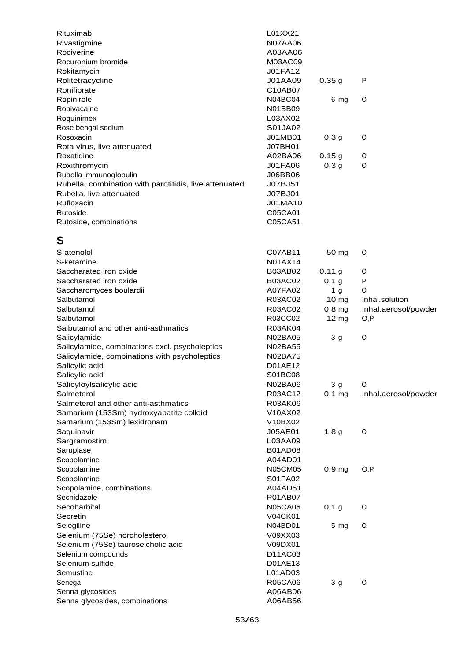| Rituximab<br>Rivastigmine                              | L01XX21<br><b>N07AA06</b> |                   |                      |
|--------------------------------------------------------|---------------------------|-------------------|----------------------|
| Rociverine                                             | A03AA06                   |                   |                      |
| Rocuronium bromide                                     | M03AC09                   |                   |                      |
| Rokitamycin                                            | <b>J01FA12</b>            |                   |                      |
| Rolitetracycline                                       | J01AA09                   | 0.35g             | P                    |
| Ronifibrate                                            | C10AB07                   |                   |                      |
| Ropinirole                                             | N04BC04                   | 6 mg              | O                    |
|                                                        | N01BB09                   |                   |                      |
| Ropivacaine                                            | L03AX02                   |                   |                      |
| Roquinimex                                             |                           |                   |                      |
| Rose bengal sodium                                     | S01JA02                   |                   |                      |
| Rosoxacin                                              | J01MB01                   | 0.3 <sub>g</sub>  | O                    |
| Rota virus, live attenuated                            | J07BH01                   |                   |                      |
| Roxatidine                                             | A02BA06                   | 0.15g             | O                    |
| Roxithromycin                                          | <b>J01FA06</b>            | 0.3 <sub>g</sub>  | 0                    |
| Rubella immunoglobulin                                 | J06BB06                   |                   |                      |
| Rubella, combination with parotitidis, live attenuated | <b>J07BJ51</b>            |                   |                      |
| Rubella, live attenuated                               | J07BJ01                   |                   |                      |
| Rufloxacin                                             | J01MA10                   |                   |                      |
| Rutoside                                               | C05CA01                   |                   |                      |
| Rutoside, combinations                                 | C05CA51                   |                   |                      |
| S                                                      |                           |                   |                      |
| S-atenolol                                             | C07AB11                   | 50 mg             | O                    |
| S-ketamine                                             | N01AX14                   |                   |                      |
| Saccharated iron oxide                                 | <b>B03AB02</b>            | 0.11 g            | 0                    |
| Saccharated iron oxide                                 | <b>B03AC02</b>            | 0.1 <sub>g</sub>  | P                    |
| Saccharomyces boulardii                                | A07FA02                   | 1 <sub>g</sub>    | 0                    |
| Salbutamol                                             | R03AC02                   | 10 mg             | Inhal.solution       |
| Salbutamol                                             | R03AC02                   | 0.8 <sub>mg</sub> | Inhal.aerosol/powder |
| Salbutamol                                             | R03CC02                   | 12 mg             | O, P                 |
| Salbutamol and other anti-asthmatics                   | R03AK04                   |                   |                      |
| Salicylamide                                           | <b>N02BA05</b>            | 3 <sub>g</sub>    | $\circ$              |
| Salicylamide, combinations excl. psycholeptics         | <b>N02BA55</b>            |                   |                      |
| Salicylamide, combinations with psycholeptics          | <b>N02BA75</b>            |                   |                      |
| Salicylic acid                                         | D01AE12                   |                   |                      |
| Salicylic acid                                         | S01BC08                   |                   |                      |
| Salicyloylsalicylic acid                               | N02BA06                   | 3 <sub>g</sub>    | O                    |
| Salmeterol                                             | R03AC12                   |                   | Inhal.aerosol/powder |
| Salmeterol and other anti-asthmatics                   |                           | $0.1$ mg          |                      |
|                                                        | R03AK06                   |                   |                      |
| Samarium (153Sm) hydroxyapatite colloid                | V10AX02                   |                   |                      |
| Samarium (153Sm) lexidronam                            | V10BX02                   |                   |                      |
| Saquinavir                                             | J05AE01                   | 1.8 <sub>g</sub>  | $\mathsf O$          |
| Sargramostim                                           | L03AA09                   |                   |                      |
| Saruplase                                              | <b>B01AD08</b>            |                   |                      |
| Scopolamine                                            | A04AD01                   |                   |                      |
| Scopolamine                                            | <b>N05CM05</b>            | 0.9 <sub>mg</sub> | O, P                 |
| Scopolamine                                            | S01FA02                   |                   |                      |
| Scopolamine, combinations                              | A04AD51                   |                   |                      |
| Secnidazole                                            | P01AB07                   |                   |                      |
| Secobarbital                                           | <b>N05CA06</b>            | 0.1 <sub>g</sub>  | 0                    |
| Secretin                                               | V04CK01                   |                   |                      |
| Selegiline                                             | N04BD01                   | $5 \, mg$         | O                    |
| Selenium (75Se) norcholesterol                         | V09XX03                   |                   |                      |
| Selenium (75Se) tauroselcholic acid                    | V09DX01                   |                   |                      |
| Selenium compounds                                     | D11AC03                   |                   |                      |
| Selenium sulfide                                       | D01AE13                   |                   |                      |
| Semustine                                              | L01AD03                   |                   |                      |
| Senega                                                 | R05CA06                   | 3 <sub>g</sub>    | $\circ$              |
| Senna glycosides                                       | A06AB06                   |                   |                      |
| Senna glycosides, combinations                         | A06AB56                   |                   |                      |
|                                                        |                           |                   |                      |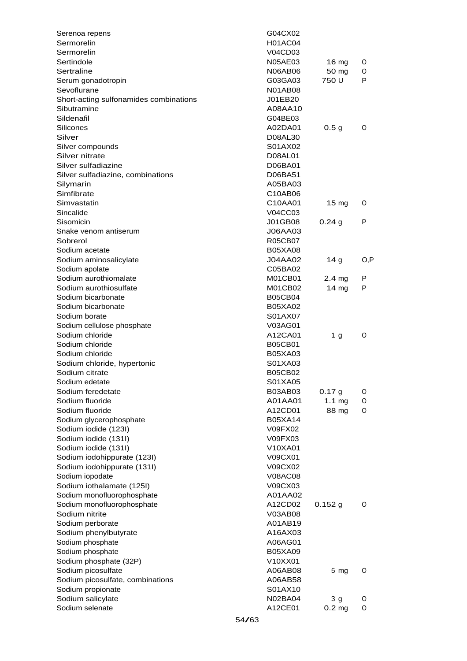| Serenoa repens                         |       | G04CX02        |                               |      |
|----------------------------------------|-------|----------------|-------------------------------|------|
| Sermorelin                             |       | <b>H01AC04</b> |                               |      |
| Sermorelin                             |       | V04CD03        |                               |      |
| Sertindole                             |       | <b>N05AE03</b> | $16 \text{ mg}$               | O    |
| Sertraline                             |       | N06AB06        | 50 mg                         | 0    |
| Serum gonadotropin                     |       | G03GA03        | 750 U                         | P    |
| Sevoflurane                            |       | <b>N01AB08</b> |                               |      |
| Short-acting sulfonamides combinations |       | J01EB20        |                               |      |
| Sibutramine                            |       | A08AA10        |                               |      |
| Sildenafil                             |       | G04BE03        |                               |      |
| Silicones                              |       | A02DA01        | 0.5 <sub>g</sub>              | 0    |
| Silver                                 |       | D08AL30        |                               |      |
| Silver compounds                       |       | S01AX02        |                               |      |
| Silver nitrate                         |       | D08AL01        |                               |      |
| Silver sulfadiazine                    |       | D06BA01        |                               |      |
| Silver sulfadiazine, combinations      |       | D06BA51        |                               |      |
| Silymarin                              |       | A05BA03        |                               |      |
| Simfibrate                             |       | C10AB06        |                               |      |
| Simvastatin                            |       | C10AA01        | $15 \text{ mg}$               | 0    |
| Sincalide                              |       | V04CC03        |                               |      |
| Sisomicin                              |       | J01GB08        | 0.24g                         | P    |
| Snake venom antiserum                  |       | J06AA03        |                               |      |
| Sobrerol                               |       | <b>R05CB07</b> |                               |      |
| Sodium acetate                         |       | <b>B05XA08</b> |                               |      |
| Sodium aminosalicylate                 |       | J04AA02        | 14 <sub>g</sub>               | O, P |
| Sodium apolate                         |       | C05BA02        |                               |      |
| Sodium aurothiomalate                  |       | M01CB01        | 2.4 <sub>mg</sub>             | P    |
| Sodium aurothiosulfate                 |       | M01CB02        | 14 mg                         | P    |
| Sodium bicarbonate                     |       | <b>B05CB04</b> |                               |      |
| Sodium bicarbonate                     |       | <b>B05XA02</b> |                               |      |
| Sodium borate                          |       | S01AX07        |                               |      |
| Sodium cellulose phosphate             |       | V03AG01        |                               |      |
| Sodium chloride                        |       | A12CA01        | 1 <sub>g</sub>                | 0    |
| Sodium chloride                        |       | <b>B05CB01</b> |                               |      |
| Sodium chloride                        |       | B05XA03        |                               |      |
| Sodium chloride, hypertonic            |       | S01XA03        |                               |      |
| Sodium citrate                         |       | <b>B05CB02</b> |                               |      |
| Sodium edetate                         |       | S01XA05        |                               |      |
|                                        |       | B03AB03        |                               |      |
| Sodium feredetate<br>Sodium fluoride   |       | A01AA01        | 0.17 <sub>g</sub><br>$1.1$ mg | O    |
|                                        |       |                |                               | O    |
| Sodium fluoride                        |       | A12CD01        | 88 mg                         | 0    |
| Sodium glycerophosphate                |       | <b>B05XA14</b> |                               |      |
| Sodium iodide (123I)                   |       | V09FX02        |                               |      |
| Sodium iodide (131I)                   |       | V09FX03        |                               |      |
| Sodium iodide (131I)                   |       | V10XA01        |                               |      |
| Sodium iodohippurate (123I)            |       | V09CX01        |                               |      |
| Sodium iodohippurate (131I)            |       | V09CX02        |                               |      |
| Sodium iopodate                        |       | V08AC08        |                               |      |
| Sodium iothalamate (125I)              |       | V09CX03        |                               |      |
| Sodium monofluorophosphate             |       | A01AA02        |                               |      |
| Sodium monofluorophosphate             |       | A12CD02        | $0.152$ g                     | O    |
| Sodium nitrite                         |       | V03AB08        |                               |      |
| Sodium perborate                       |       | A01AB19        |                               |      |
| Sodium phenylbutyrate                  |       | A16AX03        |                               |      |
| Sodium phosphate                       |       | A06AG01        |                               |      |
| Sodium phosphate                       |       | <b>B05XA09</b> |                               |      |
| Sodium phosphate (32P)                 |       | V10XX01        |                               |      |
| Sodium picosulfate                     |       | A06AB08        | $5 \, mg$                     | O    |
| Sodium picosulfate, combinations       |       | A06AB58        |                               |      |
| Sodium propionate                      |       | S01AX10        |                               |      |
| Sodium salicylate                      |       | N02BA04        | 3 <sub>q</sub>                | O    |
| Sodium selenate                        |       | A12CE01        | 0.2 <sub>mg</sub>             | 0    |
|                                        | 54/63 |                |                               |      |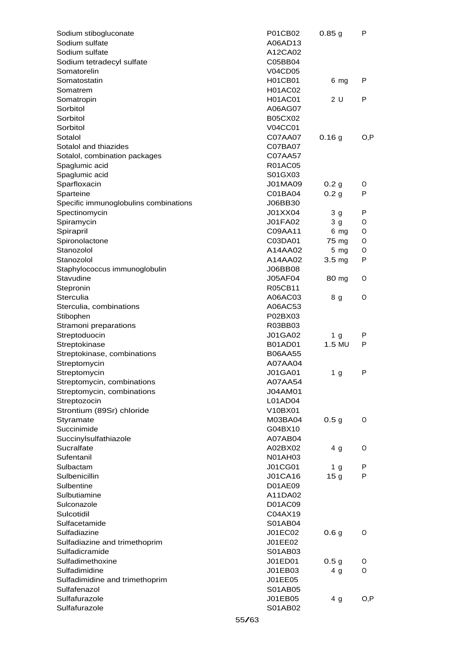| Sodium stibogluconate                 |       | P01CB02        | 0.85g             | P    |
|---------------------------------------|-------|----------------|-------------------|------|
| Sodium sulfate                        |       | A06AD13        |                   |      |
| Sodium sulfate                        |       | A12CA02        |                   |      |
| Sodium tetradecyl sulfate             |       | C05BB04        |                   |      |
| Somatorelin                           |       | <b>V04CD05</b> |                   |      |
| Somatostatin                          |       | <b>H01CB01</b> | 6 mg              | P    |
| Somatrem                              |       | <b>H01AC02</b> |                   |      |
| Somatropin                            |       | <b>H01AC01</b> | 2U                | P    |
| Sorbitol                              |       | A06AG07        |                   |      |
| Sorbitol                              |       | <b>B05CX02</b> |                   |      |
| Sorbitol                              |       | <b>V04CC01</b> |                   |      |
| Sotalol                               |       | C07AA07        | 0.16 <sub>g</sub> | O, P |
| Sotalol and thiazides                 |       | C07BA07        |                   |      |
| Sotalol, combination packages         |       | C07AA57        |                   |      |
| Spaglumic acid                        |       | <b>R01AC05</b> |                   |      |
| Spaglumic acid                        |       | S01GX03        |                   |      |
| Sparfloxacin                          |       | J01MA09        | 0.2 <sub>g</sub>  | 0    |
| Sparteine                             |       | C01BA04        | 0.2 <sub>g</sub>  | P    |
| Specific immunoglobulins combinations |       | J06BB30        |                   |      |
| Spectinomycin                         |       | J01XX04        | 3 <sub>g</sub>    | P    |
| Spiramycin                            |       | <b>J01FA02</b> | 3 <sub>g</sub>    | O    |
| Spirapril                             |       | C09AA11        | 6 mg              | O    |
| Spironolactone                        |       | C03DA01        | 75 mg             | O    |
| Stanozolol                            |       | A14AA02        | $5 \, mg$         | O    |
| Stanozolol                            |       | A14AA02        | 3.5 mg            | P    |
|                                       |       | J06BB08        |                   |      |
| Staphylococcus immunoglobulin         |       |                |                   |      |
| Stavudine                             |       | J05AF04        | 80 mg             | 0    |
| Stepronin                             |       | R05CB11        |                   |      |
| Sterculia                             |       | A06AC03        | 8 g               | 0    |
| Sterculia, combinations               |       | A06AC53        |                   |      |
| Stibophen                             |       | P02BX03        |                   |      |
| Stramoni preparations                 |       | R03BB03        |                   |      |
| Streptoduocin                         |       | J01GA02        | 1 g               | P    |
| Streptokinase                         |       | <b>B01AD01</b> | 1.5 MU            | P    |
| Streptokinase, combinations           |       | <b>B06AA55</b> |                   |      |
| Streptomycin                          |       | A07AA04        |                   |      |
| Streptomycin                          |       | <b>J01GA01</b> | 1 <sub>g</sub>    | P    |
| Streptomycin, combinations            |       | A07AA54        |                   |      |
| Streptomycin, combinations            |       | J04AM01        |                   |      |
| Streptozocin                          |       | L01AD04        |                   |      |
| Strontium (89Sr) chloride             |       | V10BX01        |                   |      |
| Styramate                             |       | M03BA04        | 0.5 <sub>g</sub>  | 0    |
| Succinimide                           |       | G04BX10        |                   |      |
| Succinylsulfathiazole                 |       | A07AB04        |                   |      |
| Sucralfate                            |       | A02BX02        | 4 <sub>g</sub>    | 0    |
| Sufentanil                            |       | <b>N01AH03</b> |                   |      |
| Sulbactam                             |       | <b>J01CG01</b> | 1 <sub>g</sub>    | P    |
| Sulbenicillin                         |       | <b>J01CA16</b> | 15 <sub>g</sub>   | P    |
| Sulbentine                            |       | D01AE09        |                   |      |
| Sulbutiamine                          |       | A11DA02        |                   |      |
| Sulconazole                           |       | D01AC09        |                   |      |
| Sulcotidil                            |       | C04AX19        |                   |      |
| Sulfacetamide                         |       | S01AB04        |                   |      |
| Sulfadiazine                          |       | J01EC02        | 0.6 <sub>g</sub>  | O    |
| Sulfadiazine and trimethoprim         |       | J01EE02        |                   |      |
| Sulfadicramide                        |       | S01AB03        |                   |      |
| Sulfadimethoxine                      |       | J01ED01        | 0.5 <sub>g</sub>  | O    |
| Sulfadimidine                         |       | J01EB03        | 4 <sub>g</sub>    | 0    |
| Sulfadimidine and trimethoprim        |       | J01EE05        |                   |      |
| Sulfafenazol                          |       | S01AB05        |                   |      |
| Sulfafurazole                         |       | J01EB05        | 4 <sub>g</sub>    | O, P |
| Sulfafurazole                         |       | S01AB02        |                   |      |
|                                       |       |                |                   |      |
|                                       | 55/63 |                |                   |      |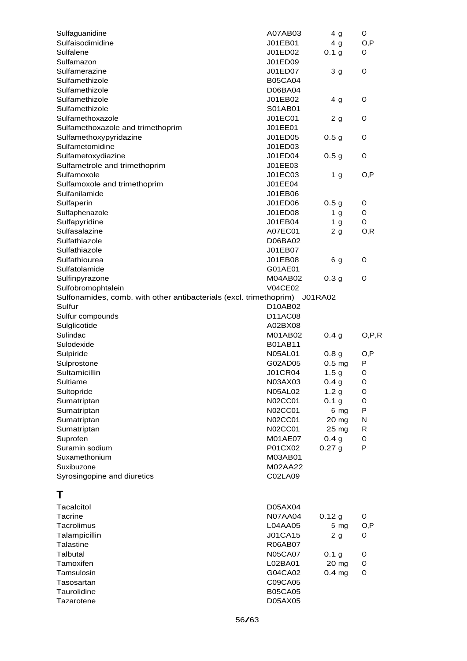| Sulfaguanidine                                                             | A07AB03                   | 4 g               | O       |
|----------------------------------------------------------------------------|---------------------------|-------------------|---------|
| Sulfaisodimidine                                                           | J01EB01                   | 4 <sub>g</sub>    | O, P    |
| Sulfalene                                                                  | J01ED02                   | 0.1 <sub>g</sub>  | O       |
| Sulfamazon                                                                 | J01ED09                   |                   |         |
| Sulfamerazine                                                              | J01ED07                   | 3 g               | 0       |
| Sulfamethizole                                                             | <b>B05CA04</b>            |                   |         |
| Sulfamethizole                                                             | D06BA04                   |                   |         |
| Sulfamethizole                                                             | J01EB02                   | 4 g               | O       |
| Sulfamethizole                                                             | S01AB01                   |                   |         |
| Sulfamethoxazole                                                           | J01EC01                   | 2 <sub>g</sub>    | O       |
| Sulfamethoxazole and trimethoprim                                          | J01EE01                   |                   |         |
| Sulfamethoxypyridazine                                                     | J01ED05                   | 0.5 <sub>g</sub>  | O       |
| Sulfametomidine                                                            | J01ED03                   |                   |         |
| Sulfametoxydiazine                                                         | J01ED04                   | 0.5 <sub>g</sub>  | O       |
| Sulfametrole and trimethoprim                                              | J01EE03                   |                   |         |
| Sulfamoxole                                                                | J01EC03                   | 1 <sub>g</sub>    | O,P     |
| Sulfamoxole and trimethoprim                                               | J01EE04                   |                   |         |
| Sulfanilamide                                                              | J01EB06                   |                   |         |
| Sulfaperin                                                                 | J01ED06                   | 0.5 <sub>g</sub>  | O       |
| Sulfaphenazole                                                             | J01ED08                   | 1 <sub>g</sub>    | 0       |
|                                                                            | J01EB04                   |                   | O       |
| Sulfapyridine                                                              |                           | 1 <sub>g</sub>    |         |
| Sulfasalazine                                                              | A07EC01                   | 2g                | O, R    |
| Sulfathiazole                                                              | D06BA02                   |                   |         |
| Sulfathiazole                                                              | J01EB07                   |                   |         |
| Sulfathiourea                                                              | J01EB08                   | 6 g               | 0       |
| Sulfatolamide                                                              | G01AE01                   |                   |         |
| Sulfinpyrazone                                                             | M04AB02                   | 0.3 <sub>g</sub>  | 0       |
| Sulfobromophtalein                                                         | <b>V04CE02</b>            |                   |         |
| Sulfonamides, comb. with other antibacterials (excl. trimethoprim) J01RA02 |                           |                   |         |
| Sulfur                                                                     | D10AB02                   |                   |         |
| Sulfur compounds                                                           | D11AC08                   |                   |         |
| Sulglicotide                                                               | A02BX08                   |                   |         |
| Sulindac                                                                   | M01AB02                   | 0.4 <sub>g</sub>  | O, P, R |
| Sulodexide                                                                 | <b>B01AB11</b>            |                   |         |
| Sulpiride                                                                  | <b>N05AL01</b>            | 0.8 <sub>g</sub>  | O,P     |
| Sulprostone                                                                | G02AD05                   | 0.5 <sub>mg</sub> | P       |
| Sultamicillin                                                              | <b>J01CR04</b>            | 1.5 <sub>g</sub>  | O       |
| Sultiame                                                                   | N03AX03                   | 0.4 <sub>g</sub>  | $\circ$ |
| Sultopride                                                                 | <b>N05AL02</b>            | 1.2 <sub>g</sub>  | 0       |
| Sumatriptan                                                                | N02CC01                   | 0.1 <sub>g</sub>  | O       |
| Sumatriptan                                                                | N02CC01                   | 6 mg              | P       |
| Sumatriptan                                                                | N02CC01                   | 20 mg             | N       |
| Sumatriptan                                                                | N02CC01                   | 25 mg             | R       |
| Suprofen                                                                   | <b>M01AE07</b>            | 0.4 <sub>g</sub>  | O       |
| Suramin sodium                                                             | P01CX02                   | 0.27 <sub>g</sub> | P       |
| Suxamethonium                                                              | M03AB01                   |                   |         |
| Suxibuzone                                                                 | M02AA22                   |                   |         |
| Syrosingopine and diuretics                                                | C02LA09                   |                   |         |
|                                                                            |                           |                   |         |
| Τ                                                                          |                           |                   |         |
| Tacalcitol                                                                 | D05AX04                   |                   |         |
| <b>Tacrine</b>                                                             | <b>N07AA04</b>            | 0.12 g            | O       |
| Tacrolimus                                                                 | L04AA05                   | $5 \, mg$         | O, P    |
| Talampicillin                                                              | J01CA15                   | 2 <sub>g</sub>    | 0       |
| Talastine                                                                  | R06AB07                   |                   |         |
| Talbutal                                                                   | <b>N05CA07</b>            | 0.1 <sub>g</sub>  | O       |
| Tamoxifen                                                                  | L02BA01                   | 20 mg             | O       |
| Tamsulosin                                                                 |                           |                   | 0       |
|                                                                            | G04CA02                   | $0.4$ mg          |         |
| Tasosartan                                                                 | C09CA05                   |                   |         |
| Taurolidine                                                                |                           |                   |         |
| Tazarotene                                                                 | <b>B05CA05</b><br>D05AX05 |                   |         |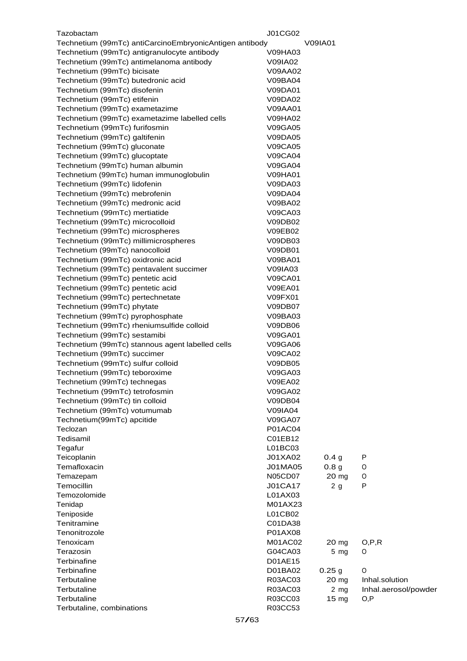| Tazobactam                                              | J01CG02        |                  |                      |
|---------------------------------------------------------|----------------|------------------|----------------------|
| Technetium (99mTc) antiCarcinoEmbryonicAntigen antibody |                | <b>V09IA01</b>   |                      |
| Technetium (99mTc) antigranulocyte antibody             | <b>V09HA03</b> |                  |                      |
| Technetium (99mTc) antimelanoma antibody                | V09IA02        |                  |                      |
| Technetium (99mTc) bicisate                             | V09AA02        |                  |                      |
| Technetium (99mTc) butedronic acid                      | V09BA04        |                  |                      |
| Technetium (99mTc) disofenin                            | V09DA01        |                  |                      |
| Technetium (99mTc) etifenin                             | V09DA02        |                  |                      |
| Technetium (99mTc) exametazime                          | V09AA01        |                  |                      |
| Technetium (99mTc) exametazime labelled cells           | <b>V09HA02</b> |                  |                      |
| Technetium (99mTc) furifosmin                           | <b>V09GA05</b> |                  |                      |
|                                                         |                |                  |                      |
| Technetium (99mTc) galtifenin                           | V09DA05        |                  |                      |
| Technetium (99mTc) gluconate                            | <b>V09CA05</b> |                  |                      |
| Technetium (99mTc) glucoptate                           | <b>V09CA04</b> |                  |                      |
| Technetium (99mTc) human albumin                        | <b>V09GA04</b> |                  |                      |
| Technetium (99mTc) human immunoglobulin                 | <b>V09HA01</b> |                  |                      |
| Technetium (99mTc) lidofenin                            | V09DA03        |                  |                      |
| Technetium (99mTc) mebrofenin                           | V09DA04        |                  |                      |
| Technetium (99mTc) medronic acid                        | V09BA02        |                  |                      |
| Technetium (99mTc) mertiatide                           | V09CA03        |                  |                      |
| Technetium (99mTc) microcolloid                         | V09DB02        |                  |                      |
| Technetium (99mTc) microspheres                         | V09EB02        |                  |                      |
| Technetium (99mTc) millimicrospheres                    | V09DB03        |                  |                      |
| Technetium (99mTc) nanocolloid                          | V09DB01        |                  |                      |
| Technetium (99mTc) oxidronic acid                       | V09BA01        |                  |                      |
| Technetium (99mTc) pentavalent succimer                 | V09IA03        |                  |                      |
| Technetium (99mTc) pentetic acid                        | <b>V09CA01</b> |                  |                      |
| Technetium (99mTc) pentetic acid                        | <b>V09EA01</b> |                  |                      |
| Technetium (99mTc) pertechnetate                        | V09FX01        |                  |                      |
| Technetium (99mTc) phytate                              | <b>V09DB07</b> |                  |                      |
| Technetium (99mTc) pyrophosphate                        | V09BA03        |                  |                      |
| Technetium (99mTc) rheniumsulfide colloid               | V09DB06        |                  |                      |
| Technetium (99mTc) sestamibi                            | <b>V09GA01</b> |                  |                      |
| Technetium (99mTc) stannous agent labelled cells        | V09GA06        |                  |                      |
| Technetium (99mTc) succimer                             | <b>V09CA02</b> |                  |                      |
| Technetium (99mTc) sulfur colloid                       | V09DB05        |                  |                      |
| Technetium (99mTc) teboroxime                           | V09GA03        |                  |                      |
| Technetium (99mTc) technegas                            | <b>V09EA02</b> |                  |                      |
| Technetium (99mTc) tetrofosmin                          | V09GA02        |                  |                      |
| Technetium (99mTc) tin colloid                          | V09DB04        |                  |                      |
| Technetium (99mTc) votumumab                            | <b>V09IA04</b> |                  |                      |
| Technetium(99mTc) apcitide                              | <b>V09GA07</b> |                  |                      |
| Teclozan                                                | P01AC04        |                  |                      |
| Tedisamil                                               | C01EB12        |                  |                      |
| Tegafur                                                 | L01BC03        |                  |                      |
| Teicoplanin                                             | J01XA02        | 0.4 <sub>g</sub> | P                    |
| Temafloxacin                                            | J01MA05        | 0.8 <sub>g</sub> | O                    |
| Temazepam                                               | N05CD07        | 20 mg            | 0                    |
| Temocillin                                              | <b>J01CA17</b> | 2 <sub>g</sub>   | P                    |
| Temozolomide                                            | L01AX03        |                  |                      |
| Tenidap                                                 | M01AX23        |                  |                      |
| Teniposide                                              | L01CB02        |                  |                      |
| Tenitramine                                             | C01DA38        |                  |                      |
|                                                         |                |                  |                      |
| Tenonitrozole                                           | P01AX08        |                  |                      |
| Tenoxicam                                               | M01AC02        | 20 mg            | O, P, R              |
| Terazosin                                               | G04CA03        | $5$ mg           | 0                    |
| Terbinafine                                             | D01AE15        |                  |                      |
| Terbinafine                                             | D01BA02        | 0.25g            | O                    |
| Terbutaline                                             | R03AC03        | 20 mg            | Inhal.solution       |
| Terbutaline                                             | R03AC03        | 2 <sub>mg</sub>  | Inhal.aerosol/powder |
| Terbutaline                                             | R03CC03        | 15 mg            | O, P                 |
| Terbutaline, combinations                               | R03CC53        |                  |                      |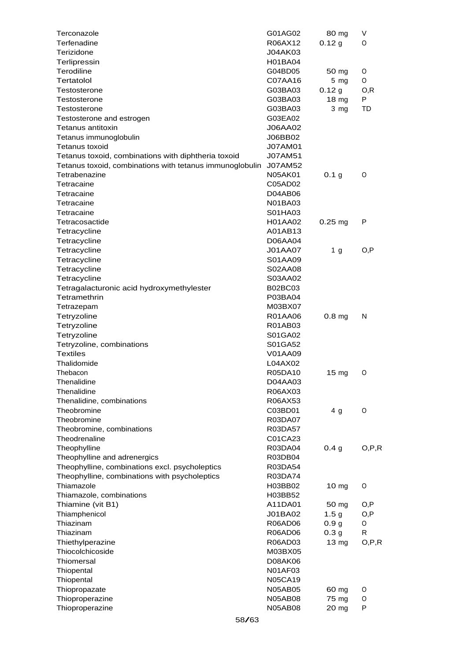| Terconazole                                              | G01AG02        | 80 mg               | V       |
|----------------------------------------------------------|----------------|---------------------|---------|
| Terfenadine                                              | R06AX12        | 0.12 g              | O       |
| Terizidone                                               | J04AK03        |                     |         |
| Terlipressin                                             | H01BA04        |                     |         |
| Terodiline                                               | G04BD05        | 50 mg               | O       |
| Tertatolol                                               | C07AA16        | $5$ mg              | 0       |
| Testosterone                                             | G03BA03        | 0.12 g              | 0,R     |
| Testosterone                                             | G03BA03        | 18 mg               | P       |
| Testosterone                                             | G03BA03        | 3 mg                | TD      |
| Testosterone and estrogen                                | G03EA02        |                     |         |
| Tetanus antitoxin                                        | <b>J06AA02</b> |                     |         |
| Tetanus immunoglobulin                                   | J06BB02        |                     |         |
| <b>Tetanus toxoid</b>                                    | <b>J07AM01</b> |                     |         |
| Tetanus toxoid, combinations with diphtheria toxoid      | <b>J07AM51</b> |                     |         |
| Tetanus toxoid, combinations with tetanus immunoglobulin | J07AM52        |                     |         |
| Tetrabenazine                                            | N05AK01        | 0.1 <sub>g</sub>    | O       |
| Tetracaine                                               | C05AD02        |                     |         |
| Tetracaine                                               | D04AB06        |                     |         |
| Tetracaine                                               | N01BA03        |                     |         |
| Tetracaine                                               | S01HA03        |                     |         |
| Tetracosactide                                           | H01AA02        | $0.25 \, \text{mg}$ | P       |
| Tetracycline                                             | A01AB13        |                     |         |
| Tetracycline                                             | D06AA04        |                     |         |
| Tetracycline                                             | <b>J01AA07</b> | 1 <sub>g</sub>      | O, P    |
| Tetracycline                                             | S01AA09        |                     |         |
| Tetracycline                                             | S02AA08        |                     |         |
| Tetracycline                                             | S03AA02        |                     |         |
| Tetragalacturonic acid hydroxymethylester                | <b>B02BC03</b> |                     |         |
| Tetramethrin                                             | P03BA04        |                     |         |
| Tetrazepam                                               | M03BX07        |                     |         |
| Tetryzoline                                              | R01AA06        | 0.8 <sub>mg</sub>   | N       |
| Tetryzoline                                              | R01AB03        |                     |         |
| Tetryzoline                                              | S01GA02        |                     |         |
| Tetryzoline, combinations                                | S01GA52        |                     |         |
| <b>Textiles</b>                                          | V01AA09        |                     |         |
| Thalidomide                                              | L04AX02        |                     |         |
| Thebacon                                                 | R05DA10        | $15 \text{ mg}$     | O       |
| Thenalidine                                              | D04AA03        |                     |         |
| Thenalidine                                              | R06AX03        |                     |         |
| Thenalidine, combinations                                | R06AX53        |                     |         |
| Theobromine                                              | C03BD01        | 4 <sub>g</sub>      | O       |
| Theobromine                                              | R03DA07        |                     |         |
| Theobromine, combinations                                | R03DA57        |                     |         |
| Theodrenaline                                            | C01CA23        |                     |         |
| Theophylline                                             | R03DA04        | 0.4 <sub>q</sub>    | O, P, R |
| Theophylline and adrenergics                             | R03DB04        |                     |         |
| Theophylline, combinations excl. psycholeptics           | R03DA54        |                     |         |
| Theophylline, combinations with psycholeptics            | R03DA74        |                     |         |
| Thiamazole                                               | H03BB02        | 10 mg               | O       |
| Thiamazole, combinations                                 | H03BB52        |                     |         |
| Thiamine (vit B1)                                        | A11DA01        | 50 mg               | O,P     |
| Thiamphenicol                                            | J01BA02        | 1.5 <sub>g</sub>    | O,P     |
| Thiazinam                                                | R06AD06        | 0.9 <sub>g</sub>    | O       |
| Thiazinam                                                | R06AD06        | 0.3 <sub>g</sub>    | R       |
| Thiethylperazine                                         | R06AD03        | 13 mg               | O, P, R |
| Thiocolchicoside                                         | M03BX05        |                     |         |
| Thiomersal                                               | D08AK06        |                     |         |
| Thiopental                                               | <b>N01AF03</b> |                     |         |
| Thiopental                                               | <b>N05CA19</b> |                     |         |
| Thiopropazate                                            | <b>N05AB05</b> | 60 mg               | O       |
| Thioproperazine                                          | <b>N05AB08</b> | 75 mg               | O       |
| Thioproperazine                                          | <b>N05AB08</b> | 20 mg               | P       |
|                                                          | 58/63          |                     |         |
|                                                          |                |                     |         |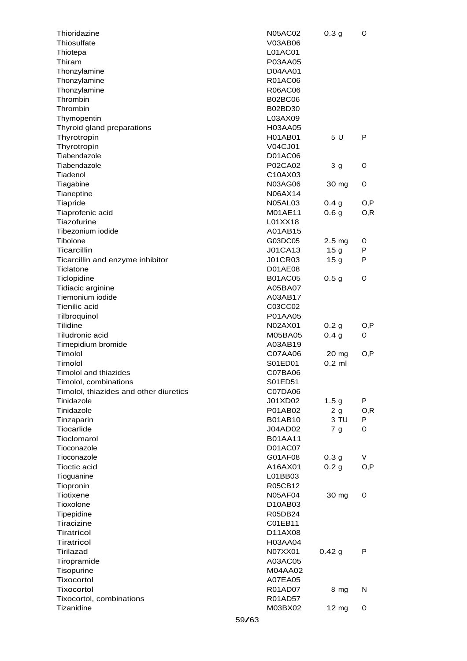| Thioridazine                           |       | <b>N05AC02</b> | 0.3 <sub>g</sub>  | O    |
|----------------------------------------|-------|----------------|-------------------|------|
| Thiosulfate                            |       | V03AB06        |                   |      |
| Thiotepa                               |       | L01AC01        |                   |      |
| Thiram                                 |       | P03AA05        |                   |      |
| Thonzylamine                           |       | D04AA01        |                   |      |
| Thonzylamine                           |       | <b>R01AC06</b> |                   |      |
| Thonzylamine                           |       | R06AC06        |                   |      |
| Thrombin                               |       | <b>B02BC06</b> |                   |      |
| Thrombin                               |       | B02BD30        |                   |      |
| Thymopentin                            |       | L03AX09        |                   |      |
| Thyroid gland preparations             |       | H03AA05        |                   |      |
| Thyrotropin                            |       | H01AB01        | 5 U               | P    |
| Thyrotropin                            |       | V04CJ01        |                   |      |
| Tiabendazole                           |       | D01AC06        |                   |      |
| Tiabendazole                           |       | P02CA02        | 3 <sub>g</sub>    | O    |
| Tiadenol                               |       | C10AX03        |                   |      |
| Tiagabine                              |       | N03AG06        | 30 mg             | O    |
| Tianeptine                             |       | N06AX14        |                   |      |
| Tiapride                               |       | <b>N05AL03</b> | 0.4 <sub>g</sub>  | O,P  |
| Tiaprofenic acid                       |       | M01AE11        | 0.6 <sub>g</sub>  | O, R |
| Tiazofurine                            |       | L01XX18        |                   |      |
| Tibezonium iodide                      |       | A01AB15        |                   |      |
| Tibolone                               |       | G03DC05        | 2.5 <sub>mg</sub> | 0    |
| Ticarcillin                            |       | <b>J01CA13</b> | 15 <sub>g</sub>   | P    |
| Ticarcillin and enzyme inhibitor       |       | <b>J01CR03</b> | 15 <sub>g</sub>   | P    |
| Ticlatone                              |       | <b>D01AE08</b> |                   |      |
|                                        |       | <b>B01AC05</b> |                   | 0    |
| Ticlopidine                            |       | A05BA07        | 0.5 <sub>g</sub>  |      |
| Tidiacic arginine                      |       |                |                   |      |
| Tiemonium iodide                       |       | A03AB17        |                   |      |
| Tienilic acid                          |       | C03CC02        |                   |      |
| Tilbroquinol                           |       | P01AA05        |                   |      |
| Tilidine                               |       | N02AX01        | 0.2 <sub>g</sub>  | O,P  |
| Tiludronic acid                        |       | M05BA05        | 0.4 <sub>g</sub>  | 0    |
| Timepidium bromide                     |       | A03AB19        |                   |      |
| Timolol                                |       | C07AA06        | 20 mg             | O,P  |
| Timolol                                |       | S01ED01        | $0.2$ ml          |      |
| <b>Timolol and thiazides</b>           |       | C07BA06        |                   |      |
| Timolol, combinations                  |       | S01ED51        |                   |      |
| Timolol, thiazides and other diuretics |       | C07DA06        |                   |      |
| Tinidazole                             |       | J01XD02        | 1.5 <sub>g</sub>  | P    |
| Tinidazole                             |       | P01AB02        | 2g                | O, R |
| Tinzaparin                             |       | B01AB10        | 3 TU              | P    |
| Tiocarlide                             |       | J04AD02        | 7 <sub>g</sub>    | 0    |
| Tioclomarol                            |       | <b>B01AA11</b> |                   |      |
| Tioconazole                            |       | D01AC07        |                   |      |
| Tioconazole                            |       | G01AF08        | 0.3 <sub>g</sub>  | V    |
| <b>Tioctic acid</b>                    |       | A16AX01        | 0.2 <sub>g</sub>  | O, P |
| Tioguanine                             |       | L01BB03        |                   |      |
| Tiopronin                              |       | R05CB12        |                   |      |
| Tiotixene                              |       | <b>N05AF04</b> | 30 mg             | O    |
| Tioxolone                              |       | D10AB03        |                   |      |
| Tipepidine                             |       | R05DB24        |                   |      |
| Tiracizine                             |       | C01EB11        |                   |      |
| Tiratricol                             |       | D11AX08        |                   |      |
| Tiratricol                             |       | H03AA04        |                   |      |
| Tirilazad                              |       | N07XX01        | 0.42g             | P    |
| Tiropramide                            |       | A03AC05        |                   |      |
| Tisopurine                             |       | M04AA02        |                   |      |
| Tixocortol                             |       | A07EA05        |                   |      |
| <b>Tixocortol</b>                      |       | R01AD07        | 8 mg              | N    |
| Tixocortol, combinations               |       | R01AD57        |                   |      |
| Tizanidine                             |       | M03BX02        | $12 \text{ mg}$   | O    |
|                                        | 59/63 |                |                   |      |
|                                        |       |                |                   |      |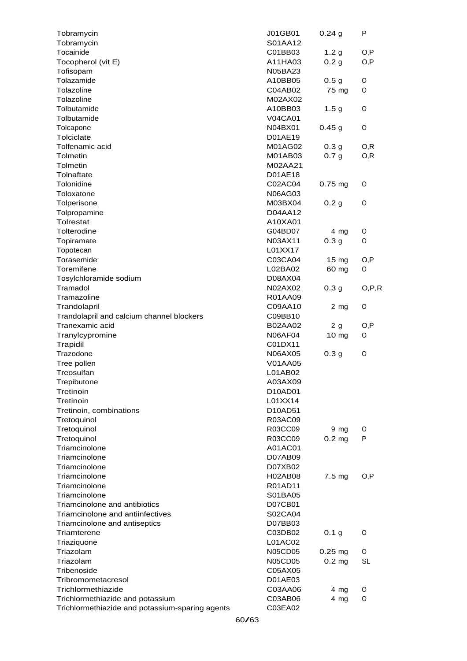| Tobramycin                                      | J01GB01        | $0.24$ g          | P         |
|-------------------------------------------------|----------------|-------------------|-----------|
| Tobramycin                                      | S01AA12        |                   |           |
| Tocainide                                       | C01BB03        | 1.2 <sub>g</sub>  | O, P      |
| Tocopherol (vit E)                              | A11HA03        | 0.2 <sub>g</sub>  | O, P      |
| Tofisopam                                       | N05BA23        |                   |           |
| Tolazamide                                      | A10BB05        | 0.5 <sub>g</sub>  | 0         |
| Tolazoline                                      | C04AB02        | 75 mg             | O         |
| Tolazoline                                      | M02AX02        |                   |           |
| Tolbutamide                                     | A10BB03        | 1.5 <sub>g</sub>  | O         |
| Tolbutamide                                     | <b>V04CA01</b> |                   |           |
| Tolcapone                                       | N04BX01        | 0.45g             | 0         |
| Tolciclate                                      | D01AE19        |                   |           |
| Tolfenamic acid                                 | M01AG02        | 0.3 <sub>g</sub>  | 0,R       |
| Tolmetin                                        | M01AB03        | 0.7 <sub>g</sub>  | O, R      |
| Tolmetin                                        | M02AA21        |                   |           |
| Tolnaftate                                      | D01AE18        |                   |           |
| Tolonidine                                      | C02AC04        | 0.75 mg           | O         |
| Toloxatone                                      | N06AG03        |                   |           |
| Tolperisone                                     | M03BX04        | 0.2 <sub>g</sub>  | O         |
| Tolpropamine                                    | D04AA12        |                   |           |
| <b>Tolrestat</b>                                | A10XA01        |                   |           |
| Tolterodine                                     | G04BD07        | $4 \, mg$         | 0         |
| Topiramate                                      | N03AX11        | 0.3 <sub>g</sub>  | 0         |
| Topotecan                                       | L01XX17        |                   |           |
| Torasemide                                      | C03CA04        | 15 <sub>mg</sub>  | O,P       |
| Toremifene                                      | L02BA02        | 60 mg             | O         |
| Tosylchloramide sodium                          | D08AX04        |                   |           |
| Tramadol                                        | N02AX02        | 0.3 <sub>g</sub>  | O, P, R   |
| Tramazoline                                     | R01AA09        |                   |           |
| Trandolapril                                    | C09AA10        | $2 \, mg$         | 0         |
| Trandolapril and calcium channel blockers       | C09BB10        |                   |           |
| Tranexamic acid                                 | <b>B02AA02</b> | 2g                | O, P      |
| Tranylcypromine                                 | <b>N06AF04</b> | 10 mg             | O         |
| Trapidil                                        | C01DX11        |                   |           |
| Trazodone                                       | N06AX05        | 0.3 <sub>g</sub>  | 0         |
| Tree pollen                                     | V01AA05        |                   |           |
| Treosulfan                                      | L01AB02        |                   |           |
| Trepibutone                                     | A03AX09        |                   |           |
| Tretinoin                                       | D10AD01        |                   |           |
| Tretinoin                                       | L01XX14        |                   |           |
| Tretinoin, combinations                         | D10AD51        |                   |           |
| Tretoquinol                                     | R03AC09        |                   |           |
| Tretoquinol                                     | R03CC09        | 9 mg              | O         |
| Tretoquinol                                     | R03CC09        | 0.2 <sub>mg</sub> | P         |
| Triamcinolone                                   | A01AC01        |                   |           |
| Triamcinolone                                   | D07AB09        |                   |           |
| Triamcinolone                                   | D07XB02        |                   |           |
| Triamcinolone                                   | <b>H02AB08</b> | 7.5 mg            | O,P       |
| Triamcinolone                                   | R01AD11        |                   |           |
| Triamcinolone                                   | S01BA05        |                   |           |
| Triamcinolone and antibiotics                   | D07CB01        |                   |           |
| Triamcinolone and antiinfectives                | S02CA04        |                   |           |
| Triamcinolone and antiseptics                   | D07BB03        |                   |           |
| Triamterene                                     | C03DB02        | 0.1 <sub>g</sub>  | O         |
| Triaziquone                                     | L01AC02        |                   |           |
| Triazolam                                       | N05CD05        | $0.25$ mg         | O         |
| Triazolam                                       | <b>N05CD05</b> | 0.2 <sub>mg</sub> | <b>SL</b> |
| Tribenoside                                     | C05AX05        |                   |           |
| Tribromometacresol                              | D01AE03        |                   |           |
| Trichlormethiazide                              | C03AA06        | 4 mg              | O         |
| Trichlormethiazide and potassium                | C03AB06        | $4 \, mg$         | O         |
| Trichlormethiazide and potassium-sparing agents | C03EA02        |                   |           |
|                                                 |                |                   |           |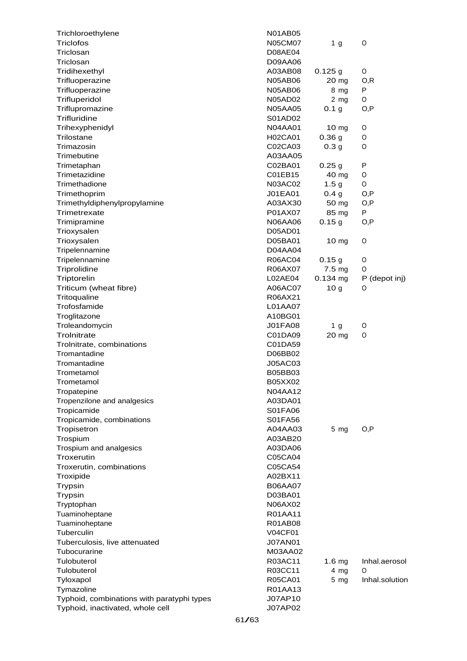| Trichloroethylene                          | <b>N01AB05</b> |                   |                |
|--------------------------------------------|----------------|-------------------|----------------|
| Triclofos                                  | N05CM07        | 1 g               | O              |
| Triclosan                                  | <b>D08AE04</b> |                   |                |
| Triclosan                                  | D09AA06        |                   |                |
| Tridihexethyl                              | A03AB08        | $0.125$ g         | O              |
| Trifluoperazine                            | <b>N05AB06</b> | $20 \text{ mg}$   | 0,R            |
| Trifluoperazine                            | <b>N05AB06</b> | 8 mg              | P              |
| Trifluperidol                              | N05AD02        | $2$ mg            | O              |
| Triflupromazine                            | <b>N05AA05</b> | 0.1 <sub>g</sub>  | O,P            |
| Trifluridine                               | S01AD02        |                   |                |
| Trihexyphenidyl                            | N04AA01        | 10 <sub>mg</sub>  | O              |
| Trilostane                                 | H02CA01        | 0.36 <sub>g</sub> | O              |
| Trimazosin                                 | C02CA03        | 0.3 <sub>g</sub>  | 0              |
| Trimebutine                                | A03AA05        |                   |                |
| Trimetaphan                                | C02BA01        | 0.25 <sub>g</sub> | P              |
| Trimetazidine                              | C01EB15        | 40 mg             | O              |
| Trimethadione                              | N03AC02        | 1.5 <sub>g</sub>  | O              |
| Trimethoprim                               | J01EA01        | 0.4 <sub>g</sub>  | O,P            |
| Trimethyldiphenylpropylamine               | A03AX30        | 50 mg             | O,P            |
| Trimetrexate                               | P01AX07        | 85 mg             | P              |
|                                            |                |                   |                |
| Trimipramine                               | N06AA06        | 0.15 g            | O,P            |
| Trioxysalen                                | D05AD01        |                   |                |
| Trioxysalen                                | D05BA01        | 10 mg             | O              |
| Tripelennamine                             | D04AA04        |                   |                |
| Tripelennamine                             | R06AC04        | 0.15g             | O              |
| Triprolidine                               | R06AX07        | 7.5 mg            | O              |
| Triptorelin                                | L02AE04        | $0.134$ mg        | P (depot inj)  |
| Triticum (wheat fibre)                     | A06AC07        | 10 <sub>g</sub>   | 0              |
| Tritoqualine                               | R06AX21        |                   |                |
| Trofosfamide                               | L01AA07        |                   |                |
| Troglitazone                               | A10BG01        |                   |                |
| Troleandomycin                             | <b>J01FA08</b> | 1 g               | O              |
| Trolnitrate                                | C01DA09        | 20 mg             | 0              |
| Trolnitrate, combinations                  | C01DA59        |                   |                |
| Tromantadine                               | D06BB02        |                   |                |
| Tromantadine                               | J05AC03        |                   |                |
| Trometamol                                 | B05BB03        |                   |                |
| Trometamol                                 | B05XX02        |                   |                |
| Tropatepine                                | <b>N04AA12</b> |                   |                |
| Tropenzilone and analgesics                | A03DA01        |                   |                |
| Tropicamide                                | S01FA06        |                   |                |
| Tropicamide, combinations                  | S01FA56        |                   |                |
| Tropisetron                                | A04AA03        | 5 <sub>mg</sub>   | O, P           |
| Trospium                                   | A03AB20        |                   |                |
| Trospium and analgesics                    | A03DA06        |                   |                |
| Troxerutin                                 | C05CA04        |                   |                |
| Troxerutin, combinations                   | C05CA54        |                   |                |
| Troxipide                                  | A02BX11        |                   |                |
| Trypsin                                    | <b>B06AA07</b> |                   |                |
| <b>Trypsin</b>                             | D03BA01        |                   |                |
|                                            | N06AX02        |                   |                |
| Tryptophan                                 | R01AA11        |                   |                |
| Tuaminoheptane                             |                |                   |                |
| Tuaminoheptane                             | R01AB08        |                   |                |
| Tuberculin                                 | <b>V04CF01</b> |                   |                |
| Tuberculosis, live attenuated              | <b>J07AN01</b> |                   |                |
| Tubocurarine                               | M03AA02        |                   |                |
| Tulobuterol                                | R03AC11        | 1.6 <sub>mg</sub> | Inhal.aerosol  |
| Tulobuterol                                | R03CC11        | 4 mg              | 0              |
| Tyloxapol                                  | R05CA01        | $5 \, mg$         | Inhal.solution |
| Tymazoline                                 | R01AA13        |                   |                |
| Typhoid, combinations with paratyphi types | J07AP10        |                   |                |
| Typhoid, inactivated, whole cell           | J07AP02        |                   |                |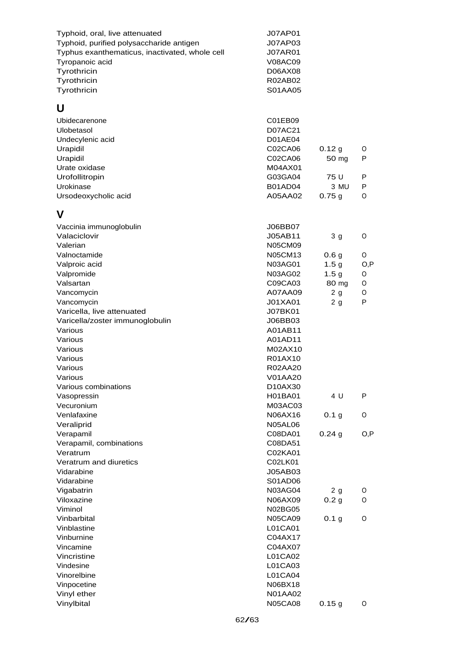| Typhoid, oral, live attenuated<br>Typhoid, purified polysaccharide antigen<br>Typhus exanthematicus, inactivated, whole cell<br>Tyropanoic acid<br>Tyrothricin<br>Tyrothricin<br>Tyrothricin | <b>J07AP01</b><br>J07AP03<br><b>J07AR01</b><br><b>V08AC09</b><br>D06AX08<br>R02AB02<br>S01AA05 |                         |        |
|----------------------------------------------------------------------------------------------------------------------------------------------------------------------------------------------|------------------------------------------------------------------------------------------------|-------------------------|--------|
| U                                                                                                                                                                                            |                                                                                                |                         |        |
| Ubidecarenone                                                                                                                                                                                | C01EB09                                                                                        |                         |        |
| Ulobetasol                                                                                                                                                                                   | D07AC21                                                                                        |                         |        |
| Undecylenic acid                                                                                                                                                                             | D01AE04                                                                                        |                         |        |
| Urapidil                                                                                                                                                                                     | C02CA06                                                                                        | 0.12g                   | O      |
| Urapidil                                                                                                                                                                                     | C02CA06                                                                                        | 50 mg                   | P      |
| Urate oxidase                                                                                                                                                                                | M04AX01                                                                                        |                         |        |
| Urofollitropin                                                                                                                                                                               | G03GA04                                                                                        | 75 U                    | P      |
| Urokinase                                                                                                                                                                                    | B01AD04                                                                                        | 3 MU                    | P      |
| Ursodeoxycholic acid                                                                                                                                                                         | A05AA02                                                                                        | 0.75g                   | 0      |
| V                                                                                                                                                                                            |                                                                                                |                         |        |
| Vaccinia immunoglobulin                                                                                                                                                                      | J06BB07                                                                                        |                         |        |
| Valaciclovir                                                                                                                                                                                 | J05AB11                                                                                        | 3 <sub>g</sub>          | O      |
| Valerian                                                                                                                                                                                     | <b>N05CM09</b>                                                                                 |                         |        |
| Valnoctamide                                                                                                                                                                                 | N05CM13                                                                                        | 0.6 <sub>g</sub>        | 0      |
| Valproic acid                                                                                                                                                                                | N03AG01                                                                                        | 1.5 <sub>g</sub>        | O, P   |
| Valpromide                                                                                                                                                                                   | N03AG02                                                                                        | 1.5 <sub>g</sub>        | O      |
| Valsartan                                                                                                                                                                                    | C09CA03                                                                                        | 80 mg                   | O      |
| Vancomycin                                                                                                                                                                                   | A07AA09                                                                                        | 2g                      | 0      |
| Vancomycin                                                                                                                                                                                   | J01XA01                                                                                        | 2g                      | P      |
| Varicella, live attenuated                                                                                                                                                                   | J07BK01                                                                                        |                         |        |
| Varicella/zoster immunoglobulin                                                                                                                                                              | J06BB03                                                                                        |                         |        |
| Various<br>Various                                                                                                                                                                           | A01AB11<br>A01AD11                                                                             |                         |        |
| Various                                                                                                                                                                                      | M02AX10                                                                                        |                         |        |
| Various                                                                                                                                                                                      | R01AX10                                                                                        |                         |        |
| Various                                                                                                                                                                                      | R02AA20                                                                                        |                         |        |
| Various                                                                                                                                                                                      | V01AA20                                                                                        |                         |        |
| Various combinations                                                                                                                                                                         | D10AX30                                                                                        |                         |        |
| Vasopressin                                                                                                                                                                                  | H01BA01                                                                                        | 4 U                     | P      |
| Vecuronium                                                                                                                                                                                   | M03AC03                                                                                        |                         |        |
| Venlafaxine                                                                                                                                                                                  | N06AX16                                                                                        | 0.1 <sub>g</sub>        | 0      |
| Veraliprid                                                                                                                                                                                   | <b>N05AL06</b>                                                                                 |                         |        |
| Verapamil                                                                                                                                                                                    | C08DA01                                                                                        | 0.24g                   | O, P   |
| Verapamil, combinations                                                                                                                                                                      | C08DA51                                                                                        |                         |        |
| Veratrum                                                                                                                                                                                     | C02KA01                                                                                        |                         |        |
| Veratrum and diuretics                                                                                                                                                                       | C02LK01                                                                                        |                         |        |
| Vidarabine                                                                                                                                                                                   | J05AB03                                                                                        |                         |        |
| Vidarabine                                                                                                                                                                                   | S01AD06<br><b>N03AG04</b>                                                                      |                         |        |
| Vigabatrin<br>Viloxazine                                                                                                                                                                     | N06AX09                                                                                        | 2 g<br>0.2 <sub>g</sub> | 0<br>0 |
| Viminol                                                                                                                                                                                      | N02BG05                                                                                        |                         |        |
| Vinbarbital                                                                                                                                                                                  | <b>N05CA09</b>                                                                                 | 0.1 <sub>g</sub>        | 0      |
| Vinblastine                                                                                                                                                                                  | L01CA01                                                                                        |                         |        |
| Vinburnine                                                                                                                                                                                   | C04AX17                                                                                        |                         |        |
| Vincamine                                                                                                                                                                                    | C04AX07                                                                                        |                         |        |
| Vincristine                                                                                                                                                                                  | L01CA02                                                                                        |                         |        |
| Vindesine                                                                                                                                                                                    | L01CA03                                                                                        |                         |        |
| Vinorelbine                                                                                                                                                                                  | L01CA04                                                                                        |                         |        |
| Vinpocetine                                                                                                                                                                                  | N06BX18                                                                                        |                         |        |
| Vinyl ether                                                                                                                                                                                  | <b>N01AA02</b>                                                                                 |                         |        |
| Vinylbital                                                                                                                                                                                   | <b>N05CA08</b>                                                                                 | 0.15g                   | 0      |